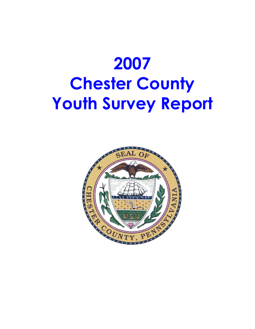

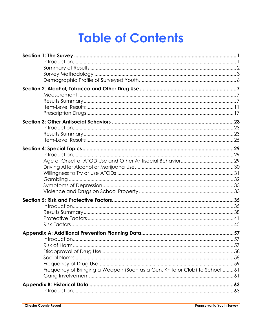# **Table of Contents**

| Frequency of Bringing a Weapon (Such as a Gun, Knife or Club) to School 61 |  |
|----------------------------------------------------------------------------|--|
|                                                                            |  |
|                                                                            |  |
|                                                                            |  |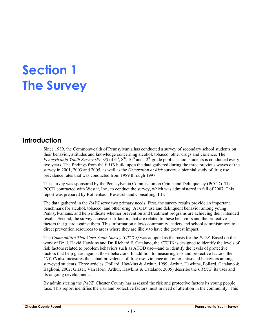## **Section 1 The Survey**

## **Introduction**

Since 1989, the Commonwealth of Pennsylvania has conducted a survey of secondary school students on their behavior, attitudes and knowledge concerning alcohol, tobacco, other drugs and violence. The *Pennsylvania Youth Survey (PAYS)* of  $6<sup>th</sup>$ ,  $8<sup>th</sup>$ ,  $10<sup>th</sup>$  and  $12<sup>th</sup>$  grade public school students is conducted every two years. The findings from the *PAYS* build upon the data gathered during the three previous waves of the survey in 2001, 2003 and 2005, as well as the *Generation at Risk* survey, a biennial study of drug use prevalence rates that was conducted from 1989 through 1997.

This survey was sponsored by the Pennsylvania Commission on Crime and Delinquency (PCCD). The PCCD contracted with Westat, Inc., to conduct the survey, which was administered in fall of 2007. This report was prepared by Rothenbach Research and Consulting, LLC.

The data gathered in the *PAYS* serve two primary needs. First, the survey results provide an important benchmark for alcohol, tobacco, and other drug (ATOD) use and delinquent behavior among young Pennsylvanians, and help indicate whether prevention and treatment programs are achieving their intended results. Second, the survey assesses risk factors that are related to these behaviors and the protective factors that guard against them. This information allows community leaders and school administrators to direct prevention resources to areas where they are likely to have the greatest impact.

The *Communities That Care Youth Survey (CTCYS)* was adopted as the basis for the *PAYS*. Based on the work of Dr. J. David Hawkins and Dr. Richard F. Catalano, the *CTCYS* is designed to identify the levels of risk factors related to problem behaviors such as ATOD use—and to identify the levels of protective factors that help guard against those behaviors. In addition to measuring risk and protective factors, the *CTCYS* also measures the actual prevalence of drug use, violence and other antisocial behaviors among surveyed students. Three articles (Pollard, Hawkins & Arthur, 1999; Arthur, Hawkins, Pollard, Catalano & Baglioni, 2002; Glaser, Van Horn, Arthur, Hawkins & Catalano, 2005) describe the *CTCYS*, its uses and its ongoing development.

By administering the *PAYS*, Chester County has assessed the risk and protective factors its young people face. This report identifies the risk and protective factors most in need of attention in the community. This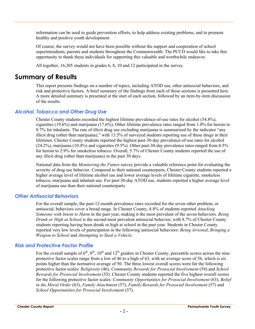information can be used to guide prevention efforts, to help address existing problems, and to promote healthy and positive youth development.

Of course, the survey would not have been possible without the support and cooperation of school superintendents, parents and students throughout the Commonwealth. The PCCD would like to take this opportunity to thank these individuals for supporting this valuable and worthwhile endeavor.

All together, 16,305 students in grades 6, 8, 10 and 12 participated in the survey.

### **Summary of Results**

This report presents findings on a number of topics, including ATOD use, other antisocial behaviors, and risk and protective factors. A brief summary of the findings from each of these sections is presented here. A more detailed summary is presented at the start of each section, followed by an item-by-item discussion of the results.

#### *Alcohol, Tobacco and Other Drug Use*

Chester County students recorded the highest lifetime prevalence-of-use rates for alcohol (54.8%), cigarettes (19.6%) and marijuana (17.6%). Other lifetime prevalence rates ranged from 1.0% for heroin to 8.7% for inhalants. The rate of illicit drug use excluding marijuana is summarized by the indicator "any illicit drug (other than marijuana)," with 13.5% of surveyed students reporting use of these drugs in their lifetimes. Chester County students reported the highest past-30-day prevalence-of-use rates for alcohol (24.2%), marijuana (10.4%) and cigarettes (9.5%). Other past-30-day prevalence rates ranged from 0.5% for heroin to 2.9% for smokeless tobacco. Overall, 5.7% of Chester County students reported the use of any illicit drug (other than marijuana) in the past 30 days.

National data from the *Monitoring the Future* survey provide a valuable reference point for evaluating the severity of drug use behavior. Compared to their national counterparts, Chester County students reported a higher average level of lifetime alcohol use and lower average levels of lifetime cigarette, smokeless tobacco, marijuana and inhalant use. For past-30-day ATOD use, students reported a higher average level of marijuana use than their national counterparts.

#### *Other Antisocial Behaviors*

For the overall sample, the past-12-month prevalence rates recorded for the seven other problem, or antisocial, behaviors cover a broad range. In Chester County, 8.8% of students reported *Attacking Someone with Intent to Harm* in the past year, making it the most prevalent of the seven behaviors. *Being Drunk or High at School* is the second most prevalent antisocial behavior, with 8.7% of Chester County students reporting having been drunk or high at school in the past year. Students in Chester County reported very low levels of participation in the following antisocial behaviors: *Being Arrested*, *Bringing a Weapon to School* and *Attempting to Steal a Vehicle*.

#### *Risk and Protective Factor Profile*

For the overall sample of  $6<sup>th</sup>$ ,  $8<sup>th</sup>$ ,  $10<sup>th</sup>$  and  $12<sup>th</sup>$  graders in Chester County, percentile scores across the nine protective factor scales range from a low of 46 to a high of 63, with an average score of 56, which is six points higher than the normative average of 50. The three lowest overall scores were for the following protective factor scales: *Religiosity* (46), *Community Rewards for Prosocial Involvement* (54) and *School Rewards for Prosocial Involvement* (55). Chester County students reported the five highest overall scores for the following protective factor scales: *Community Opportunities for Prosocial Involvement* (63), *Belief in the Moral Order* (63), *Family Attachment* (57), *Family Rewards for Prosocial Involvement* (57) and *School Opportunities for Prosocial Involvement* (57).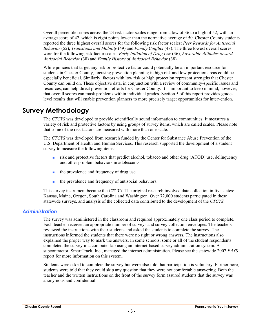Overall percentile scores across the 23 risk factor scales range from a low of 36 to a high of 52, with an average score of 42, which is eight points lower than the normative average of 50. Chester County students reported the three highest overall scores for the following risk factor scales: *Peer Rewards for Antisocial Behavior* (52), *Transitions and Mobility* (49) and *Family Conflict* (48). The three lowest overall scores were for the following risk factor scales: *Early Initiation of Drug Use* (36), *Favorable Attitudes toward Antisocial Behavior* (38) and *Family History of Antisocial Behavior* (38).

While policies that target any risk or protective factor could potentially be an important resource for students in Chester County, focusing prevention planning in high risk and low protection areas could be especially beneficial. Similarly, factors with low risk or high protection represent strengths that Chester County can build on. These objective data, in conjunction with a review of community-specific issues and resources, can help direct prevention efforts for Chester County. It is important to keep in mind, however, that overall scores can mask problems within individual grades. Section 5 of this report provides gradelevel results that will enable prevention planners to more precisely target opportunities for intervention.

## **Survey Methodology**

The *CTCYS* was developed to provide scientifically sound information to communities. It measures a variety of risk and protective factors by using groups of survey items, which are called scales. Please note that some of the risk factors are measured with more than one scale.

The *CTCYS* was developed from research funded by the Center for Substance Abuse Prevention of the U.S. Department of Health and Human Services. This research supported the development of a student survey to measure the following items:

- risk and protective factors that predict alcohol, tobacco and other drug (ATOD) use, delinquency and other problem behaviors in adolescents.
- the prevalence and frequency of drug use.
- the prevalence and frequency of antisocial behaviors.

This survey instrument became the *CTCYS.* The original research involved data collection in five states: Kansas, Maine, Oregon, South Carolina and Washington. Over 72,000 students participated in these statewide surveys, and analysis of the collected data contributed to the development of the *CTCYS*.

#### *Administration*

The survey was administered in the classroom and required approximately one class period to complete. Each teacher received an appropriate number of surveys and survey collection envelopes. The teachers reviewed the instructions with their students and asked the students to complete the survey. The instructions informed the students that there were no right or wrong answers. The instructions also explained the proper way to mark the answers. In some schools, some or all of the student respondents completed the survey in a computer lab using an internet-based survey administration system. A subcontractor, SmartTrack, Inc., managed the internet administration. Please see the statewide 2007 *PAYS* report for more information on this system.

Students were asked to complete the survey but were also told that participation is voluntary. Furthermore, students were told that they could skip any question that they were not comfortable answering. Both the teacher and the written instructions on the front of the survey form assured students that the survey was anonymous and confidential.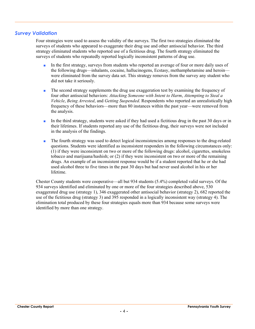#### *Survey Validation*

Four strategies were used to assess the validity of the surveys. The first two strategies eliminated the surveys of students who appeared to exaggerate their drug use and other antisocial behavior. The third strategy eliminated students who reported use of a fictitious drug. The fourth strategy eliminated the surveys of students who repeatedly reported logically inconsistent patterns of drug use.

- In the first strategy, surveys from students who reported an average of four or more daily uses of the following drugs—inhalants, cocaine, hallucinogens, Ecstasy, methamphetamine and heroin were eliminated from the survey data set. This strategy removes from the survey any student who did not take it seriously.
- The second strategy supplements the drug use exaggeration test by examining the frequency of four other antisocial behaviors: *Attacking Someone with Intent to Harm*, *Attempting to Steal a Vehicle*, *Being Arrested*, and *Getting Suspended*. Respondents who reported an unrealistically high frequency of these behaviors—more than 80 instances within the past year—were removed from the analysis.
- In the third strategy, students were asked if they had used a fictitious drug in the past 30 days or in their lifetimes. If students reported any use of the fictitious drug, their surveys were not included in the analysis of the findings.
- The fourth strategy was used to detect logical inconsistencies among responses to the drug-related questions. Students were identified as inconsistent responders in the following circumstances only: (1) if they were inconsistent on two or more of the following drugs: alcohol, cigarettes, smokeless tobacco and marijuana/hashish; or (2) if they were inconsistent on two or more of the remaining drugs. An example of an inconsistent response would be if a student reported that he or she had used alcohol three to five times in the past 30 days but had never used alcohol in his or her lifetime.

Chester County students were cooperative—all but 934 students (5.4%) completed valid surveys. Of the 934 surveys identified and eliminated by one or more of the four strategies described above, 530 exaggerated drug use (strategy 1), 346 exaggerated other antisocial behavior (strategy 2), 682 reported the use of the fictitious drug (strategy 3) and 395 responded in a logically inconsistent way (strategy 4). The elimination total produced by these four strategies equals more than 934 because some surveys were identified by more than one strategy.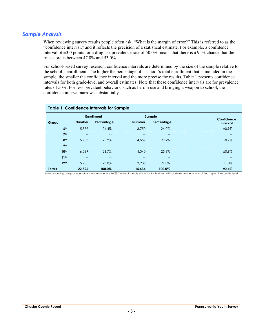#### *Sample Analysis*

When reviewing survey results people often ask, "What is the margin of error?" This is referred to as the "confidence interval," and it reflects the precision of a statistical estimate. For example, a confidence interval of  $\pm 3.0$  points for a drug use prevalence rate of 50.0% means that there is a 95% chance that the true score is between 47.0% and 53.0%.

For school-based survey research, confidence intervals are determined by the size of the sample relative to the school's enrollment. The higher the percentage of a school's total enrollment that is included in the sample, the smaller the confidence interval and the more precise the results. Table 1 presents confidence intervals for both grade-level and overall estimates. Note that these confidence intervals are for prevalence rates of 50%. For less prevalent behaviors, such as heroin use and bringing a weapon to school, the confidence interval narrows substantially.

| <b>Table 1. Confidence Intervals for Sample</b> |                   |                             |               |                   |  |                 |  |  |  |  |  |  |
|-------------------------------------------------|-------------------|-----------------------------|---------------|-------------------|--|-----------------|--|--|--|--|--|--|
|                                                 |                   | <b>Enrollment</b><br>Sample |               |                   |  | Confidence      |  |  |  |  |  |  |
| Grade                                           | <b>Number</b>     | Percentage                  | <b>Number</b> | Percentage        |  | <b>Interval</b> |  |  |  |  |  |  |
| 6 <sup>th</sup>                                 | 5.579             | 24.4%                       | 3.750         | 24.0%             |  | ±0.9%           |  |  |  |  |  |  |
| 7 <sup>th</sup>                                 | $- -$             | $- -$                       |               | $-$               |  | $--$            |  |  |  |  |  |  |
| 8 <sup>th</sup>                                 | 5,903             | 25.9%                       | 4,559         | 29.2%             |  | ±0.7%           |  |  |  |  |  |  |
| 9 <sub>th</sub>                                 | $- -$             | $\qquad \qquad -$           | $- -$         | $\qquad \qquad -$ |  | $--$            |  |  |  |  |  |  |
| 10 <sup>th</sup>                                | 6,089             | 26.7%                       | 4,040         | 25.8%             |  | ±0.9%           |  |  |  |  |  |  |
| 11 <sup>th</sup>                                | $\qquad \qquad -$ | $\qquad \qquad -$           |               | $\qquad \qquad -$ |  | $- -$           |  |  |  |  |  |  |
| 12 <sup>th</sup>                                | 5.255             | 23.0%                       | 3.285         | 21.0%             |  | ±1.0%           |  |  |  |  |  |  |
| <b>Totals</b>                                   | 22,826            | 100.0%                      | 15,634        | 100.0%            |  | ±0.4%           |  |  |  |  |  |  |

Note: Rounding can produce totals that do not equal 100%. The total sample size in this table does not include respondents who did not report their grade level.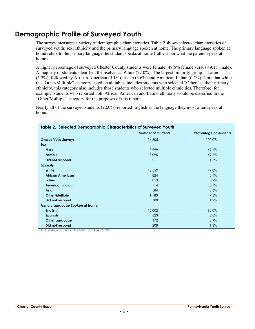## **Demographic Profile of Surveyed Youth**

The survey measures a variety of demographic characteristics. Table 2 shows selected characteristics of surveyed youth: sex, ethnicity and the primary language spoken at home. The primary language spoken at home refers to the primary language the student speaks at home (rather than what the parents speak at home).

A higher percentage of surveyed Chester County students were female (49.6% female versus 49.1% male). A majority of students identified themselves as White (77.0%). The largest minority group is Latino (5.2%), followed by African American (5.1%), Asian (3.6%) and American Indian (0.7%). Note that while the "Other/Multiple" category listed on all tables includes students who selected "Other" as their primary ethnicity, this category also includes those students who selected multiple ethnicities. Therefore, for example, students who reported both African American and Latino ethnicity would be classified in the "Other/Multiple" category for the purposes of this report.

Nearly all of the surveyed students (92.0%) reported English as the language they most often speak at home.

| - 9 - P - - -                   | <b>Number of Students</b> |                               |
|---------------------------------|---------------------------|-------------------------------|
|                                 |                           | <b>Percentage of Students</b> |
| <b>Overall Valid Surveys</b>    | 16,305                    | 100.0%                        |
| Sex                             |                           |                               |
| Male                            | 7,999                     | 49.1%                         |
| Female                          | 8,095                     | 49.6%                         |
| Did not respond                 | 211                       | 1.3%                          |
| <b>Ethnicity</b>                |                           |                               |
| White                           | 12,559                    | 77.0%                         |
| <b>African American</b>         | 824                       | 5.1%                          |
| Latino                          | 853                       | 5.2%                          |
| American Indian                 | 114                       | 0.7%                          |
| <b>Asian</b>                    | 584                       | 3.6%                          |
| Other/Multiple                  | 1,183                     | 7.3%                          |
| Did not respond                 | 188                       | 1.2%                          |
| Primary Language Spoken at Home |                           |                               |
| <b>English</b>                  | 15,002                    | 92.0%                         |
| Spanish                         | 623                       | 3.8%                          |
| <b>Other Language</b>           | 472                       | 2.9%                          |
| Did not respond                 | 208                       | 1.3%                          |

#### **Table 2. Selected Demographic Characteristics of Surveyed Youth**

Note: Rounding can produce totals that do not equal 100%.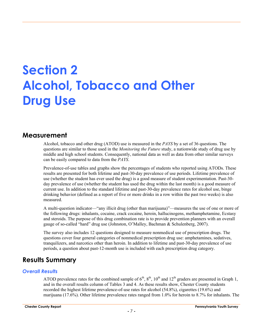## **Section 2 Alcohol, Tobacco and Other Drug Use**

### **Measurement**

Alcohol, tobacco and other drug (ATOD) use is measured in the *PAYS* by a set of 36 questions. The questions are similar to those used in the *Monitoring the Future* study, a nationwide study of drug use by middle and high school students. Consequently, national data as well as data from other similar surveys can be easily compared to data from the *PAYS*.

Prevalence-of-use tables and graphs show the percentages of students who reported using ATODs. These results are presented for both lifetime and past-30-day prevalence of use periods. Lifetime prevalence of use (whether the student has ever used the drug) is a good measure of student experimentation. Past-30 day prevalence of use (whether the student has used the drug within the last month) is a good measure of current use. In addition to the standard lifetime and past-30-day prevalence rates for alcohol use, binge drinking behavior (defined as a report of five or more drinks in a row within the past two weeks) is also measured.

A multi-question indicator—"any illicit drug (other than marijuana)"—measures the use of one or more of the following drugs: inhalants, cocaine, crack cocaine, heroin, hallucinogens, methamphetamine, Ecstasy and steroids. The purpose of this drug combination rate is to provide prevention planners with an overall gauge of so-called "hard" drug use (Johnston, O'Malley, Bachman & Schulenberg, 2007).

The survey also includes 12 questions designed to measure nonmedical use of prescription drugs. The questions cover four general categories of nonmedical prescription drug use: amphetamines, sedatives, tranquilizers, and narcotics other than heroin. In addition to lifetime and past-30-day prevalence of use periods, a question about past-12-month use is included with each prescription drug category.

## **Results Summary**

#### *Overall Results*

ATOD prevalence rates for the combined sample of  $6<sup>th</sup>$ ,  $8<sup>th</sup>$ ,  $10<sup>th</sup>$  and  $12<sup>th</sup>$  graders are presented in Graph 1, and in the overall results column of Tables 3 and 4. As these results show, Chester County students recorded the highest lifetime prevalence-of-use rates for alcohol (54.8%), cigarettes (19.6%) and marijuana (17.6%). Other lifetime prevalence rates ranged from 1.0% for heroin to 8.7% for inhalants. The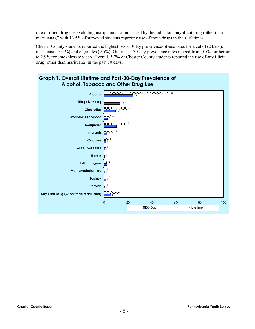rate of illicit drug use excluding marijuana is summarized by the indicator "any illicit drug (other than marijuana)," with 13.5% of surveyed students reporting use of these drugs in their lifetimes.

Chester County students reported the highest past-30-day prevalence-of-use rates for alcohol (24.2%), marijuana (10.4%) and cigarettes (9.5%). Other past-30-day prevalence rates ranged from 0.5% for heroin to 2.9% for smokeless tobacco. Overall, 5.7% of Chester County students reported the use of any illicit drug (other than marijuana) in the past 30 days.

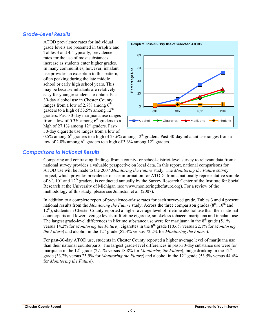#### *Grade-Level Results*

ATOD prevalence rates for individual grade levels are presented in Graph 2 and Tables 3 and 4. Typically, prevalence rates for the use of most substances increase as students enter higher grades. In many communities, however, inhalant use provides an exception to this pattern, often peaking during the late middle school or early high school years. This may be because inhalants are relatively easy for younger students to obtain. Past-30-day alcohol use in Chester County ranges from a low of 2.7% among  $6<sup>th</sup>$ graders to a high of  $53.5\%$  among  $12<sup>th</sup>$ graders. Past-30-day marijuana use ranges from a low of 0.3% among  $6<sup>th</sup>$  graders to a high of  $27.1\%$  among  $12<sup>th</sup>$  graders. Past-30-day cigarette use ranges from a low of



0.5% among  $6<sup>th</sup>$  graders to a high of 23.6% among 12<sup>th</sup> graders. Past-30-day inhalant use ranges from a low of 2.0% among  $6<sup>th</sup>$  graders to a high of 3.3% among 12<sup>th</sup> graders.

#### *Comparisons to National Results*

Comparing and contrasting findings from a county- or school-district-level survey to relevant data from a national survey provides a valuable perspective on local data. In this report, national comparisons for ATOD use will be made to the 2007 *Monitoring the Future* study. The *Monitoring the Future* survey project, which provides prevalence-of-use information for ATODs from a nationally representative sample of  $8<sup>th</sup>$ ,  $10<sup>th</sup>$  and  $12<sup>th</sup>$  graders, is conducted annually by the Survey Research Center of the Institute for Social Research at the University of Michigan (see www.monitoringthefuture.org). For a review of the methodology of this study, please see Johnston et al. (2007).

In addition to a complete report of prevalence-of-use rates for each surveyed grade, Tables 3 and 4 present national results from the *Monitoring the Future* study. Across the three comparison grades  $(8<sup>th</sup>, 10<sup>th</sup>$  and 12<sup>th</sup>), students in Chester County reported a higher average level of lifetime alcohol use than their national counterparts and lower average levels of lifetime cigarette, smokeless tobacco, marijuana and inhalant use. The largest grade-level differences in lifetime substance use were for marijuana in the  $8<sup>th</sup>$  grade (5.1%) versus 14.2% for *Monitoring the Future*), cigarettes in the 8<sup>th</sup> grade (10.6% versus 22.1% for *Monitoring versus* 22.1% for *Monitoring the Future*) and alcohol in the 12<sup>th</sup> grade (82.3% versus 72.2% for *Monitoring the Future*).

For past-30-day ATOD use, students in Chester County reported a higher average level of marijuana use than their national counterparts. The largest grade-level differences in past-30-day substance use were for marijuana in the 12<sup>th</sup> grade (27.1% versus 18.8% for *Monitoring the Future*), binge drinking in the 12<sup>th</sup> grade (33.2% versus 25.9% for *Monitoring the Future*) and alcohol in the 12<sup>th</sup> grade (53.5% versus 44.4% for *Monitoring the Future*).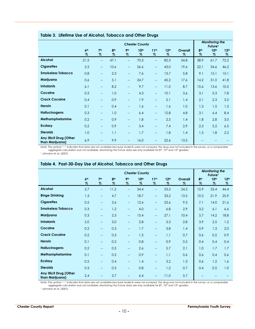|                                            |                         |                          | <b>Monitoring the</b><br>Future <sup>1</sup> |                          |                          |                                                     |                          |              |                         |                          |                          |  |  |  |
|--------------------------------------------|-------------------------|--------------------------|----------------------------------------------|--------------------------|--------------------------|-----------------------------------------------------|--------------------------|--------------|-------------------------|--------------------------|--------------------------|--|--|--|
|                                            | 6 <sup>th</sup><br>$\%$ | 7 <sup>th</sup><br>$\%$  | 8 <sup>th</sup><br>$\%$                      | 9 <sub>th</sub><br>$\%$  | 10 <sup>th</sup><br>$\%$ | 11 <sup>th</sup><br>%                               | 12 <sup>th</sup><br>$\%$ | Overall<br>% | 8 <sup>th</sup><br>$\%$ | 10 <sup>th</sup><br>$\%$ | 12 <sup>th</sup><br>$\%$ |  |  |  |
| <b>Alcohol</b>                             | 21.5                    | $-$                      | 47.1                                         | $\overline{\phantom{a}}$ | 70.3                     | $\qquad \qquad -$                                   | 82.3                     | 54.8         | 38.9                    | 61.7                     | 72.2                     |  |  |  |
| <b>Cigarettes</b>                          | 2.5                     | $\overline{\phantom{m}}$ | 10.6                                         | $\overline{\phantom{a}}$ | 26.6                     | $\hspace{0.05cm} -\hspace{0.05cm} -\hspace{0.05cm}$ | 43.0                     | 19.6         | 22.1                    | 34.6                     | 46.2                     |  |  |  |
| <b>Smokeless Tobacco</b>                   | 0.8                     | $\overline{\phantom{a}}$ | 2.3                                          | $\overline{\phantom{a}}$ | 7.6                      | $\overline{\phantom{m}}$                            | 13.7                     | 5.8          | 9.1                     | 15.1                     | 15.1                     |  |  |  |
| Marijuana                                  | 0.6                     | $\overline{\phantom{a}}$ | 5.1                                          | $\overline{\phantom{a}}$ | 24.7                     | $\overline{\phantom{a}}$                            | 45.2                     | 17.6         | 14.2                    | 31.0                     | 41.8                     |  |  |  |
| <b>Inhalants</b>                           | 6.1                     | $\overline{\phantom{m}}$ | 8.2                                          | $\overline{\phantom{a}}$ | 9.7                      | $\qquad \qquad -$                                   | 11.0                     | 8.7          | 15.6                    | 13.6                     | 10.5                     |  |  |  |
| Cocaine                                    | 0.3                     | $\overline{\phantom{m}}$ | 1.0                                          | $\overline{\phantom{a}}$ | 4.3                      | $\overline{\phantom{a}}$                            | 10.1                     | 3.6          | 3.1                     | 5.3                      | 7.8                      |  |  |  |
| <b>Crack Cocaine</b>                       | 0.4                     | --                       | 0.9                                          | $\qquad \qquad -$        | 1.9                      | $\overline{\phantom{a}}$                            | 2.1                      | 1.4          | 2.1                     | 2.3                      | 3.2                      |  |  |  |
| <b>Heroin</b>                              | 0.1                     | $\overline{\phantom{a}}$ | 0.4                                          | $\overline{\phantom{a}}$ | 1.6                      | $\overline{\phantom{a}}$                            | 1.6                      | 1.0          | 1.3                     | 1.5                      | 1.5                      |  |  |  |
| <b>Hallucinogens</b>                       | 0.3                     | $\overline{\phantom{m}}$ | 1.0                                          | $\overline{\phantom{a}}$ | 6.4                      | $\overline{\phantom{a}}$                            | 12.8                     | 4.8          | 3.1                     | 6.4                      | 8.4                      |  |  |  |
| Methamphetamine                            | 0.2                     | $\qquad \qquad -$        | 0.9                                          | $\overline{\phantom{a}}$ | 1.8                      | $\qquad \qquad -$                                   | 2.5                      | 1.4          | 1.8                     | 2.8                      | 3.0                      |  |  |  |
| <b>Ecstasy</b>                             | 0.2                     | $\overline{\phantom{a}}$ | 0.9                                          | $\overline{\phantom{a}}$ | 3.4                      | $\overline{\phantom{a}}$                            | 7.4                      | 2.9          | 2.3                     | 5.2                      | 6.5                      |  |  |  |
| <b>Steroids</b>                            | 1.0                     | $\overline{\phantom{m}}$ | 1.1                                          | $\hspace{0.05cm}$        | 1.7                      | $\qquad \qquad -$                                   | 1.8                      | 1.4          | 1.5                     | 1.8                      | 2.2                      |  |  |  |
| Any Illicit Drug (Other<br>than Marijuana) | 6.9                     | $-$                      | 9.9                                          | $\overline{\phantom{a}}$ | 16.0                     | $- -$                                               | 22.6                     | 13.5         |                         |                          |                          |  |  |  |

#### **Table 3. Lifetime Use of Alcohol, Tobacco and Other Drugs**

Note: The symbol "--" indicates that data are not available because students were not surveyed, the drug was not included in the survey, or a comparable<br>aggregate calculation was not available. Monitoring the Future data a

| <sup>1</sup> Johnston et al. (2007). |  |
|--------------------------------------|--|
|                                      |  |

|                                            |                         |                          | <b>Monitoring the</b><br>Future <sup>1</sup> |                          |                          |                          |                          |                 |                         |              |                          |
|--------------------------------------------|-------------------------|--------------------------|----------------------------------------------|--------------------------|--------------------------|--------------------------|--------------------------|-----------------|-------------------------|--------------|--------------------------|
|                                            | 6 <sup>th</sup><br>$\%$ | 7 <sup>th</sup><br>$\%$  | 8 <sup>th</sup><br>$\%$                      | 9 <sub>th</sub><br>$\%$  | 10 <sup>th</sup><br>$\%$ | 11 <sup>th</sup><br>$\%$ | 12 <sup>th</sup><br>$\%$ | Overall<br>$\%$ | 8 <sup>th</sup><br>$\%$ | 10th<br>$\%$ | 12 <sup>th</sup><br>$\%$ |
| <b>Alcohol</b>                             | 2.7                     | $\overline{\phantom{a}}$ | 11.2                                         | $\overline{\phantom{a}}$ | 34.4                     | $\qquad \qquad -$        | 53.5                     | 24.2            | 15.9                    | 33.4         | 44.4                     |
| <b>Binge Drinking</b>                      | 1.3                     | $\overline{\phantom{a}}$ | 4.7                                          | $\overline{\phantom{a}}$ | 18.7                     | $\overline{\phantom{m}}$ | 33.2                     | 13.5            | 10.3                    | 21.9         | 25.9                     |
| <b>Cigarettes</b>                          | 0.5                     | $\overline{\phantom{a}}$ | 3.6                                          | $\qquad \qquad -$        | 12.6                     | $\overline{\phantom{m}}$ | 23.6                     | 9.5             | 7.1                     | 14.0         | 21.6                     |
| <b>Smokeless Tobacco</b>                   | 0.3                     | $- -$                    | 1.2                                          | $\overline{\phantom{a}}$ | 4.0                      | $\overline{\phantom{a}}$ | 6.8                      | 2.9             | 3.2                     | 6.1          | 6.6                      |
| Marijuana                                  | 0.3                     | $\overline{\phantom{m}}$ | 2.3                                          | $\overline{\phantom{m}}$ | 15.4                     | $\overline{\phantom{0}}$ | 27.1                     | 10.4            | 5.7                     | 14.2         | 18.8                     |
| <b>Inhalants</b>                           | 2.0                     | $\overline{\phantom{m}}$ | 3.0                                          | $\qquad \qquad -$        | 2.8                      | $\overline{\phantom{m}}$ | 3.3                      | 2.8             | 3.9                     | 2.5          | 1.2                      |
| Cocaine                                    | 0.2                     | $\overline{\phantom{m}}$ | 0.3                                          | $\overline{\phantom{a}}$ | 1.7                      | $\qquad \qquad -$        | 3.8                      | 1.4             | 0.9                     | 1.3          | 2.0                      |
| <b>Crack Cocaine</b>                       | 0.2                     | $\overline{\phantom{m}}$ | 0.3                                          | $\qquad \qquad -$        | 1.2                      | $\qquad \qquad -$        | 1.1                      | 0.7             | 0.6                     | 0.5          | 0.9                      |
| Heroin                                     | 0.1                     | $\overline{\phantom{m}}$ | 0.2                                          | $\overline{\phantom{a}}$ | 0.8                      | $\qquad \qquad -$        | 0.9                      | 0.5             | 0.4                     | 0.4          | 0.4                      |
| <b>Hallucinogens</b>                       | 0.2                     | $- -$                    | 0.5                                          | $-$                      | 2.6                      | $\overline{\phantom{a}}$ | 5.7                      | 2.1             | 1.0                     | 1.7          | 1.7                      |
| Methamphetamine                            | 0.1                     | $\overline{\phantom{a}}$ | 0.2                                          | $\overline{\phantom{a}}$ | 0.9                      | $\overline{\phantom{a}}$ | 1.1                      | 0.6             | 0.6                     | 0.4          | 0.6                      |
| <b>Ecstasy</b>                             | 0.2                     | $\overline{\phantom{m}}$ | 0.4                                          | $\overline{\phantom{a}}$ | 1.4                      | $\qquad \qquad -$        | 3.2                      | 1.3             | 0.6                     | 1.2          | 1.6                      |
| <b>Steroids</b>                            | 0.3                     | $\overline{\phantom{m}}$ | 0.5                                          | $-$                      | 0.8                      | $-$                      | 1.2                      | 0.7             | 0.4                     | 0.5          | 1.0                      |
| Any Illicit Drug (Other<br>than Marijuana) | 2.4                     | $\overline{\phantom{a}}$ | 3.7                                          | $\qquad \qquad -$        | 6.4                      | $\qquad \qquad -$        | 11.0                     | 5.7             |                         |              |                          |

#### **Table 4. Past-30-Day Use of Alcohol, Tobacco and Other Drugs**

Note: The symbol "--" indicates that data are not available because students were not surveyed, the drug was not included in the survey, or a comparable<br>aggregate calculation was not available. Monitoring the Future data a

1 Johnston et al. (2007).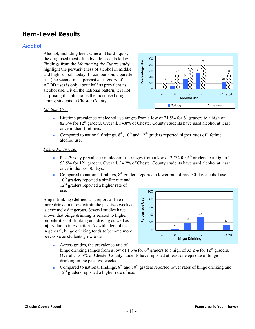## **Item-Level Results**

#### *Alcohol*

Alcohol, including beer, wine and hard liquor, is the drug used most often by adolescents today. Findings from the *Monitoring the Future* study highlight the pervasiveness of alcohol in middle and high schools today. In comparison, cigarette use (the second most pervasive category of ATOD use) is only about half as prevalent as alcohol use. Given the national pattern, it is not surprising that alcohol is the most used drug among students in Chester County.



#### *Lifetime Use:*

- **•** Lifetime prevalence of alcohol use ranges from a low of 21.5% for  $6<sup>th</sup>$  graders to a high of 82.3% for  $12<sup>th</sup>$  graders. Overall, 54.8% of Chester County students have used alcohol at least once in their lifetimes.
- Compared to national findings,  $8<sup>th</sup>$ ,  $10<sup>th</sup>$  and  $12<sup>th</sup>$  graders reported higher rates of lifetime alcohol use.

#### *Past-30-Day Use:*

- **•** Past-30-day prevalence of alcohol use ranges from a low of 2.7% for  $6<sup>th</sup>$  graders to a high of 53.5% for  $12^{th}$  graders. Overall, 24.2% of Chester County students have used alcohol at least once in the last 30 days.
- Compared to national findings,  $8<sup>th</sup>$  graders reported a lower rate of past-30-day alcohol use, 10<sup>th</sup> graders reported a similar rate and  $12<sup>th</sup>$  graders reported a higher rate of use.

Binge drinking (defined as a report of five or more drinks in a row within the past two weeks) is extremely dangerous. Several studies have shown that binge drinking is related to higher probabilities of drinking and driving as well as injury due to intoxication. As with alcohol use in general, binge drinking tends to become more pervasive as students grow older.



- Across grades, the prevalence rate of binge drinking ranges from a low of 1.3% for  $6<sup>th</sup>$  graders to a high of 33.2% for 12<sup>th</sup> graders. Overall, 13.5% of Chester County students have reported at least one episode of binge drinking in the past two weeks.
- Compared to national findings,  $8<sup>th</sup>$  and  $10<sup>th</sup>$  graders reported lower rates of binge drinking and  $12<sup>th</sup>$  graders reported a higher rate of use.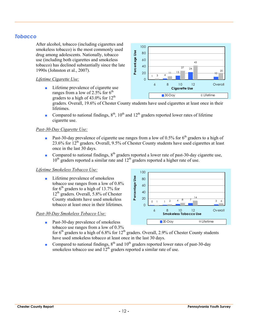#### *Tobacco*

After alcohol, tobacco (including cigarettes and smokeless tobacco) is the most commonly used drug among adolescents. Nationally, tobacco use (including both cigarettes and smokeless tobacco) has declined substantially since the late 1990s (Johnston et al., 2007).

#### *Lifetime Cigarette Use:*

■ Lifetime prevalence of cigarette use ranges from a low of 2.5% for  $6<sup>th</sup>$ graders to a high of  $43.0\%$  for  $12<sup>th</sup>$ 



graders. Overall, 19.6% of Chester County students have used cigarettes at least once in their lifetimes.

■ Compared to national findings,  $8<sup>th</sup>$ ,  $10<sup>th</sup>$  and  $12<sup>th</sup>$  graders reported lower rates of lifetime cigarette use.

#### *Past-30-Day Cigarette Use:*

- **Past-30-day prevalence of cigarette use ranges from a low of 0.5% for 6<sup>th</sup> graders to a high of** 23.6% for  $12^{th}$  graders. Overall, 9.5% of Chester County students have used cigarettes at least once in the last 30 days.
- Compared to national findings,  $8<sup>th</sup>$  graders reported a lower rate of past-30-day cigarette use,  $10<sup>th</sup>$  graders reported a similar rate and  $12<sup>th</sup>$  graders reported a higher rate of use.

#### *Lifetime Smokeless Tobacco Use:*

■ Lifetime prevalence of smokeless tobacco use ranges from a low of 0.8% for  $6<sup>th</sup>$  graders to a high of 13.7% for  $12<sup>th</sup>$  graders. Overall, 5.8% of Chester County students have used smokeless tobacco at least once in their lifetimes.

#### *Past-30-Day Smokeless Tobacco Use:*

■ Past-30-day prevalence of smokeless tobacco use ranges from a low of 0.3%

100 Percentage Use **Percentage Use** 80 60 40 20 0 1 <sup>4</sup> <sup>7</sup> <sup>3</sup> <sup>1</sup> <sup>2</sup> <sup>8</sup> <sup>14</sup> 6  $\overline{O}$ 6 8 10 12 Overall **Smokeless Tobacco Use** ■ 30-Day Welfetime

- for  $6<sup>th</sup>$  graders to a high of 6.8% for 12<sup>th</sup> graders. Overall, 2.9% of Chester County students have used smokeless tobacco at least once in the last 30 days.
- Compared to national findings,  $8<sup>th</sup>$  and  $10<sup>th</sup>$  graders reported lower rates of past-30-day smokeless tobacco use and  $12<sup>th</sup>$  graders reported a similar rate of use.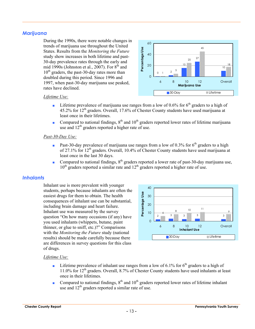#### *Marijuana*

During the 1990s, there were notable changes in trends of marijuana use throughout the United States. Results from the *Monitoring the Future* study show increases in both lifetime and past-30-day prevalence rates through the early and mid 1990s (Johnston et al., 2007). For  $8<sup>th</sup>$  and  $10^{th}$  graders, the past-30-day rates more than doubled during this period. Since 1996 and 1997, when past-30-day marijuana use peaked, rates have declined.



#### *Lifetime Use:*

- **•** Lifetime prevalence of marijuana use ranges from a low of 0.6% for  $6<sup>th</sup>$  graders to a high of  $45.2\%$  for  $12<sup>th</sup>$  graders. Overall, 17.6% of Chester County students have used marijuana at least once in their lifetimes.
- Compared to national findings,  $8<sup>th</sup>$  and  $10<sup>th</sup>$  graders reported lower rates of lifetime marijuana use and 12<sup>th</sup> graders reported a higher rate of use.

#### *Past-30-Day Use:*

- **•** Past-30-day prevalence of marijuana use ranges from a low of 0.3% for 6<sup>th</sup> graders to a high of 27.1% for 12<sup>th</sup> graders. Overall, 10.4% of Chester County students have used marijuana at least once in the last 30 days.
- Compared to national findings,  $8<sup>th</sup>$  graders reported a lower rate of past-30-day marijuana use,  $10<sup>th</sup>$  graders reported a similar rate and  $12<sup>th</sup>$  graders reported a higher rate of use.

#### *Inhalants*

Inhalant use is more prevalent with younger students, perhaps because inhalants are often the easiest drugs for them to obtain. The health consequences of inhalant use can be substantial, including brain damage and heart failure. Inhalant use was measured by the survey question "On how many occasions (if any) have you used inhalants (whippets, butane, paint thinner, or glue to sniff, etc.)?" Comparisons with the *Monitoring the Future* study (national results) should be made carefully because there are differences in survey questions for this class of drugs.



#### *Lifetime Use:*

- **•** Lifetime prevalence of inhalant use ranges from a low of 6.1% for  $6<sup>th</sup>$  graders to a high of  $11.0\%$  for  $12<sup>th</sup>$  graders. Overall, 8.7% of Chester County students have used inhalants at least once in their lifetimes.
- Compared to national findings,  $8<sup>th</sup>$  and  $10<sup>th</sup>$  graders reported lower rates of lifetime inhalant use and  $12<sup>th</sup>$  graders reported a similar rate of use.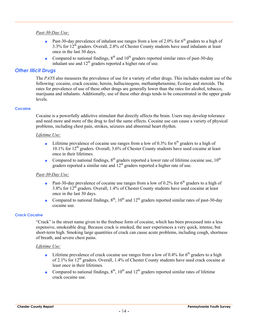#### *Past-30-Day Use:*

- **•** Past-30-day prevalence of inhalant use ranges from a low of 2.0% for  $6<sup>th</sup>$  graders to a high of 3.3% for 12th graders. Overall, 2.8% of Chester County students have used inhalants at least once in the last 30 days.
- Compared to national findings,  $8<sup>th</sup>$  and  $10<sup>th</sup>$  graders reported similar rates of past-30-day inhalant use and  $12<sup>th</sup>$  graders reported a higher rate of use.

#### *Other Illicit Drugs*

The *PAYS* also measures the prevalence of use for a variety of other drugs. This includes student use of the following: cocaine, crack cocaine, heroin, hallucinogens, methamphetamine, Ecstasy and steroids. The rates for prevalence of use of these other drugs are generally lower than the rates for alcohol, tobacco, marijuana and inhalants. Additionally, use of these other drugs tends to be concentrated in the upper grade levels.

#### **Cocaine**

Cocaine is a powerfully addictive stimulant that directly affects the brain. Users may develop tolerance and need more and more of the drug to feel the same effects. Cocaine use can cause a variety of physical problems, including chest pain, strokes, seizures and abnormal heart rhythm.

#### *Lifetime Use:*

- **•** Lifetime prevalence of cocaine use ranges from a low of 0.3% for  $6<sup>th</sup>$  graders to a high of 10.1% for 12th graders. Overall, 3.6% of Chester County students have used cocaine at least once in their lifetimes.
- Compared to national findings,  $8<sup>th</sup>$  graders reported a lower rate of lifetime cocaine use,  $10<sup>th</sup>$ graders reported a similar rate and 12<sup>th</sup> graders reported a higher rate of use.

#### *Past-30-Day Use:*

- **•** Past-30-day prevalence of cocaine use ranges from a low of 0.2% for  $6<sup>th</sup>$  graders to a high of 3.8% for 12th graders. Overall, 1.4% of Chester County students have used cocaine at least once in the last 30 days.
- Compared to national findings,  $8<sup>th</sup>$ ,  $10<sup>th</sup>$  and  $12<sup>th</sup>$  graders reported similar rates of past-30-day cocaine use.

#### **Crack Cocaine**

"Crack" is the street name given to the freebase form of cocaine, which has been processed into a less expensive, smokeable drug. Because crack is smoked, the user experiences a very quick, intense, but short-term high. Smoking large quantities of crack can cause acute problems, including cough, shortness of breath, and severe chest pains.

#### *Lifetime Use:*

- **•** Lifetime prevalence of crack cocaine use ranges from a low of 0.4% for  $6<sup>th</sup>$  graders to a high of 2.1% for 12<sup>th</sup> graders. Overall, 1.4% of Chester County students have used crack cocaine at least once in their lifetimes.
- Compared to national findings,  $8<sup>th</sup>$ ,  $10<sup>th</sup>$  and  $12<sup>th</sup>$  graders reported similar rates of lifetime crack cocaine use.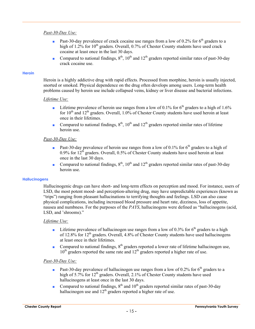#### *Past-30-Day Use:*

- **•** Past-30-day prevalence of crack cocaine use ranges from a low of 0.2% for  $6<sup>th</sup>$  graders to a high of  $1.2\%$  for  $10^{th}$  graders. Overall, 0.7% of Chester County students have used crack cocaine at least once in the last 30 days.
- Compared to national findings,  $8<sup>th</sup>$ ,  $10<sup>th</sup>$  and  $12<sup>th</sup>$  graders reported similar rates of past-30-day crack cocaine use.

#### **Heroin**

Heroin is a highly addictive drug with rapid effects. Processed from morphine, heroin is usually injected, snorted or smoked. Physical dependence on the drug often develops among users. Long-term health problems caused by heroin use include collapsed veins, kidney or liver disease and bacterial infections.

#### *Lifetime Use:*

- **•** Lifetime prevalence of heroin use ranges from a low of 0.1% for  $6<sup>th</sup>$  graders to a high of 1.6% for  $10<sup>th</sup>$  and  $12<sup>th</sup>$  graders. Overall,  $1.0\%$  of Chester County students have used heroin at least once in their lifetimes.
- Compared to national findings,  $8<sup>th</sup>$ ,  $10<sup>th</sup>$  and  $12<sup>th</sup>$  graders reported similar rates of lifetime heroin use.

#### *Past-30-Day Use:*

- **•** Past-30-day prevalence of heroin use ranges from a low of 0.1% for  $6<sup>th</sup>$  graders to a high of 0.9% for  $12<sup>th</sup>$  graders. Overall, 0.5% of Chester County students have used heroin at least once in the last 30 days.
- Compared to national findings,  $8<sup>th</sup>$ ,  $10<sup>th</sup>$  and  $12<sup>th</sup>$  graders reported similar rates of past-30-day heroin use.

#### **Hallucinogens**

Hallucinogenic drugs can have short- and long-term effects on perception and mood. For instance, users of LSD, the most potent mood- and perception-altering drug, may have unpredictable experiences (known as "trips") ranging from pleasant hallucinations to terrifying thoughts and feelings. LSD can also cause physical complications, including increased blood pressure and heart rate, dizziness, loss of appetite, nausea and numbness. For the purposes of the *PAYS*, hallucinogens were defined as "hallucinogens (acid, LSD, and 'shrooms)."

#### *Lifetime Use:*

- **•** Lifetime prevalence of hallucinogen use ranges from a low of 0.3% for  $6<sup>th</sup>$  graders to a high of 12.8% for 12<sup>th</sup> graders. Overall, 4.8% of Chester County students have used hallucinogens at least once in their lifetimes.
- Compared to national findings,  $8<sup>th</sup>$  graders reported a lower rate of lifetime hallucinogen use,  $10<sup>th</sup>$  graders reported the same rate and  $12<sup>th</sup>$  graders reported a higher rate of use.

#### *Past-30-Day Use:*

- **•** Past-30-day prevalence of hallucinogen use ranges from a low of 0.2% for  $6<sup>th</sup>$  graders to a high of 5.7% for 12<sup>th</sup> graders. Overall, 2.1% of Chester County students have used hallucinogens at least once in the last 30 days.
- Compared to national findings,  $8<sup>th</sup>$  and  $10<sup>th</sup>$  graders reported similar rates of past-30-day hallucinogen use and  $12<sup>th</sup>$  graders reported a higher rate of use.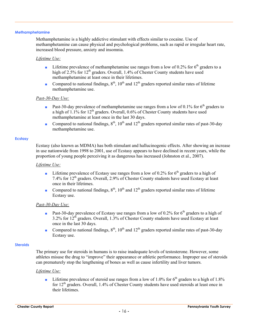#### **Methamphetamine**

Methamphetamine is a highly addictive stimulant with effects similar to cocaine. Use of methamphetamine can cause physical and psychological problems, such as rapid or irregular heart rate, increased blood pressure, anxiety and insomnia.

#### *Lifetime Use:*

- **•** Lifetime prevalence of methamphetamine use ranges from a low of 0.2% for  $6<sup>th</sup>$  graders to a high of 2.5% for 12<sup>th</sup> graders. Overall, 1.4% of Chester County students have used methamphetamine at least once in their lifetimes.
- Compared to national findings,  $8<sup>th</sup>$ ,  $10<sup>th</sup>$  and  $12<sup>th</sup>$  graders reported similar rates of lifetime methamphetamine use.

#### *Past-30-Day Use:*

- **•** Past-30-day prevalence of methamphetamine use ranges from a low of 0.1% for  $6<sup>th</sup>$  graders to a high of  $1.1\%$  for  $12<sup>th</sup>$  graders. Overall, 0.6% of Chester County students have used methamphetamine at least once in the last 30 days.
- Compared to national findings,  $8<sup>th</sup>$ ,  $10<sup>th</sup>$  and  $12<sup>th</sup>$  graders reported similar rates of past-30-day methamphetamine use.

#### **Ecstasy**

Ecstasy (also known as MDMA) has both stimulant and hallucinogenic effects. After showing an increase in use nationwide from 1998 to 2001, use of Ecstasy appears to have declined in recent years, while the proportion of young people perceiving it as dangerous has increased (Johnston et al., 2007).

#### *Lifetime Use:*

- **•** Lifetime prevalence of Ecstasy use ranges from a low of 0.2% for  $6<sup>th</sup>$  graders to a high of 7.4% for 12th graders. Overall, 2.9% of Chester County students have used Ecstasy at least once in their lifetimes.
- Compared to national findings,  $8<sup>th</sup>$ ,  $10<sup>th</sup>$  and  $12<sup>th</sup>$  graders reported similar rates of lifetime Ecstasy use.

#### *Past-30-Day Use:*

- **•** Past-30-day prevalence of Ecstasy use ranges from a low of 0.2% for  $6<sup>th</sup>$  graders to a high of  $3.2\%$  for  $12<sup>th</sup>$  graders. Overall,  $1.3\%$  of Chester County students have used Ecstasy at least once in the last 30 days.
- Compared to national findings,  $8<sup>th</sup>$ ,  $10<sup>th</sup>$  and  $12<sup>th</sup>$  graders reported similar rates of past-30-day Ecstasy use.

#### **Steroids**

The primary use for steroids in humans is to raise inadequate levels of testosterone. However, some athletes misuse the drug to "improve" their appearance or athletic performance. Improper use of steroids can prematurely stop the lengthening of bones as well as cause infertility and liver tumors.

#### *Lifetime Use:*

**•** Lifetime prevalence of steroid use ranges from a low of 1.0% for  $6<sup>th</sup>$  graders to a high of 1.8% for  $12<sup>th</sup>$  graders. Overall, 1.4% of Chester County students have used steroids at least once in their lifetimes.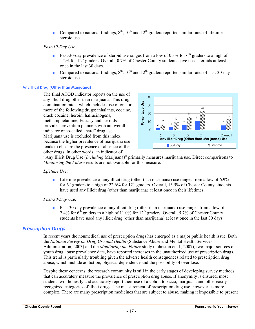■ Compared to national findings,  $8<sup>th</sup>$ ,  $10<sup>th</sup>$  and  $12<sup>th</sup>$  graders reported similar rates of lifetime steroid use.

#### *Past-30-Day Use:*

- **Past-30-day prevalence of steroid use ranges from a low of 0.3% for 6<sup>th</sup> graders to a high of** 1.2% for  $12^{th}$  graders. Overall, 0.7% of Chester County students have used steroids at least once in the last 30 days.
- Compared to national findings,  $8<sup>th</sup>$ ,  $10<sup>th</sup>$  and  $12<sup>th</sup>$  graders reported similar rates of past-30-day steroid use.

#### **Any Illicit Drug (Other than Marijuana)**

The final ATOD indicator reports on the use of any illicit drug other than marijuana. This drug combination rate—which includes use of one or more of the following drugs: inhalants, cocaine, crack cocaine, heroin, hallucinogens, methamphetamine, Ecstasy and steroids provides prevention planners with an overall indicator of so-called "hard" drug use. Marijuana use is excluded from this index because the higher prevalence of marijuana use tends to obscure the presence or absence of the other drugs. In other words, an indicator of



"Any Illicit Drug Use (*Including* Marijuana)" primarily measures marijuana use. Direct comparisons to *Monitoring the Future* results are not available for this measure.

#### *Lifetime Use:*

**•** Lifetime prevalence of any illicit drug (other than marijuana) use ranges from a low of  $6.9\%$ for  $6<sup>th</sup>$  graders to a high of 22.6% for 12<sup>th</sup> graders. Overall, 13.5% of Chester County students have used any illicit drug (other than marijuana) at least once in their lifetimes.

#### *Past-30-Day Use:*

■ Past-30-day prevalence of any illicit drug (other than marijuana) use ranges from a low of 2.4% for  $6<sup>th</sup>$  graders to a high of 11.0% for 12<sup>th</sup> graders. Overall, 5.7% of Chester County students have used any illicit drug (other than marijuana) at least once in the last 30 days.

#### *Prescription Drugs*

In recent years the nonmedical use of prescription drugs has emerged as a major public health issue. Both the *National Survey on Drug Use and Health* (Substance Abuse and Mental Health Services Administration, 2003) and the *Monitoring the Future* study (Johnston et al., 2007), two major sources of youth drug abuse prevalence data, have reported increases in the unauthorized use of prescription drugs. This trend is particularly troubling given the adverse health consequences related to prescription drug abuse, which include addiction, physical dependence and the possibility of overdose.

Despite these concerns, the research community is still in the early stages of developing survey methods that can accurately measure the prevalence of prescription drug abuse. If anonymity is ensured, most students will honestly and accurately report their use of alcohol, tobacco, marijuana and other easily recognized categories of illicit drugs. The measurement of prescription drug use, however, is more complex. There are many prescription medicines that are subject to abuse, making it impossible to present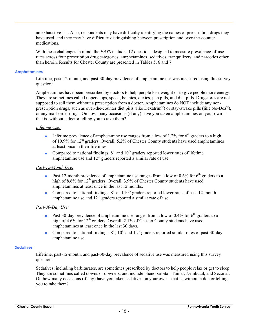an exhaustive list. Also, respondents may have difficulty identifying the names of prescription drugs they have used, and they may have difficulty distinguishing between prescription and over-the-counter medications.

With these challenges in mind, the *PAYS* includes 12 questions designed to measure prevalence-of-use rates across four prescription drug categories: amphetamines, sedatives, tranquilizers, and narcotics other than heroin. Results for Chester County are presented in Tables 5, 6 and 7.

#### **Amphetamines**

Lifetime, past-12-month, and past-30-day prevalence of amphetamine use was measured using this survey question:

Amphetamines have been prescribed by doctors to help people lose weight or to give people more energy. They are sometimes called uppers, ups, speed, bennies, dexies, pep pills, and diet pills. Drugstores are not supposed to sell them without a prescription from a doctor. Amphetamines do NOT include any nonprescription drugs, such as over-the-counter diet pills (like Dexatrim<sup>®</sup>) or stay-awake pills (like No-Doz<sup>®</sup>), or any mail-order drugs. On how many occasions (if any) have you taken amphetamines on your own that is, without a doctor telling you to take them?

#### *Lifetime Use:*

- **•** Lifetime prevalence of amphetamine use ranges from a low of 1.2% for  $6<sup>th</sup>$  graders to a high of 10.9% for  $12<sup>th</sup>$  graders. Overall, 5.2% of Chester County students have used amphetamines at least once in their lifetimes.
- Compared to national findings,  $8<sup>th</sup>$  and  $10<sup>th</sup>$  graders reported lower rates of lifetime amphetamine use and  $12<sup>th</sup>$  graders reported a similar rate of use.

#### *Past-12-Month Use:*

- **•** Past-12-month prevalence of amphetamine use ranges from a low of 0.6% for 6<sup>th</sup> graders to a high of 8.6% for 12<sup>th</sup> graders. Overall, 3.9% of Chester County students have used amphetamines at least once in the last 12 months.
- Compared to national findings,  $8<sup>th</sup>$  and  $10<sup>th</sup>$  graders reported lower rates of past-12-month amphetamine use and  $12<sup>th</sup>$  graders reported a similar rate of use.

#### *Past-30-Day Use:*

- **•** Past-30-day prevalence of amphetamine use ranges from a low of 0.4% for 6<sup>th</sup> graders to a high of 4.6% for  $12<sup>th</sup>$  graders. Overall, 2.1% of Chester County students have used amphetamines at least once in the last 30 days.
- Compared to national findings,  $8<sup>th</sup>$ ,  $10<sup>th</sup>$  and  $12<sup>th</sup>$  graders reported similar rates of past-30-day amphetamine use.

#### **Sedatives**

Lifetime, past-12-month, and past-30-day prevalence of sedative use was measured using this survey question:

Sedatives, including barbiturates, are sometimes prescribed by doctors to help people relax or get to sleep. They are sometimes called downs or downers, and include phenobarbital, Tuinal, Nembutal, and Seconal. On how many occasions (if any) have you taken sedatives on your own—that is, without a doctor telling you to take them?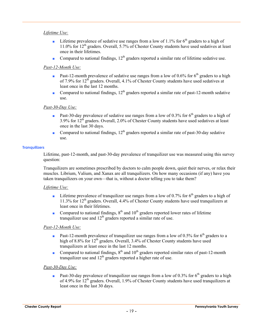#### *Lifetime Use:*

- **•** Lifetime prevalence of sedative use ranges from a low of 1.1% for  $6<sup>th</sup>$  graders to a high of 11.0% for  $12^{th}$  graders. Overall, 5.7% of Chester County students have used sedatives at least once in their lifetimes.
- Compared to national findings,  $12<sup>th</sup>$  graders reported a similar rate of lifetime sedative use.

#### *Past-12-Month Use:*

- **•** Past-12-month prevalence of sedative use ranges from a low of 0.6% for  $6<sup>th</sup>$  graders to a high of 7.9% for  $12<sup>th</sup>$  graders. Overall, 4.1% of Chester County students have used sedatives at least once in the last 12 months.
- Compared to national findings,  $12<sup>th</sup>$  graders reported a similar rate of past-12-month sedative use.

#### *Past-30-Day Use:*

- **•** Past-30-day prevalence of sedative use ranges from a low of 0.3% for  $6<sup>th</sup>$  graders to a high of 3.9% for 12th graders. Overall, 2.0% of Chester County students have used sedatives at least once in the last 30 days.
- Compared to national findings,  $12<sup>th</sup>$  graders reported a similar rate of past-30-day sedative use.

#### **Tranquilizers**

Lifetime, past-12-month, and past-30-day prevalence of tranquilizer use was measured using this survey question:

Tranquilizers are sometimes prescribed by doctors to calm people down, quiet their nerves, or relax their muscles. Librium, Valium, and Xanax are all tranquilizers. On how many occasions (if any) have you taken tranquilizers on your own—that is, without a doctor telling you to take them?

#### *Lifetime Use:*

- **•** Lifetime prevalence of tranquilizer use ranges from a low of 0.7% for  $6<sup>th</sup>$  graders to a high of 11.3% for 12<sup>th</sup> graders. Overall, 4.4% of Chester County students have used tranquilizers at least once in their lifetimes.
- Compared to national findings,  $8<sup>th</sup>$  and  $10<sup>th</sup>$  graders reported lower rates of lifetime tranquilizer use and  $12<sup>th</sup>$  graders reported a similar rate of use.

#### *Past-12-Month Use:*

- **•** Past-12-month prevalence of tranquilizer use ranges from a low of 0.5% for 6<sup>th</sup> graders to a high of 8.8% for 12<sup>th</sup> graders. Overall, 3.4% of Chester County students have used tranquilizers at least once in the last 12 months.
- Compared to national findings,  $8<sup>th</sup>$  and  $10<sup>th</sup>$  graders reported similar rates of past-12-month tranquilizer use and  $12<sup>th</sup>$  graders reported a higher rate of use.

#### *Past-30-Day Use:*

**Past-30-day prevalence of tranquilizer use ranges from a low of 0.3% for 6<sup>th</sup> graders to a high** of 4.9% for  $12<sup>th</sup>$  graders. Overall, 1.9% of Chester County students have used tranquilizers at least once in the last 30 days.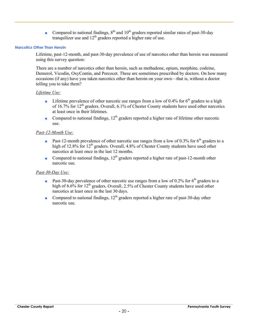■ Compared to national findings,  $8<sup>th</sup>$  and  $10<sup>th</sup>$  graders reported similar rates of past-30-day tranquilizer use and  $12<sup>th</sup>$  graders reported a higher rate of use.

#### **Narcotics Other Than Heroin**

Lifetime, past-12-month, and past-30-day prevalence of use of narcotics other than heroin was measured using this survey question:

There are a number of narcotics other than heroin, such as methadone, opium, morphine, codeine, Demerol, Vicodin, OxyContin, and Percocet. These are sometimes prescribed by doctors. On how many occasions (if any) have you taken narcotics other than heroin on your own—that is, without a doctor telling you to take them?

#### *Lifetime Use:*

- **■** Lifetime prevalence of other narcotic use ranges from a low of 0.4% for  $6<sup>th</sup>$  graders to a high of  $16.7\%$  for  $12<sup>th</sup>$  graders. Overall, 6.1% of Chester County students have used other narcotics at least once in their lifetimes.
- Compared to national findings,  $12<sup>th</sup>$  graders reported a higher rate of lifetime other narcotic use.

#### *Past-12-Month Use:*

- **Past-12-month prevalence of other narcotic use ranges from a low of 0.3% for 6<sup>th</sup> graders to a** high of 12.8% for 12<sup>th</sup> graders. Overall, 4.8% of Chester County students have used other narcotics at least once in the last 12 months.
- Compared to national findings,  $12<sup>th</sup>$  graders reported a higher rate of past-12-month other narcotic use.

#### *Past-30-Day Use:*

- **Past-30-day prevalence of other narcotic use ranges from a low of 0.2% for 6<sup>th</sup> graders to a** high of  $6.6\%$  for  $12<sup>th</sup>$  graders. Overall, 2.5% of Chester County students have used other narcotics at least once in the last 30 days.
- Compared to national findings,  $12<sup>th</sup>$  graders reported a higher rate of past-30-day other narcotic use.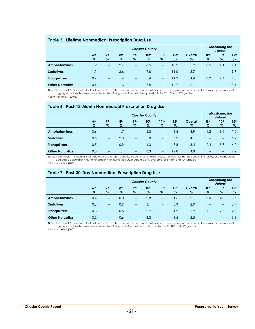#### **Table 5. Lifetime Nonmedical Prescription Drug Use**

|                        |                         | <b>Monitoring the</b><br>Future <sup>1</sup> |                         |                                       |                          |                          |                          |                 |                          |                          |                       |
|------------------------|-------------------------|----------------------------------------------|-------------------------|---------------------------------------|--------------------------|--------------------------|--------------------------|-----------------|--------------------------|--------------------------|-----------------------|
|                        | 6 <sup>th</sup><br>$\%$ | 7 <sup>th</sup><br>$\%$                      | 8 <sup>th</sup><br>$\%$ | 9 <sub>th</sub><br>$\%$               | 10 <sup>th</sup><br>$\%$ | 11 <sup>th</sup><br>$\%$ | 12 <sup>th</sup><br>$\%$ | Overall<br>$\%$ | 8 <sup>th</sup><br>$\%$  | 10 <sup>th</sup><br>$\%$ | 12 <sup>th</sup><br>% |
| <b>Amphetamines</b>    | 1.2                     | $\hspace{0.05cm} \dashv$                     | 2.7                     | $\overline{\phantom{a}}$              | 6.5                      | $\overline{\phantom{a}}$ | 10.9                     | 5.2             | 6.5                      | l 1.1                    | 11.4                  |
| <b>Sedatives</b>       | 1.1                     | $\hspace{0.05cm} \ldots$                     | 3.6                     | $\overline{\phantom{a}}$              | 7.8                      | $\overline{\phantom{a}}$ | 1.0                      | 5.7             | $\overline{\phantom{a}}$ | $-$                      | 9.3                   |
| <b>Tranquilizers</b>   | 0.7                     | $\overline{\phantom{m}}$                     | $\mathsf{I}$ .4         | $\hspace{0.05cm}$ – $\hspace{0.05cm}$ | 5.4                      | $\overline{\phantom{m}}$ | 11.3                     | 4.4             | 3.9                      | 7.4                      | 9.5                   |
| <b>Other Narcotics</b> | 0.4                     | $\qquad \qquad -$                            | $\overline{1.3}$        | $\hspace{0.05cm}$                     | 7.8                      | $\overline{\phantom{a}}$ | 16.7                     | 6.              | $\qquad \qquad -$        | $-$                      | 13.1                  |

Note: The symbol "--" indicates that data are not available because students were not surveyed, the drug was not included in the survey, or a comparable<br>aggregate calculation was not available. Monitoring the Future data i 1 Johnston et al., (2007).

### **Table 6. Past-12-Month Nonmedical Prescription Drug Use**

|                        | <b>Chester County</b>   |                         |                         |                          |                          |                          |                          |                 |                         |                          |                          |  |  |
|------------------------|-------------------------|-------------------------|-------------------------|--------------------------|--------------------------|--------------------------|--------------------------|-----------------|-------------------------|--------------------------|--------------------------|--|--|
|                        | 6 <sup>th</sup><br>$\%$ | 7 <sup>th</sup><br>$\%$ | 8 <sup>th</sup><br>$\%$ | 9 <sub>th</sub><br>$\%$  | 10 <sup>th</sup><br>$\%$ | 11 <sup>th</sup><br>$\%$ | 12 <sup>th</sup><br>$\%$ | Overall<br>$\%$ | 8 <sup>th</sup><br>$\%$ | 10 <sup>th</sup><br>$\%$ | 12 <sup>th</sup><br>$\%$ |  |  |
| <b>Amphetamines</b>    | 0.6                     | $\hspace{0.05cm}$       | $\overline{.7}$         | $--$                     | 5.3                      | $-$                      | 8.6                      | 3.9             | 4.2                     | 8.0                      | 7.5                      |  |  |
| <b>Sedatives</b>       | 0.6                     | $-$                     | 2.3                     | $\equiv$                 | 5.8                      | $\qquad \qquad -$        | 7.9                      | 4.1             | --                      | $\hspace{0.05cm}$        | 6.2                      |  |  |
| <b>Tranquilizers</b>   | 0.5                     | $--$                    | 0.9                     | $\overline{\phantom{a}}$ | 4.3                      | $\equiv$                 | 8.8                      | 3.4             | 2.4                     | 5.3                      | 6.2                      |  |  |
| <b>Other Narcotics</b> | 0.3                     | $\qquad \qquad -$       | 1.1                     | $\hspace{0.05cm} \dashv$ | 6.3                      | $-$                      | 12.8                     | 4.8             | --                      | $\hspace{0.05cm}$        | 9.2                      |  |  |

Note: The symbol "--" indicates that data are not available because students were not surveyed, the drug was not included in the survey, or a comparable aggregate calculation was not available. *Monitoring the Future* data are only available for 8th, 10th and 12th graders.

<sup>1</sup> Johnston et al. (2007).

#### **Table 7. Past-30-Day Nonmedical Prescription Drug Use**

|                        | <b>Monitoring the</b><br>Future <sup>1</sup> |                         |                         |                         |                          |                          |                          |              |                         |                          |                          |  |  |
|------------------------|----------------------------------------------|-------------------------|-------------------------|-------------------------|--------------------------|--------------------------|--------------------------|--------------|-------------------------|--------------------------|--------------------------|--|--|
|                        | 6 <sup>th</sup><br>$\%$                      | 7 <sup>th</sup><br>$\%$ | 8 <sup>th</sup><br>$\%$ | 9 <sub>th</sub><br>$\%$ | 10 <sup>th</sup><br>$\%$ | 11 <sup>th</sup><br>$\%$ | 12 <sup>th</sup><br>$\%$ | Overall<br>% | 8 <sup>th</sup><br>$\%$ | 10 <sup>th</sup><br>$\%$ | 12 <sup>th</sup><br>$\%$ |  |  |
| <b>Amphetamines</b>    | 0.4                                          | $-$                     | 0.8                     | $-$                     | 2.8                      | $-$                      | 4.6                      | 2.1          | 2.0                     | 4.0                      | 3.7                      |  |  |
| <b>Sedatives</b>       | 0.3                                          | $--$                    | 0.9                     | $\qquad \qquad -$       | 3.1                      | $\equiv$                 | 3.9                      | 2.0          | $- -$                   | $\qquad \qquad \qquad -$ | 2.7                      |  |  |
| <b>Tranquilizers</b>   | 0.3                                          | --                      | 0.5                     | $\equiv$                | 2.2                      | $\equiv$                 | 4.9                      | 1.9          | $\overline{1}$ .        | 2.6                      | 2.6                      |  |  |
| <b>Other Narcotics</b> | 0.2                                          | --                      | 0.6                     | $\hspace{0.05cm}$       | 3.3                      | $- -$                    | 6.6                      | 2.5          | $- -$                   | $- -$                    | 3.8                      |  |  |

Note: The symbol "--" indicates that data are not available because students were not surveyed, the drug was not included in the survey, or a comparable<br>aggregate calculation was not available. Monitoring the Future data a

1 Johnston et al. (2007).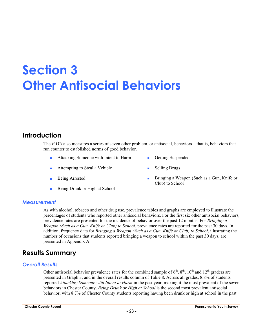## **Section 3 Other Antisocial Behaviors**

## **Introduction**

The *PAYS* also measures a series of seven other problem, or antisocial, behaviors—that is, behaviors that run counter to established norms of good behavior.

- Attacking Someone with Intent to Harm **Busended** Getting Suspended
- Attempting to Steal a Vehicle Selling Drugs
- 
- Being Drunk or High at School
- 
- 
- Being Arrested **Bringing a Weapon (Such as a Gun, Knife or** Club) to School

#### *Measurement*

As with alcohol, tobacco and other drug use, prevalence tables and graphs are employed to illustrate the percentages of students who reported other antisocial behaviors. For the first six other antisocial behaviors, prevalence rates are presented for the incidence of behavior over the past 12 months. For *Bringing a Weapon (Such as a Gun, Knife or Club) to School*, prevalence rates are reported for the past 30 days. In addition, frequency data for *Bringing a Weapon (Such as a Gun, Knife or Club) to School*, illustrating the number of occasions that students reported bringing a weapon to school within the past 30 days, are presented in Appendix A.

## **Results Summary**

#### *Overall Results*

Other antisocial behavior prevalence rates for the combined sample of  $6<sup>th</sup>$ ,  $8<sup>th</sup>$ ,  $10<sup>th</sup>$  and  $12<sup>th</sup>$  graders are presented in Graph 3, and in the overall results column of Table 8. Across all grades, 8.8% of students reported *Attacking Someone with Intent to Harm* in the past year, making it the most prevalent of the seven behaviors in Chester County. *Being Drunk or High at School* is the second most prevalent antisocial behavior, with 8.7% of Chester County students reporting having been drunk or high at school in the past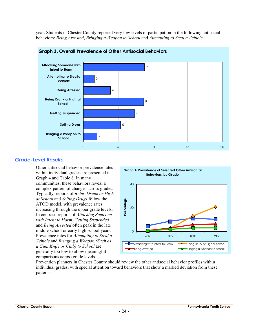year. Students in Chester County reported very low levels of participation in the following antisocial behaviors: *Being Arrested*, *Bringing a Weapon to School* and *Attempting to Steal a Vehicle*.



#### **Graph 3. Overall Prevalence of Other Antisocial Behaviors**

#### *Grade-Level Results*

Other antisocial behavior prevalence rates within individual grades are presented in Graph 4 and Table 8. In many communities, these behaviors reveal a complex pattern of changes across grades. Typically, reports of *Being Drunk or High at School* and *Selling Drugs* follow the ATOD model, with prevalence rates increasing through the upper grade levels. In contrast, reports of *Attacking Someone with Intent to Harm*, *Getting Suspended* and *Being Arrested* often peak in the late middle school or early high school years. Prevalence rates for *Attempting to Steal a Vehicle* and *Bringing a Weapon (Such as a Gun, Knife or Club) to School* are generally too low to allow meaningful comparisons across grade levels.



Prevention planners in Chester County should review the other antisocial behavior profiles within individual grades, with special attention toward behaviors that show a marked deviation from these patterns.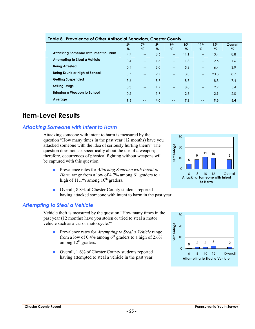| Table 8. Prevalence of Other Antisocial Benaviors, Chester County |                 |                   |                 |                   |                  |                          |                  |         |  |  |
|-------------------------------------------------------------------|-----------------|-------------------|-----------------|-------------------|------------------|--------------------------|------------------|---------|--|--|
|                                                                   | 6 <sup>th</sup> | 7 <sup>th</sup>   | 8 <sup>th</sup> | 9 <sub>th</sub>   | 10 <sup>th</sup> | 11 <sup>th</sup>         | 12 <sup>th</sup> | Overall |  |  |
|                                                                   | %               | $\%$              | %               | %                 | %                | $\%$                     | $\%$             | %       |  |  |
| Attacking Someone with Intent to Harm                             | 4.7             | $-$               | 8.6             | $-$               | 11.1             | $\overline{\phantom{a}}$ | 10.4             | 8.8     |  |  |
| Attempting to Steal a Vehicle                                     | 0.4             | $-$               | 1.5             | $- -$             | 1.8              | $\overline{\phantom{a}}$ | 2.6              | 1.6     |  |  |
| <b>Being Arrested</b>                                             | 0.4             | $\qquad \qquad -$ | 3.0             | $\qquad \qquad -$ | 5.6              | $\overline{\phantom{a}}$ | 6.4              | 3.9     |  |  |
| Being Drunk or High at School                                     | 0.7             | $\overline{a}$    | 2.7             | $\qquad \qquad -$ | 13.0             | $\overline{\phantom{a}}$ | 20.8             | 8.7     |  |  |
| <b>Getting Suspended</b>                                          | 3.6             | $\qquad \qquad -$ | 8.7             | $\qquad \qquad -$ | 8.3              | $\overline{\phantom{a}}$ | 8.8              | 7.4     |  |  |
| <b>Selling Drugs</b>                                              | 0.3             | $\overline{a}$    | 1.7             | $\overline{a}$    | 8.0              | $\overline{\phantom{a}}$ | 12.9             | 5.4     |  |  |
| Bringing a Weapon to School                                       | 0.5             | $-$               | 1.7             | $\overline{a}$    | 2.8              | $-$                      | 2.9              | 2.0     |  |  |
| Average                                                           | 1.5             | $\sim$ $\sim$     | 4.0             | $\sim$ $-$        | 7.2              | $\sim$ $\sim$            | 9.3              | 5.4     |  |  |

#### **Table 8. Prevalence of Other Antisocial Behaviors, Chester County**

### **Item-Level Results**

#### *Attacking Someone with Intent to Harm*

Attacking someone with intent to harm is measured by the question "How many times in the past year (12 months) have you attacked someone with the idea of seriously hurting them?" The question does not ask specifically about the use of a weapon; therefore, occurrences of physical fighting without weapons will be captured with this question.

- Prevalence rates for *Attacking Someone with Intent to Harm* range from a low of 4.7% among  $6<sup>th</sup>$  graders to a high of 11.1% among  $10^{th}$  graders.
- Overall, 8.8% of Chester County students reported having attacked someone with intent to harm in the past year.

#### *Attempting to Steal a Vehicle*

Vehicle theft is measured by the question "How many times in the past year (12 months) have you stolen or tried to steal a motor vehicle such as a car or motorcycle?"

- Prevalence rates for *Attempting to Steal a Vehicle* range from a low of 0.4% among  $6<sup>th</sup>$  graders to a high of 2.6% among  $12<sup>th</sup>$  graders.
- Overall, 1.6% of Chester County students reported having attempted to steal a vehicle in the past year. **Attempting to Steal a Vehicle**



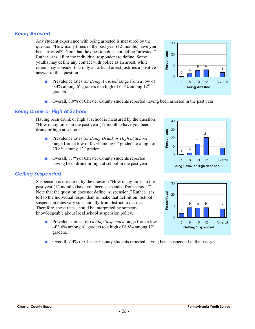### *Being Arrested*

Any student experience with being arrested is measured by the question "How many times in the past year (12 months) have you been arrested?" Note that the question does not define "arrested." Rather, it is left to the individual respondent to define. Some youths may define any contact with police as an arrest, while others may consider that only an official arrest justifies a positive answer to this question.

- Prevalence rates for *Being Arrested* range from a low of 0.4% among  $6<sup>th</sup>$  graders to a high of 6.4% among 12<sup>th</sup> graders.
- Overall, 3.9% of Chester County students reported having been arrested in the past year.

### *Being Drunk or High at School*

Having been drunk or high at school is measured by the question "How many times in the past year (12 months) have you been drunk or high at school?"

- Prevalence rates for *Being Drunk or High at School* range from a low of 0.7% among  $6<sup>th</sup>$  graders to a high of  $20.8\%$  among  $12<sup>th</sup>$  graders.
- Overall, 8.7% of Chester County students reported having been drunk or high at school in the past year.

#### *Getting Suspended*

Suspension is measured by the question "How many times in the past year (12 months) have you been suspended from school?" Note that the question does not define "suspension." Rather, it is left to the individual respondent to make that definition. School suspension rates vary substantially from district to district. Therefore, these rates should be interpreted by someone knowledgeable about local school suspension policy.

- Prevalence rates for *Getting Suspended* range from a low of 3.6% among  $6<sup>th</sup>$  graders to a high of 8.8% among 12<sup>th</sup> graders.
- Overall, 7.4% of Chester County students reported having been suspended in the past year.







30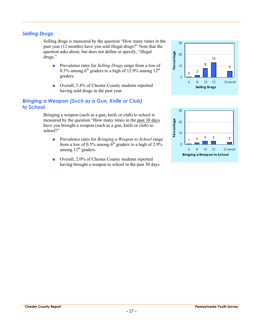#### *Selling Drugs*

Selling drugs is measured by the question "How many times in the past year (12 months) have you sold illegal drugs?" Note that the question asks about, but does not define or specify, "illegal drugs."

- Prevalence rates for *Selling Drugs* range from a low of 0.3% among  $6<sup>th</sup>$  graders to a high of 12.9% among 12<sup>th</sup> graders.
- Overall, 5.4% of Chester County students reported having sold drugs in the past year.

#### *Bringing a Weapon (Such as a Gun, Knife or Club) to School*

Bringing a weapon (such as a gun, knife or club) to school is measured by the question "How many times in the past 30 days have you brought a weapon (such as a gun, knife or club) to school?"

- Prevalence rates for *Bringing a Weapon to School* range from a low of 0.5% among  $6<sup>th</sup>$  graders to a high of 2.9% among  $12<sup>th</sup>$  graders.
- Overall, 2.0% of Chester County students reported having brought a weapon to school in the past 30 days.



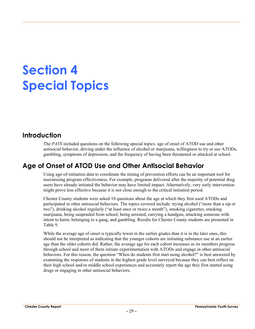## **Section 4 Special Topics**

## **Introduction**

The *PAYS* included questions on the following special topics: age of onset of ATOD use and other antisocial behavior, driving under the influence of alcohol or marijuana, willingness to try or use ATODs, gambling, symptoms of depression, and the frequency of having been threatened or attacked at school.

## **Age of Onset of ATOD Use and Other Antisocial Behavior**

Using age-of-initiation data to coordinate the timing of prevention efforts can be an important tool for maximizing program effectiveness. For example, programs delivered after the majority of potential drug users have already initiated the behavior may have limited impact. Alternatively, very early intervention might prove less effective because it is not close enough to the critical initiation period.

Chester County students were asked 10 questions about the age at which they first used ATODs and participated in other antisocial behaviors. The topics covered include: trying alcohol ("more than a sip or two"), drinking alcohol regularly ("at least once or twice a month"), smoking cigarettes, smoking marijuana, being suspended from school, being arrested, carrying a handgun, attacking someone with intent to harm, belonging to a gang, and gambling. Results for Chester County students are presented in Table 9.

While the average age of onset is typically lower in the earlier grades than it is in the later ones, this should not be interpreted as indicating that the younger cohorts are initiating substance use at an earlier age than the older cohorts did. Rather, the average age for each cohort increases as its members progress through school and more of them initiate experimentation with ATODs and engage in other antisocial behaviors. For this reason, the question "When do students first start using alcohol?" is best answered by examining the responses of students in the highest grade level surveyed because they can best reflect on their high school and/or middle school experiences and accurately report the age they first started using drugs or engaging in other antisocial behaviors.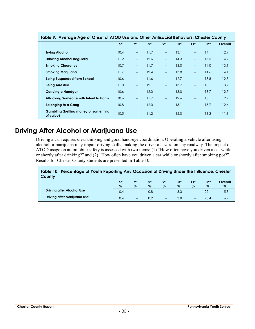| Table 9.  Average Age of Onsef of ATOD use and Offier Anfisocial Benaviors, Chester County |                 |                          |                 |                          |                  |                                       |                  |         |  |  |  |
|--------------------------------------------------------------------------------------------|-----------------|--------------------------|-----------------|--------------------------|------------------|---------------------------------------|------------------|---------|--|--|--|
|                                                                                            | 6 <sup>th</sup> | 7 <sup>th</sup>          | 8 <sup>th</sup> | 9 <sub>th</sub>          | 10 <sup>th</sup> | 11 <sup>th</sup>                      | 12 <sup>th</sup> | Overall |  |  |  |
| <b>Trying Alcohol</b>                                                                      | 10.4            | $\qquad \qquad -$        | 11.7            | $\overline{\phantom{a}}$ | 13.1             | $\overline{\phantom{a}}$              | 14.1             | 12.9    |  |  |  |
| <b>Drinking Alcohol Regularly</b>                                                          | 11.2            | $\overline{\phantom{a}}$ | 12.6            | $\overline{\phantom{a}}$ | 14.3             | $\overline{\phantom{a}}$              | 15.5             | 14.7    |  |  |  |
| <b>Smoking Cigarettes</b>                                                                  | 10.7            | $\overline{\phantom{a}}$ | 11.7            | $\overline{\phantom{a}}$ | 13.0             | $\overline{\phantom{a}}$              | 14.0             | 13.1    |  |  |  |
| <b>Smoking Marijuana</b>                                                                   | 11.7            | $\overline{\phantom{a}}$ | 12.4            | $\sim$                   | 13.8             | $\overline{\phantom{a}}$              | 14.6             | 14.1    |  |  |  |
| <b>Being Suspended from School</b>                                                         | 10.6            | $\qquad \qquad -$        | 11.6            | $\overline{\phantom{a}}$ | 12.7             | $\overline{\phantom{a}}$              | 13.8             | 12.5    |  |  |  |
| <b>Being Arrested</b>                                                                      | 11.0            | $\overline{\phantom{a}}$ | 12.1            | $\overline{\phantom{a}}$ | 13.7             | $\overline{\phantom{a}}$              | 15.1             | 13.9    |  |  |  |
| Carrying a Handgun                                                                         | 10.6            | $\overline{\phantom{a}}$ | 12.0            | $\hspace{0.05cm}$        | 13.0             | $\hspace{0.05cm}$ – $\hspace{0.05cm}$ | 13.7             | 12.7    |  |  |  |
| Attacking Someone with Intent to Harm                                                      | 10.6            | $\qquad \qquad -$        | 11.7            | $\hspace{0.05cm}$        | 12.6             | $\hspace{0.05cm}$ – $\hspace{0.05cm}$ | 13.1             | 12.2    |  |  |  |
| <b>Belonging to a Gang</b>                                                                 | 10.8            | $\qquad \qquad -$        | 12.0            | $\overline{\phantom{a}}$ | 13.1             | $\overline{\phantom{a}}$              | 13.7             | 12.6    |  |  |  |
| Gambling (betting money or something<br>of value)                                          | 10.5            | $- -$                    | 11.2            | $\hspace{0.05cm}$        | 12.0             | $--$                                  | 13.2             | 11.9    |  |  |  |

#### **Table 9. Average Age of Onset of ATOD Use and Other Antisocial Behaviors, Chester County**

## **Driving After Alcohol or Marijuana Use**

Driving a car requires clear thinking and good hand-eye coordination. Operating a vehicle after using alcohol or marijuana may impair driving skills, making the driver a hazard on any roadway. The impact of ATOD usage on automobile safety is assessed with two items: (1) "How often have you driven a car while or shortly after drinking?" and (2) "How often have you driven a car while or shortly after smoking pot?" Results for Chester County students are presented in Table 10.

#### **Table 10. Percentage of Youth Reporting Any Occasion of Driving Under the Influence, Chester County**

|                                  | 6 <sup>th</sup><br>$\%$ | 7 <sup>th</sup><br>$\%$  | 8 <sup>th</sup><br>$\%$ | <b>Qth</b><br>$\%$ | 10 <sup>th</sup><br>$\%$ | l 1th<br>$\%$            | 12 <sup>th</sup><br>$\%$ | Overall<br>$\%$ |
|----------------------------------|-------------------------|--------------------------|-------------------------|--------------------|--------------------------|--------------------------|--------------------------|-----------------|
| <b>Driving after Alcohol Use</b> | 0.4                     | $\hspace{0.05cm}$ –      | 0.8                     | $\hspace{0.05cm}$  | 3.3                      | $\qquad \qquad \qquad -$ |                          | 5.8             |
| Driving after Marijuana Use      | 0.4                     | $\overline{\phantom{m}}$ | 0.9                     | $\hspace{0.05cm}$  |                          | $\qquad \qquad \qquad -$ |                          | 6.Z             |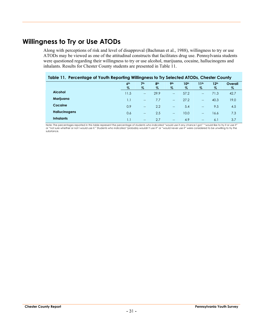## **Willingness to Try or Use ATODs**

Along with perceptions of risk and level of disapproval (Bachman et al., 1988), willingness to try or use ATODs may be viewed as one of the attitudinal constructs that facilitates drug use. Pennsylvania students were questioned regarding their willingness to try or use alcohol, marijuana, cocaine, hallucinogens and inhalants. Results for Chester County students are presented in Table 11.

#### **Table 11. Percentage of Youth Reporting Willingness to Try Selected ATODs, Chester County**

|                      | 6 <sup>th</sup><br>$\%$ | 7 <sup>th</sup><br>% | 8 <sup>th</sup><br>$\%$ | 9 <sub>th</sub><br>$\%$  | 10 <sup>th</sup><br>% | 11 <sup>th</sup><br>$\%$                                                                          | 12 <sup>th</sup><br>% | Overall<br>$\%$ |
|----------------------|-------------------------|----------------------|-------------------------|--------------------------|-----------------------|---------------------------------------------------------------------------------------------------|-----------------------|-----------------|
| <b>Alcohol</b>       | 11.5                    | $\hspace{0.05cm}$    | 29.9                    | $-\!$                    | 57.2                  | $\hspace{0.05cm}$ – $\hspace{0.05cm}$                                                             | 71.3                  | 42.7            |
| Marijuana            | 1.1                     | $\hspace{0.05cm}$    | 7.7                     | $\overline{\phantom{a}}$ | 27.2                  | $\overline{\phantom{m}}$                                                                          | 40.3                  | 19.0            |
| Cocaine              | 0.9                     | $\hspace{0.05cm}$    | 2.2                     | $\hspace{0.05cm}$        | 5.4                   | $\overline{\phantom{m}}$                                                                          | 9.5                   | 4.5             |
| <b>Hallucinogens</b> | 0.6                     | $\hspace{0.05cm}$    | 2.5                     | $\overline{\phantom{a}}$ | 10.0                  | $\overline{\phantom{m}}$                                                                          | 16.6                  | 7.3             |
| <b>Inhalants</b>     | 1.1                     | $\hspace{0.05cm}$    | 2.7                     | $\hspace{0.05cm}$        | 4.9                   | $\hspace{0.05cm} \hspace{0.02cm} \hspace{0.02cm} \hspace{0.02cm} \hspace{0.02cm} \hspace{0.02cm}$ | 6.1                   | 3.7             |

Note: The percentages reported in this table represent the percentage of students who indicated "would use it any chance I got," "would like to try it or use it" or "not sure whether or not I would use it." Students who indicated "probably wouldn't use it" or "would never use it" were considered to be unwilling to try the substance.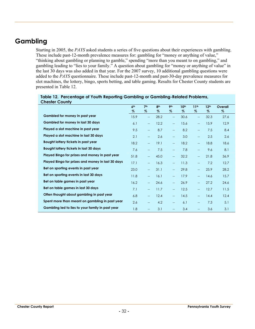## **Gambling**

Starting in 2005, the *PAYS* asked students a series of five questions about their experiences with gambling. These include past-12-month prevalence measures for: gambling for "money or anything of value," "thinking about gambling or planning to gamble," spending "more than you meant to on gambling," and gambling leading to "lies to your family." A question about gambling for "money or anything of value" in the last 30 days was also added in that year. For the 2007 survey, 10 additional gambling questions were added to the *PAYS* questionnaire. These include past-12-month and past-30-day prevalence measures for slot machines, the lottery, bingo, sports betting, and table gaming. Results for Chester County students are presented in Table 12.

|                                                   | 6 <sup>th</sup> | 7 <sup>th</sup>          | 8 <sup>th</sup> | <b>9th</b>               | 10 <sup>th</sup> | 11 <sup>th</sup>         | 12 <sup>th</sup> | Overall |
|---------------------------------------------------|-----------------|--------------------------|-----------------|--------------------------|------------------|--------------------------|------------------|---------|
|                                                   | %               | $\%$                     | $\%$            | $\%$                     | $\%$             | %                        | $\%$             | $\%$    |
| Gambled for money in past year                    | 15.9            | $\overline{\phantom{a}}$ | 28.2            | $\overline{\phantom{m}}$ | 30.6             | $\overline{\phantom{a}}$ | 32.3             | 27.6    |
| <b>Gambled for money in last 30 days</b>          | 6.1             | $\overline{a}$           | 12.2            | $\overline{\phantom{a}}$ | 15.6             | $\overline{\phantom{m}}$ | 15.9             | 12.9    |
| Played a slot machine in past year                | 9.5             | $\overline{\phantom{m}}$ | 8.7             | $\overline{\phantom{a}}$ | 8.2              | $\overline{\phantom{a}}$ | 7.5              | 8.4     |
| Played a slot machine in last 30 days             | 2.1             | $\overline{\phantom{m}}$ | 2.6             | $-$                      | 3.0              | $\overline{\phantom{a}}$ | 2.5              | 2.6     |
| Bought lottery tickets in past year               | 18.2            | $\overline{\phantom{a}}$ | 19.1            | $\overline{\phantom{a}}$ | 18.2             | $\overline{\phantom{a}}$ | 18.8             | 18.6    |
| Bought lottery tickets in last 30 days            | 7.6             | $\overline{\phantom{m}}$ | 7.5             | $-$                      | 7.8              | $\overline{\phantom{a}}$ | 9.6              | 8.1     |
| Played Bingo for prizes and money in past year    | 51.8            | $\overline{\phantom{a}}$ | 45.0            | $-$                      | 32.2             | $\overline{\phantom{m}}$ | 21.8             | 36.9    |
| Played Bingo for prizes and money in last 30 days | 17.1            | $\overline{\phantom{a}}$ | 16.3            | $-$                      | 11.3             | $\overline{\phantom{a}}$ | 7.2              | 12.7    |
| Bet on sporting events in past year               | 23.0            | $\overline{\phantom{m}}$ | 31.1            | $-$                      | 29.8             | $-$                      | 25.9             | 28.2    |
| Bet on sporting events in last 30 days            | 11.8            | $\overline{\phantom{m}}$ | 16.1            | $\overline{\phantom{m}}$ | 17.9             | $\overline{\phantom{a}}$ | 14.6             | 15.7    |
| Bet on table games in past year                   | 16.2            | $\overline{\phantom{a}}$ | 24.6            | $\overline{\phantom{0}}$ | 26.9             | $\overline{\phantom{m}}$ | 27.2             | 24.6    |
| Bet on table games in last 30 days                | 7.1             | $\overline{\phantom{m}}$ | 11.7            | $-$                      | 12.5             | $\overline{\phantom{m}}$ | 12.7             | 11.5    |
| Often thought about gambling in past year         | 6.8             | $\overline{\phantom{a}}$ | 12.4            | $-$                      | 14.5             | $\overline{a}$           | 14.4             | 12.4    |
| Spent more than meant on gambling in past year    | 2.6             | $\hspace{0.05cm} \ldots$ | 4.2             | $-$                      | 6.1              | $\overline{\phantom{m}}$ | 7.3              | 5.1     |
| Gambling led to lies to your family in past year  | 1.8             | $-$                      | 3.1             | $\overline{\phantom{a}}$ | 3.4              | $\overline{\phantom{a}}$ | 3.6              | 3.1     |

| Table 12. Percentage of Youth Reporting Gambling or Gambling-Related Problems, |
|--------------------------------------------------------------------------------|
| <b>Chester County</b>                                                          |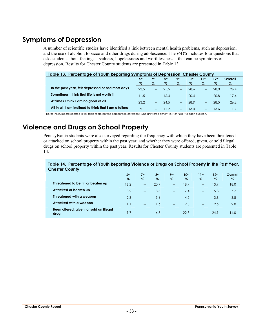## **Symptoms of Depression**

A number of scientific studies have identified a link between mental health problems, such as depression, and the use of alcohol, tobacco and other drugs during adolescence. The *PAYS* includes four questions that asks students about feelings—sadness, hopelessness and worthlessness—that can be symptoms of depression. Results for Chester County students are presented in Table 13.

| Table 13. Percentage of Youth Reporting Symptoms of Depression, Chester County |                 |      |                 |                               |                  |                          |                  |         |  |
|--------------------------------------------------------------------------------|-----------------|------|-----------------|-------------------------------|------------------|--------------------------|------------------|---------|--|
|                                                                                | 6 <sup>th</sup> | 7th  | 8 <sup>th</sup> | <b>9th</b>                    | 10 <sup>th</sup> | 11th                     | 12 <sup>th</sup> | Overall |  |
|                                                                                | %               | %    | $\%$            | $\%$                          | $\%$             | %                        | $\%$             | $\%$    |  |
| In the past year, felt depressed or sad most days                              | 23.5            |      | 25.5            | $\Delta \Delta \sim 10^{-10}$ | 28.6             |                          | 28.O             | 26.4    |  |
| Sometimes I think that life is not worth it                                    | 11.5            |      | 16.4            | $\sim$                        | 20.4             |                          | 20.8             | 17.4    |  |
| At times I think I am no good at all                                           | 23.2            | $ -$ | 24.5            | $\mathbb{L}^{\mathbb{L}}$     | 28.9             | $\overline{\phantom{a}}$ | 28.5             | 26.2    |  |
| All in all, I am inclined to think that I am a failure                         | 9.1             |      | 112             | $-$                           | 13.0             | $\qquad \qquad -$        | 13.6             |         |  |

Note: The numbers reported in this table represent the percentage of students who answered either "yes" or "Yes!" to each question.

## **Violence and Drugs on School Property**

Pennsylvania students were also surveyed regarding the frequency with which they have been threatened or attacked on school property within the past year, and whether they were offered, given, or sold illegal drugs on school property within the past year. Results for Chester County students are presented in Table 14.

#### **Table 14. Percentage of Youth Reporting Violence or Drugs on School Property in the Past Year, Chester County**

|                                                 | 6 <sup>th</sup><br>$\%$ | 7 <sup>th</sup><br>$\%$  | 8 <sup>th</sup><br>% | Oth<br>$\%$              | 10 <sup>th</sup><br>Z | 11 <sup>th</sup><br>$\%$           | 12 <sup>th</sup><br>$\%$ | Overall<br>$\%$ |
|-------------------------------------------------|-------------------------|--------------------------|----------------------|--------------------------|-----------------------|------------------------------------|--------------------------|-----------------|
| Threatened to be hit or beaten up               | 16.2                    | $\hspace{0.05cm}$        | 20.9                 | $\hspace{0.05cm}$        | 18.9                  | $\hspace{0.05cm} -\hspace{0.05cm}$ | 13.9                     | 18.0            |
| Attacked or beaten up                           | 8.2                     | $\overline{\phantom{a}}$ | 8.5                  | $\sim$                   | 7.4                   | $\overline{\phantom{0}}$           | 5.8                      | 7.7             |
| Threatened with a weapon                        | 2.8                     | $- -$                    | 3.6                  | $\overline{\phantom{a}}$ | 4.5                   | $\rightarrow$                      | 3.8                      | 3.8             |
| Attacked with a weapon                          |                         | $\hspace{0.05cm}$        | 1.6                  | $\overline{\phantom{a}}$ | 2.3                   | $\rightarrow$                      | 2.6                      | 2.0             |
| Been offered, given, or sold an illegal<br>drug | 1.7                     | $\overline{\phantom{a}}$ | 6.5                  | $\hspace{0.05cm}$        | 22.8                  | $-$                                | 24.1                     | 14.0            |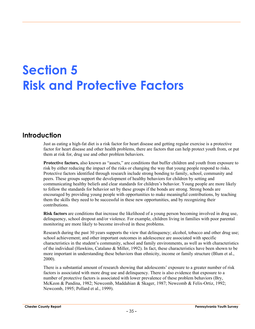# **Section 5 Risk and Protective Factors**

# **Introduction**

Just as eating a high-fat diet is a risk factor for heart disease and getting regular exercise is a protective factor for heart disease and other health problems, there are factors that can help protect youth from, or put them at risk for, drug use and other problem behaviors.

**Protective factors,** also known as "assets," are conditions that buffer children and youth from exposure to risk by either reducing the impact of the risks or changing the way that young people respond to risks. Protective factors identified through research include strong bonding to family, school, community and peers. These groups support the development of healthy behaviors for children by setting and communicating healthy beliefs and clear standards for children's behavior. Young people are more likely to follow the standards for behavior set by these groups if the bonds are strong. Strong bonds are encouraged by providing young people with opportunities to make meaningful contributions, by teaching them the skills they need to be successful in these new opportunities, and by recognizing their contributions.

**Risk factors** are conditions that increase the likelihood of a young person becoming involved in drug use, delinquency, school dropout and/or violence. For example, children living in families with poor parental monitoring are more likely to become involved in these problems.

Research during the past 30 years supports the view that delinquency; alcohol, tobacco and other drug use; school achievement; and other important outcomes in adolescence are associated with specific characteristics in the student's community, school and family environments, as well as with characteristics of the individual (Hawkins, Catalano & Miller, 1992). In fact, these characteristics have been shown to be more important in understanding these behaviors than ethnicity, income or family structure (Blum et al., 2000).

There is a substantial amount of research showing that adolescents' exposure to a greater number of risk factors is associated with more drug use and delinquency. There is also evidence that exposure to a number of protective factors is associated with lower prevalence of these problem behaviors (Bry, McKeon & Pandina, 1982; Newcomb, Maddahian & Skager, 1987; Newcomb & Felix-Ortiz, 1992; Newcomb, 1995; Pollard et al., 1999).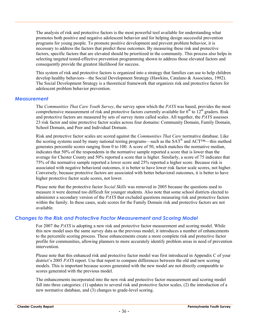The analysis of risk and protective factors is the most powerful tool available for understanding what promotes both positive and negative adolescent behavior and for helping design successful prevention programs for young people. To promote positive development and prevent problem behavior, it is necessary to address the factors that predict these outcomes. By measuring these risk and protective factors, specific factors that are elevated should be prioritized in the community. This process also helps in selecting targeted tested-effective prevention programming shown to address those elevated factors and consequently provide the greatest likelihood for success.

This system of risk and protective factors is organized into a strategy that families can use to help children develop healthy behaviors—the Social Development Strategy (Hawkins, Catalano & Associates, 1992). The Social Development Strategy is a theoretical framework that organizes risk and protective factors for adolescent problem behavior prevention.

#### *Measurement*

The *Communities That Care Youth Survey*, the survey upon which the *PAYS* was based, provides the most comprehensive measurement of risk and protective factors currently available for  $6<sup>th</sup>$  to  $12<sup>th</sup>$  graders. Risk and protective factors are measured by sets of survey items called scales. All together, the *PAYS* assesses 23 risk factor and nine protective factor scales across four domains: Community Domain, Family Domain, School Domain, and Peer and Individual Domain.

Risk and protective factor scales are scored against the *Communities That Care* normative database. Like the scoring systems used by many national testing programs—such as the SAT® and ACT™—this method generates percentile scores ranging from 0 to 100. A score of 50, which matches the normative median, indicates that 50% of the respondents in the normative sample reported a score that is lower than the average for Chester County and 50% reported a score that is higher. Similarly, a score of 75 indicates that 75% of the normative sample reported a lower score and 25% reported a higher score. Because risk is associated with negative behavioral outcomes, it is better to have lower risk factor scale scores, not higher. Conversely, because protective factors are associated with better behavioral outcomes, it is better to have higher protective factor scale scores, not lower.

Please note that the protective factor *Social Skills* was removed in 2005 because the questions used to measure it were deemed too difficult for younger students. Also note that some school districts elected to administer a secondary version of the *PAYS* that excluded questions measuring risk and protective factors within the family. In these cases, scale scores for the Family Domain risk and protective factors are not available.

#### *Changes to the Risk and Protective Factor Measurement and Scoring Model*

For 2007 the *PAYS* is adopting a new risk and protective factor measurement and scoring model. While this new model uses the same survey data as the previous model, it introduces a number of enhancements to the percentile scoring process. These enhancements create a more complete risk and protective factor profile for communities, allowing planners to more accurately identify problem areas in need of prevention intervention.

Please note that this enhanced risk and protective factor model was first introduced in Appendix C of your district's 2005 *PAYS* report. Use that report to compare differences between the old and new scoring models. This is important because scores generated with the new model are not directly comparable to scores generated with the previous model.

The enhancements incorporated into the new risk and protective factor measurement and scoring model fall into three categories: (1) updates to several risk and protective factor scales, (2) the introduction of a new normative database, and (3) changes to grade-level scoring.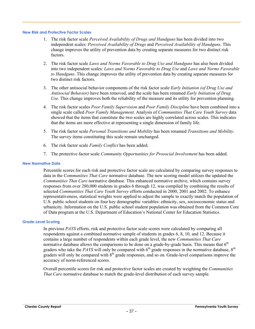#### **New Risk and Protective Factor Scales**

- 1. The risk factor scale *Perceived Availability of Drugs and Handguns* has been divided into two independent scales: *Perceived Availability of Drugs* and *Perceived Availability of Handguns*. This change improves the utility of prevention data by creating separate measures for two distinct risk factors.
- 2. The risk factor scale *Laws and Norms Favorable to Drug Use and Handguns* has also been divided into two independent scales: *Laws and Norms Favorable to Drug Use* and *Laws and Norms Favorable to Handguns*. This change improves the utility of prevention data by creating separate measures for two distinct risk factors.
- 3. The other antisocial behavior components of the risk factor scale *Early Initiation (of Drug Use and Antisocial Behavior)* have been removed, and the scale has been renamed *Early Initiation of Drug Use*. This change improves both the reliability of the measure and its utility for prevention planning.
- 4. The risk factor scales *Poor Family Supervision* and *Poor Family Discipline* have been combined into a single scale called *Poor Family Management*. Analysis of *Communities That Care Youth Survey* data showed that the items that constitute the two scales are highly correlated across scales. This indicates that the items are more effective at representing a single dimension of family life.
- 5. The risk factor scale *Personal Transitions and Mobility* has been renamed *Transitions and Mobility*. The survey items constituting this scale remain unchanged.
- 6. The risk factor scale *Family Conflict* has been added.
- 7. The protective factor scale *Community Opportunities for Prosocial Involvement* has been added.

#### **New Normative Data**

Percentile scores for each risk and protective factor scale are calculated by comparing survey responses to data in the *Communities That Care* normative database. The new scoring model utilizes the updated the *Communities That Care* normative database. This enhanced normative archive, which contains survey responses from over 280,000 students in grades 6 through 12, was compiled by combining the results of selected *Communities That Care Youth Survey* efforts conducted in 2000, 2001 and 2002. To enhance representativeness, statistical weights were applied to adjust the sample to exactly match the population of U.S. public school students on four key demographic variables: ethnicity, sex, socioeconomic status and urbanicity. Information on the U.S. public school student population was obtained from the Common Core of Data program at the U.S. Department of Education's National Center for Education Statistics.

#### **Grade-Level Scoring**

In previous *PAYS* efforts, risk and protective factor scale scores were calculated by comparing all respondents against a combined normative sample of students in grades 6, 8, 10, and 12. Because it contains a large number of respondents within each grade level, the new *Communities That Care* normative database allows the comparisons to be done on a grade-by-grade basis. This means that  $6<sup>th</sup>$ graders who take the *PAYS* will only be compared with  $6<sup>th</sup>$  grade responses in the normative database,  $8<sup>th</sup>$ graders will only be compared with  $8<sup>th</sup>$  grade responses, and so on. Grade-level comparisons improve the accuracy of norm-referenced scores.

Overall percentile scores for risk and protective factor scales are created by weighting the *Communities That Care* normative database to match the grade-level distribution of each survey sample.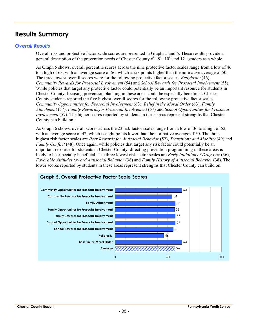# **Results Summary**

#### *Overall Results*

Overall risk and protective factor scale scores are presented in Graphs 5 and 6. These results provide a general description of the prevention needs of Chester County  $6<sup>th</sup>$ ,  $8<sup>th</sup>$ ,  $10<sup>th</sup>$  and  $12<sup>th</sup>$  graders as a whole.

As Graph 5 shows, overall percentile scores across the nine protective factor scales range from a low of 46 to a high of 63, with an average score of 56, which is six points higher than the normative average of 50. The three lowest overall scores were for the following protective factor scales: *Religiosity* (46), *Community Rewards for Prosocial Involvement* (54) and *School Rewards for Prosocial Involvement* (55). While policies that target any protective factor could potentially be an important resource for students in Chester County, focusing prevention planning in these areas could be especially beneficial. Chester County students reported the five highest overall scores for the following protective factor scales: *Community Opportunities for Prosocial Involvement* (63), *Belief in the Moral Order* (63), *Family Attachment* (57), *Family Rewards for Prosocial Involvement* (57) and *School Opportunities for Prosocial Involvement* (57). The higher scores reported by students in these areas represent strengths that Chester County can build on.

As Graph 6 shows, overall scores across the 23 risk factor scales range from a low of 36 to a high of 52, with an average score of 42, which is eight points lower than the normative average of 50. The three highest risk factor scales are *Peer Rewards for Antisocial Behavior* (52), *Transitions and Mobility* (49) and *Family Conflict* (48). Once again, while policies that target any risk factor could potentially be an important resource for students in Chester County, directing prevention programming in these areas is likely to be especially beneficial. The three lowest risk factor scales are *Early Initiation of Drug Use* (36), *Favorable Attitudes toward Antisocial Behavior* (38) and *Family History of Antisocial Behavior* (38). The lower scores reported by students in these areas represent strengths that Chester County can build on.

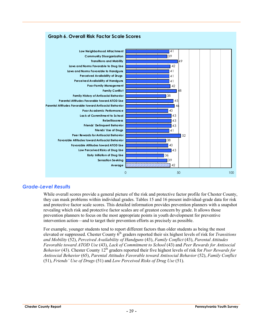

#### **Graph 6. Overall Risk Factor Scale Scores**

#### *Grade-Level Results*

While overall scores provide a general picture of the risk and protective factor profile for Chester County, they can mask problems within individual grades. Tables 15 and 16 present individual-grade data for risk and protective factor scale scores. This detailed information provides prevention planners with a snapshot revealing which risk and protective factor scales are of greatest concern by grade. It allows those prevention planners to focus on the most appropriate points in youth development for preventive intervention action—and to target their prevention efforts as precisely as possible.

For example, younger students tend to report different factors than older students as being the most elevated or suppressed. Chester County  $\hat{6}^{th}$  graders reported their six highest levels of risk for *Transitions and Mobility* (52), *Perceived Availability of Handguns* (43), *Family Conflict* (43), *Parental Attitudes Favorable toward ATOD Use* (43), *Lack of Commitment to School* (43) and *Peer Rewards for Antisocial Behavior* (43). Chester County 12<sup>th</sup> graders reported their five highest levels of risk for *Peer Rewards for Antisocial Behavior* (65), *Parental Attitudes Favorable toward Antisocial Behavior* (52), *Family Conflict* (51), *Friends' Use of Drugs* (51) and *Low Perceived Risks of Drug Use* (51).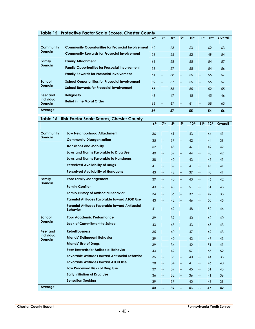| <b>Table 15. Protective Factor Scale Scores, Chester County</b> |                                                                   |                 |                                                     |                 |                                    |                  |                                       |                  |          |  |  |  |
|-----------------------------------------------------------------|-------------------------------------------------------------------|-----------------|-----------------------------------------------------|-----------------|------------------------------------|------------------|---------------------------------------|------------------|----------|--|--|--|
|                                                                 |                                                                   | 6 <sup>th</sup> | 7 <sup>th</sup>                                     | 8 <sup>th</sup> | 9 <sub>th</sub>                    | 10 <sup>th</sup> | 11 <sup>th</sup>                      | 12 <sup>th</sup> | Overall  |  |  |  |
| Community                                                       | <b>Community Opportunities for Prosocial Involvement</b>          | 62              | <u></u>                                             | 63              | Щ,                                 | 63               | $-$                                   | 62               | 63       |  |  |  |
| <b>Domain</b>                                                   | <b>Community Rewards for Prosocial Involvement</b>                | 58              | --                                                  | 55              | $\overline{\phantom{a}}$           | 52               | $-$                                   | 49               | 54       |  |  |  |
| Family                                                          | <b>Family Attachment</b>                                          | 61              | Щ,                                                  | 58              | Щ,                                 | 55               | Щ,                                    | 54               | 57       |  |  |  |
| <b>Domain</b>                                                   | <b>Family Opportunities for Prosocial Involvement</b>             | 58              | --                                                  | 57              | $\overline{\phantom{a}}$           | 55               | $\overline{\phantom{a}}$              | 54               | 56       |  |  |  |
|                                                                 | <b>Family Rewards for Prosocial Involvement</b>                   | 61              | --                                                  | 58              | Щ,                                 | 55               | $\overline{\phantom{m}}$              | 55               | 57       |  |  |  |
| <b>School</b>                                                   | <b>School Opportunities for Prosocial Involvement</b>             | 59              | $\overline{\phantom{a}}$                            | 57              | $\overline{\phantom{a}}$           | 55               | $\overline{\phantom{a}}$              | 55               | 57       |  |  |  |
| <b>Domain</b>                                                   | <b>School Rewards for Prosocial Involvement</b>                   | 55              | --                                                  | 55              | $\overline{\phantom{m}}$           | 55               | $\overline{\phantom{m}}$              | 52               | 55       |  |  |  |
| Peer and                                                        | <b>Religiosity</b>                                                | 48              | $\overline{\phantom{a}}$                            | 47              | $\overline{\phantom{a}}$           | 45               | $\overline{\phantom{m}}$              | 45               | 46       |  |  |  |
| <b>Individual</b><br><b>Domain</b>                              | <b>Belief in the Moral Order</b>                                  | 66              | --                                                  | 67              | $\overline{\phantom{m}}$           | 61               | $\overline{\phantom{m}}$              | 58               | 63       |  |  |  |
| Average                                                         |                                                                   | 59              | $\sim$ $\sim$                                       | 57              | $\sim$                             | 55               | $\mathbf{u}$                          | 54               | 56       |  |  |  |
|                                                                 | Table 16. Risk Factor Scale Scores, Chester County                |                 |                                                     |                 |                                    |                  |                                       |                  |          |  |  |  |
|                                                                 |                                                                   | 6 <sup>th</sup> | 7 <sup>th</sup>                                     | 8 <sup>th</sup> | 9 <sub>th</sub>                    | 10 <sup>th</sup> | 11 <sup>th</sup>                      | 12 <sup>th</sup> | Overall  |  |  |  |
| Community                                                       | Low Neighborhood Attachment                                       | 36              | $\overline{\phantom{a}}$                            | 41              | $\overline{\phantom{a}}$           | 43               | <u></u>                               | 44               | 41       |  |  |  |
| <b>Domain</b>                                                   | <b>Community Disorganization</b>                                  | 35              | $\overline{\phantom{a}}$                            | 37              | $\overline{\phantom{a}}$           | 42               | Щ,                                    | 44               | 39       |  |  |  |
|                                                                 | <b>Transitions and Mobility</b>                                   | 52              | <u></u>                                             | 48              | $\overline{\phantom{a}}$           | 47               | $\overline{\phantom{a}}$              | 49               | 49       |  |  |  |
|                                                                 | Laws and Norms Favorable to Drug Use                              | 40              | ш,                                                  | 39              | $\overline{\phantom{a}}$           | 44               | $\overline{\phantom{a}}$              | 48               | 42       |  |  |  |
|                                                                 | Laws and Norms Favorable to Handguns                              | 38              | $\overline{\phantom{a}}$                            | 40              | $\overline{\phantom{a}}$           | 43               | Щ,                                    | 45               | 41       |  |  |  |
|                                                                 | <b>Perceived Availability of Drugs</b>                            | 41              | $\qquad \qquad -$                                   | 37              | $\overline{\phantom{a}}$           | 41               | $\overline{\phantom{a}}$              | 47               | 41       |  |  |  |
|                                                                 | <b>Perceived Availability of Handguns</b>                         | 43              | $\overline{\phantom{m}}$                            | 42              | 44                                 | 39               | --                                    | 40               | 41       |  |  |  |
| Family<br><b>Domain</b>                                         | <b>Poor Family Management</b>                                     | 39              | <u></u>                                             | 40              | <u></u>                            | 43               | $\overline{\phantom{a}}$              | 46               | 42       |  |  |  |
|                                                                 | <b>Family Conflict</b>                                            | 43              | $\overline{a}$                                      | 48              | $\overline{\phantom{a}}$           | 51               | $\overline{\phantom{a}}$              | 51               | 48       |  |  |  |
|                                                                 | <b>Family History of Antisocial Behavior</b>                      | 34              | $\overline{\phantom{a}}$                            | 36              | $\overline{\phantom{a}}$           | 39               | $\overline{\phantom{a}}$              | 42               | 38       |  |  |  |
|                                                                 | <b>Parental Attitudes Favorable toward ATOD Use</b>               | 43              | $\overline{\phantom{a}}$                            | 42              | $\overline{\phantom{m}}$           | 46               | $\overline{\phantom{a}}$              | 50               | 45       |  |  |  |
|                                                                 | Parental Attitudes Favorable toward Antisocial<br><b>Behavior</b> | 41              |                                                     | 42              |                                    | 48               |                                       | 52               | 46       |  |  |  |
| School                                                          | Poor Academic Performance                                         | 39              |                                                     | 39              |                                    | 40               | $\hspace{0.05cm}$ – $\hspace{0.05cm}$ | 42               | 40       |  |  |  |
| Domain                                                          | <b>Lack of Commitment to School</b>                               | 43              | $\overline{\phantom{a}}$                            | 43              |                                    | 43               | --                                    | 43               | 43       |  |  |  |
| Peer and                                                        | <b>Rebelliousness</b>                                             | 35              | $\overline{\phantom{a}}$                            | 40              | Щ,                                 | 47               | $\overline{\phantom{a}}$              | 49               | 43       |  |  |  |
| Individual<br>Domain                                            | <b>Friends' Delinquent Behavior</b>                               | 39              | <u></u>                                             | 40              | $\overline{\phantom{a}}$           | 43               | $\overline{\phantom{a}}$              | 49               | 43       |  |  |  |
|                                                                 | <b>Friends' Use of Drugs</b>                                      | 39              | <u></u>                                             | 34              |                                    | 42               | 4                                     | 51               | 41       |  |  |  |
|                                                                 | <b>Peer Rewards for Antisocial Behavior</b>                       | 43              | $\overline{\phantom{a}}$                            | 42              | $\overline{\phantom{a}}$           | 57               | $\overline{\phantom{a}}$              | 65               | 52       |  |  |  |
|                                                                 | <b>Favorable Attitudes toward Antisocial Behavior</b>             | 35              | $\hspace{0.05cm} -\hspace{0.05cm} -\hspace{0.05cm}$ | 35              | $\overline{\phantom{a}}$           | 40               | $\overline{\phantom{a}}$              | 44               | 38       |  |  |  |
|                                                                 | <b>Favorable Attitudes toward ATOD Use</b>                        | 38              | $\overline{\phantom{a}}$                            | 34              | $\overline{\phantom{a}}$           | 41               | $\overline{\phantom{a}}$              | 46               | 40       |  |  |  |
|                                                                 | Low Perceived Risks of Drug Use                                   | 39              | <u></u>                                             | 39              | $\overline{\phantom{a}}$           | 45               | 4                                     | 51               | 43       |  |  |  |
|                                                                 | <b>Early Initiation of Drug Use</b><br><b>Sensation Seeking</b>   | 36              | $\overline{\phantom{a}}$                            | 32              | $\hspace{0.05cm} -\hspace{0.05cm}$ | 36               | $\overline{\phantom{a}}$              | 41               | 36       |  |  |  |
| Average                                                         |                                                                   | 39<br>40        | $\overline{a}$<br>$\sim$                            | 37<br>39        | $\omega_{\rm eff}$                 | 40<br>43         | $\overline{a}$<br>$\omega$ .          | 43<br>47         | 39<br>42 |  |  |  |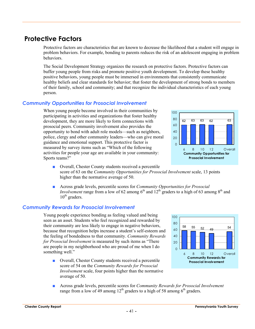# **Protective Factors**

Protective factors are characteristics that are known to decrease the likelihood that a student will engage in problem behaviors. For example, bonding to parents reduces the risk of an adolescent engaging in problem **behaviors** 

The Social Development Strategy organizes the research on protective factors. Protective factors can buffer young people from risks and promote positive youth development. To develop these healthy positive behaviors, young people must be immersed in environments that consistently communicate healthy beliefs and clear standards for behavior; that foster the development of strong bonds to members of their family, school and community; and that recognize the individual characteristics of each young person.

#### *Community Opportunities for Prosocial Involvement*

When young people become involved in their communities by participating in activities and organizations that foster healthy development, they are more likely to form connections with prosocial peers. Community involvement also provides the opportunity to bond with adult role models—such as neighbors, police, clergy and other community leaders—who can give moral guidance and emotional support. This protective factor is measured by survey items such as "Which of the following activities for people your age are available in your community: Sports teams?"

- Overall, Chester County students received a percentile score of 63 on the *Community Opportunities for Prosocial Involvement* scale, 13 points higher than the normative average of 50.
- Across grade levels, percentile scores for *Community Opportunities for Prosocial Involvement* range from a low of 62 among  $6<sup>th</sup>$  and  $12<sup>th</sup>$  graders to a high of 63 among  $8<sup>th</sup>$  and  $10^{th}$  graders.

#### *Community Rewards for Prosocial Involvement*

Young people experience bonding as feeling valued and being seen as an asset. Students who feel recognized and rewarded by their community are less likely to engage in negative behaviors, because that recognition helps increase a student's self-esteem and the feeling of bondedness to that community. *Community Rewards for Prosocial Involvement* is measured by such items as "There are people in my neighborhood who are proud of me when I do something well."

■ Overall, Chester County students received a percentile score of 54 on the *Community Rewards for Prosocial Involvement* scale, four points higher than the normative average of 50.







range from a low of 49 among  $12<sup>th</sup>$  graders to a high of 58 among 6<sup>th</sup> graders.

■ Across grade levels, percentile scores for *Community Rewards for Prosocial Involvement*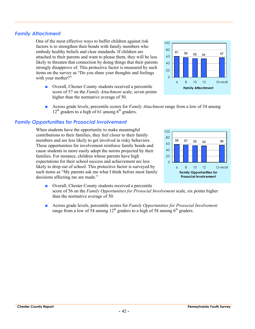### *Family Attachment*

One of the most effective ways to buffer children against risk factors is to strengthen their bonds with family members who embody healthy beliefs and clear standards. If children are attached to their parents and want to please them, they will be less likely to threaten that connection by doing things that their parents strongly disapprove of. This protective factor is measured by such items on the survey as "Do you share your thoughts and feelings with your mother?"

- Overall, Chester County students received a percentile score of 57 on the *Family Attachment* scale, seven points higher than the normative average of 50.
- Across grade levels, percentile scores for *Family Attachment* range from a low of 54 among  $12<sup>th</sup>$  graders to a high of 61 among 6<sup>th</sup> graders.

#### *Family Opportunities for Prosocial Involvement*

When students have the opportunity to make meaningful contributions to their families, they feel closer to their family members and are less likely to get involved in risky behaviors. These opportunities for involvement reinforce family bonds and cause students to more easily adopt the norms projected by their families. For instance, children whose parents have high expectations for their school success and achievement are less likely to drop out of school. This protective factor is surveyed by such items as "My parents ask me what I think before most family decisions affecting me are made."

- Overall, Chester County students received a percentile score of 56 on the *Family Opportunities for Prosocial Involvement* scale, six points higher than the normative average of 50.
- Across grade levels, percentile scores for *Family Opportunities for Prosocial Involvement* range from a low of 54 among  $12^{th}$  graders to a high of 58 among  $6^{th}$  graders.



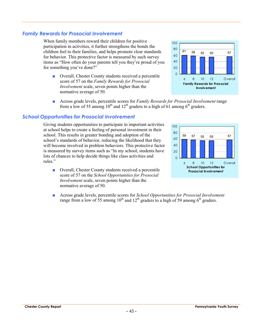### *Family Rewards for Prosocial Involvement*

When family members reward their children for positive participation in activities, it further strengthens the bonds the children feel to their families, and helps promote clear standards for behavior. This protective factor is measured by such survey items as "How often do your parents tell you they're proud of you for something you've done?"

■ Overall, Chester County students received a percentile score of 57 on the *Family Rewards for Prosocial Involvement* scale, seven points higher than the normative average of 50.



■ Across grade levels, percentile scores for *Family Rewards for Prosocial Involvement* range from a low of 55 among  $10^{th}$  and  $12^{th}$  graders to a high of 61 among 6<sup>th</sup> graders.

#### *School Opportunities for Prosocial Involvement*

Giving students opportunities to participate in important activities at school helps to create a feeling of personal investment in their school. This results in greater bonding and adoption of the school's standards of behavior, reducing the likelihood that they will become involved in problem behaviors. This protective factor is measured by survey items such as "In my school, students have lots of chances to help decide things like class activities and rules."

■ Overall, Chester County students received a percentile score of 57 on the *School Opportunities for Prosocial Involvement* scale, seven points higher than the normative average of 50.



■ Across grade levels, percentile scores for *School Opportunities for Prosocial Involvement* range from a low of 55 among 10<sup>th</sup> and 12<sup>th</sup> graders to a high of 59 among 6<sup>th</sup> graders.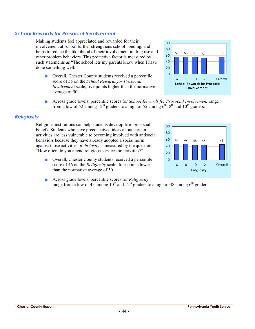#### *School Rewards for Prosocial Involvement*

Making students feel appreciated and rewarded for their involvement at school further strengthens school bonding, and helps to reduce the likelihood of their involvement in drug use and other problem behaviors. This protective factor is measured by such statements as "The school lets my parents know when I have done something well."

- Overall, Chester County students received a percentile score of 55 on the *School Rewards for Prosocial Involvement* scale, five points higher than the normative average of 50.
- Across grade levels, percentile scores for *School Rewards for Prosocial Involvement* range from a low of 52 among  $12^{th}$  graders to a high of 55 among  $6^{th}$ ,  $8^{th}$  and  $10^{th}$  graders.

#### *Religiosity*

Religious institutions can help students develop firm prosocial beliefs. Students who have preconceived ideas about certain activities are less vulnerable to becoming involved with antisocial behaviors because they have already adopted a social norm against those activities. *Religiosity* is measured by the question "How often do you attend religious services or activities?"

- Overall, Chester County students received a percentile score of 46 on the *Religiosity* scale, four points lower than the normative average of 50.
- Across grade levels, percentile scores for *Religiosity* range from a low of 45 among 10<sup>th</sup> and 12<sup>th</sup> graders to a high of 48 among 6<sup>th</sup> graders.



**Religiosity**

6 8 10 12 Overall

48 47 45 45 46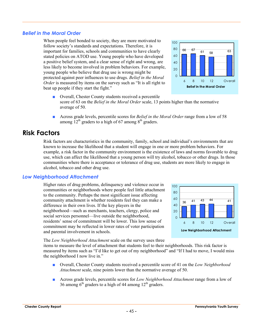#### *Belief in the Moral Order*

When people feel bonded to society, they are more motivated to follow society's standards and expectations. Therefore, it is important for families, schools and communities to have clearly stated policies on ATOD use. Young people who have developed a positive belief system, and a clear sense of right and wrong, are less likely to become involved in problem behaviors. For example, young people who believe that drug use is wrong might be protected against peer influences to use drugs. *Belief in the Moral Order* is measured by items on the survey such as "It is all right to beat up people if they start the fight."



- Overall, Chester County students received a percentile score of 63 on the *Belief in the Moral Order* scale, 13 points higher than the normative average of 50.
- Across grade levels, percentile scores for *Belief in the Moral Order* range from a low of 58 among  $12^{th}$  graders to a high of 67 among  $8^{th}$  graders.

## **Risk Factors**

Risk factors are characteristics in the community, family, school and individual's environments that are known to increase the likelihood that a student will engage in one or more problem behaviors. For example, a risk factor in the community environment is the existence of laws and norms favorable to drug use, which can affect the likelihood that a young person will try alcohol, tobacco or other drugs. In those communities where there is acceptance or tolerance of drug use, students are more likely to engage in alcohol, tobacco and other drug use.

#### *Low Neighborhood Attachment*

Higher rates of drug problems, delinquency and violence occur in communities or neighborhoods where people feel little attachment to the community. Perhaps the most significant issue affecting community attachment is whether residents feel they can make a difference in their own lives. If the key players in the neighborhood—such as merchants, teachers, clergy, police and social services personnel—live outside the neighborhood, residents' sense of commitment will be lower. This low sense of commitment may be reflected in lower rates of voter participation and parental involvement in schools.



The *Low Neighborhood Attachment* scale on the survey uses three

items to measure the level of attachment that students feel to their neighborhoods. This risk factor is measured by items such as "I'd like to get out of my neighborhood" and "If I had to move, I would miss the neighborhood I now live in."

- Overall, Chester County students received a percentile score of 41 on the *Low Neighborhood Attachment* scale, nine points lower than the normative average of 50.
- Across grade levels, percentile scores for *Low Neighborhood Attachment* range from a low of 36 among  $6<sup>th</sup>$  graders to a high of 44 among 12<sup>th</sup> graders.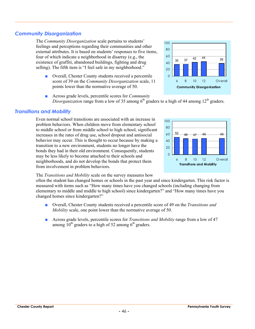### *Community Disorganization*

The *Community Disorganization* scale pertains to students' feelings and perceptions regarding their communities and other external attributes. It is based on students' responses to five items, four of which indicate a neighborhood in disarray (e.g., the existence of graffiti, abandoned buildings, fighting and drug selling). The fifth item is "I feel safe in my neighborhood."

- Overall, Chester County students received a percentile score of 39 on the *Community Disorganization* scale, 11 points lower than the normative average of 50.
- Across grade levels, percentile scores for *Community Disorganization* range from a low of 35 among  $6<sup>th</sup>$  graders to a high of 44 among  $12<sup>th</sup>$  graders.

#### *Transitions and Mobility*

Even normal school transitions are associated with an increase in problem behaviors. When children move from elementary school to middle school or from middle school to high school, significant increases in the rates of drug use, school dropout and antisocial behavior may occur. This is thought to occur because by making a transition to a new environment, students no longer have the bonds they had in their old environment. Consequently, students may be less likely to become attached to their schools and neighborhoods, and do not develop the bonds that protect them from involvement in problem behaviors.

#### The *Transitions and Mobility* scale on the survey measures how

often the student has changed homes or schools in the past year and since kindergarten. This risk factor is measured with items such as "How many times have you changed schools (including changing from elementary to middle and middle to high school) since kindergarten?" and "How many times have you changed homes since kindergarten?"

- Overall, Chester County students received a percentile score of 49 on the *Transitions and Mobility* scale, one point lower than the normative average of 50.
- Across grade levels, percentile scores for *Transitions and Mobility* range from a low of 47 among  $10^{th}$  graders to a high of 52 among  $6^{th}$  graders.



**Transitions and Mobility**

6 8 10 12 Overall

<sup>52</sup> <sup>48</sup> <sup>47</sup> 49 49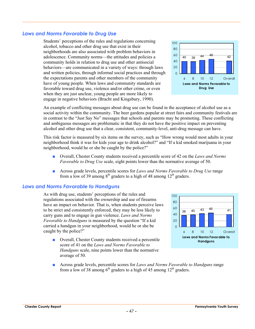#### *Laws and Norms Favorable to Drug Use*

Students' perceptions of the rules and regulations concerning alcohol, tobacco and other drug use that exist in their neighborhoods are also associated with problem behaviors in adolescence. Community norms—the attitudes and policies a community holds in relation to drug use and other antisocial behaviors—are communicated in a variety of ways: through laws and written policies, through informal social practices and through the expectations parents and other members of the community have of young people. When laws and community standards are favorable toward drug use, violence and/or other crime, or even when they are just unclear, young people are more likely to engage in negative behaviors (Bracht and Kingsbury, 1990).



An example of conflicting messages about drug use can be found in the acceptance of alcohol use as a social activity within the community. The beer gardens popular at street fairs and community festivals are in contrast to the "Just Say No" messages that schools and parents may be promoting. These conflicting and ambiguous messages are problematic in that they do not have the positive impact on preventing alcohol and other drug use that a clear, consistent, community-level, anti-drug message can have.

This risk factor is measured by six items on the survey, such as "How wrong would most adults in your neighborhood think it was for kids your age to drink alcohol?" and "If a kid smoked marijuana in your neighborhood, would he or she be caught by the police?"

- Overall, Chester County students received a percentile score of 42 on the *Laws and Norms Favorable to Drug Use* scale, eight points lower than the normative average of 50.
- Across grade levels, percentile scores for *Laws and Norms Favorable to Drug Use* range from a low of 39 among  $8<sup>th</sup>$  graders to a high of 48 among  $12<sup>th</sup>$  graders.

#### *Laws and Norms Favorable to Handguns*

As with drug use, students' perceptions of the rules and regulations associated with the ownership and use of firearms have an impact on behavior. That is, when students perceive laws to be strict and consistently enforced, they may be less likely to carry guns and to engage in gun violence. *Laws and Norms Favorable to Handguns* is measured by the question "If a kid carried a handgun in your neighborhood, would he or she be caught by the police?"

■ Overall, Chester County students received a percentile score of 41 on the *Laws and Norms Favorable to Handguns* scale, nine points lower than the normative average of 50.



■ Across grade levels, percentile scores for *Laws and Norms Favorable to Handguns* range from a low of 38 among  $6<sup>th</sup>$  graders to a high of 45 among  $12<sup>th</sup>$  graders.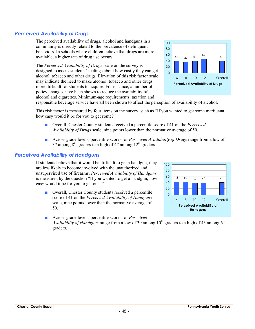#### *Perceived Availability of Drugs*

The perceived availability of drugs, alcohol and handguns in a community is directly related to the prevalence of delinquent behaviors. In schools where children believe that drugs are more available, a higher rate of drug use occurs.

The *Perceived Availability of Drugs* scale on the survey is designed to assess students' feelings about how easily they can get alcohol, tobacco and other drugs. Elevation of this risk factor scale may indicate the need to make alcohol, tobacco and other drugs more difficult for students to acquire. For instance, a number of policy changes have been shown to reduce the availability of alcohol and cigarettes. Minimum-age requirements, taxation and



responsible beverage service have all been shown to affect the perception of availability of alcohol.

This risk factor is measured by four items on the survey, such as "If you wanted to get some marijuana, how easy would it be for you to get some?"

- Overall, Chester County students received a percentile score of 41 on the *Perceived Availability of Drugs* scale, nine points lower than the normative average of 50.
- Across grade levels, percentile scores for *Perceived Availability of Drugs* range from a low of 37 among  $8<sup>th</sup>$  graders to a high of 47 among  $12<sup>th</sup>$  graders.

#### *Perceived Availability of Handguns*

If students believe that it would be difficult to get a handgun, they are less likely to become involved with the unauthorized and unsupervised use of firearms. *Perceived Availability of Handguns* is measured by the question "If you wanted to get a handgun, how easy would it be for you to get one?"

■ Overall, Chester County students received a percentile score of 41 on the *Perceived Availability of Handguns* scale, nine points lower than the normative average of 50.



■ Across grade levels, percentile scores for *Perceived Availability of Handguns* range from a low of 39 among  $10<sup>th</sup>$  graders to a high of 43 among  $6<sup>th</sup>$ graders.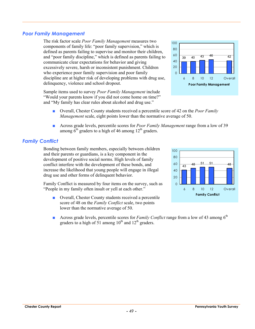#### *Poor Family Management*

The risk factor scale *Poor Family Management* measures two components of family life: "poor family supervision," which is defined as parents failing to supervise and monitor their children, and "poor family discipline," which is defined as parents failing to communicate clear expectations for behavior and giving excessively severe, harsh or inconsistent punishment. Children who experience poor family supervision and poor family discipline are at higher risk of developing problems with drug use, delinquency, violence and school dropout.

Sample items used to survey *Poor Family Management* include "Would your parents know if you did not come home on time?" and "My family has clear rules about alcohol and drug use."



- Overall, Chester County students received a percentile score of 42 on the *Poor Family Management* scale, eight points lower than the normative average of 50.
- Across grade levels, percentile scores for *Poor Family Management* range from a low of 39 among  $6<sup>th</sup>$  graders to a high of 46 among 12<sup>th</sup> graders.

#### *Family Conflict*

Bonding between family members, especially between children and their parents or guardians, is a key component in the development of positive social norms. High levels of family conflict interfere with the development of these bonds, and increase the likelihood that young people will engage in illegal drug use and other forms of delinquent behavior.

Family Conflict is measured by four items on the survey, such as "People in my family often insult or yell at each other."

■ Overall, Chester County students received a percentile score of 48 on the *Family Conflict* scale, two points lower than the normative average of 50.



**■** Across grade levels, percentile scores for *Family Conflict* range from a low of 43 among 6<sup>th</sup> graders to a high of  $51$  among  $10^{th}$  and  $12^{th}$  graders.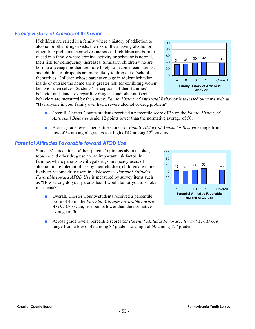#### *Family History of Antisocial Behavior*

If children are raised in a family where a history of addiction to alcohol or other drugs exists, the risk of their having alcohol or other drug problems themselves increases. If children are born or raised in a family where criminal activity or behavior is normal, their risk for delinquency increases. Similarly, children who are born to a teenage mother are more likely to become teen parents, and children of dropouts are more likely to drop out of school themselves. Children whose parents engage in violent behavior inside or outside the home are at greater risk for exhibiting violent behavior themselves. Students' perceptions of their families' behavior and standards regarding drug use and other antisocial



behaviors are measured by the survey. *Family History of Antisocial Behavior* is assessed by items such as "Has anyone in your family ever had a severe alcohol or drug problem?"

- Overall, Chester County students received a percentile score of 38 on the *Family History of Antisocial Behavior* scale, 12 points lower than the normative average of 50.
- Across grade levels, percentile scores for *Family History of Antisocial Behavior* range from a low of 34 among  $6<sup>th</sup>$  graders to a high of 42 among 12<sup>th</sup> graders.

#### *Parental Attitudes Favorable toward ATOD Use*

Students' perceptions of their parents' opinions about alcohol, tobacco and other drug use are an important risk factor. In families where parents use illegal drugs, are heavy users of alcohol or are tolerant of use by their children, children are more likely to become drug users in adolescence. *Parental Attitudes Favorable toward ATOD Use* is measured by survey items such as "How wrong do your parents feel it would be for you to smoke marijuana?"

■ Overall, Chester County students received a percentile score of 45 on the *Parental Attitudes Favorable toward ATOD Use* scale, five points lower than the normative average of 50.



■ Across grade levels, percentile scores for *Parental Attitudes Favorable toward ATOD Use* range from a low of 42 among  $8<sup>th</sup>$  graders to a high of 50 among 12<sup>th</sup> graders.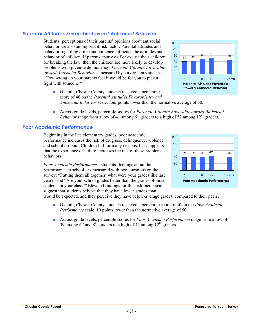#### *Parental Attitudes Favorable toward Antisocial Behavior*

Students' perceptions of their parents' opinions about antisocial behavior are also an important risk factor. Parental attitudes and behavior regarding crime and violence influence the attitudes and behavior of children. If parents approve of or excuse their children for breaking the law, then the children are more likely to develop problems with juvenile delinquency. *Parental Attitudes Favorable toward Antisocial Behavior* is measured by survey items such as "How wrong do your parents feel it would be for you to pick a fight with someone?"



■ Overall, Chester County students received a percentile score of 46 on the *Parental Attitudes Favorable toward Antisocial Behavior* scale, four points lower than the normative average of 50.

■ Across grade levels, percentile scores for *Parental Attitudes Favorable toward Antisocial Behavior* range from a low of 41 among  $6<sup>th</sup>$  graders to a high of 52 among 12<sup>th</sup> graders.

#### *Poor Academic Performance*

Beginning in the late elementary grades, poor academic performance increases the risk of drug use, delinquency, violence and school dropout. Children fail for many reasons, but it appears that the experience of failure increases the risk of these problem behaviors.

*Poor Academic Performance—*students' feelings about their performance at school*—*is measured with two questions on the survey: "Putting them all together, what were your grades like last year?" and "Are your school grades better than the grades of most students in your class?" Elevated findings for this risk factor scale suggest that students believe that they have lower grades than



would be expected, and they perceive they have below-average grades, compared to their peers.

- Overall, Chester County students received a percentile score of 40 on the *Poor Academic Performance* scale, 10 points lower than the normative average of 50.
- Across grade levels, percentile scores for *Poor Academic Performance* range from a low of 39 among  $6<sup>th</sup>$  and  $8<sup>th</sup>$  graders to a high of 42 among  $12<sup>th</sup>$  graders.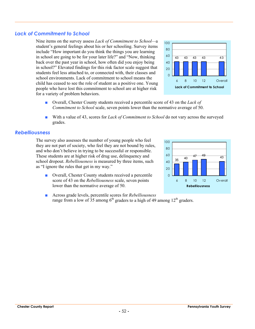#### *Lack of Commitment to School*

Nine items on the survey assess *Lack of Commitment to School—*a student's general feelings about his or her schooling. Survey items include "How important do you think the things you are learning in school are going to be for your later life?" and "Now, thinking back over the past year in school, how often did you enjoy being in school?" Elevated findings for this risk factor scale suggest that students feel less attached to, or connected with, their classes and school environments. Lack of commitment to school means the child has ceased to see the role of student as a positive one. Young people who have lost this commitment to school are at higher risk for a variety of problem behaviors.



- Overall, Chester County students received a percentile score of 43 on the *Lack of Commitment to School* scale, seven points lower than the normative average of 50.
- With a value of 43, scores for *Lack of Commitment to School* do not vary across the surveyed grades.

#### *Rebelliousness*

The survey also assesses the number of young people who feel they are not part of society, who feel they are not bound by rules, and who don't believe in trying to be successful or responsible. These students are at higher risk of drug use, delinquency and school dropout. *Rebelliousness* is measured by three items, such as "I ignore the rules that get in my way."

■ Overall, Chester County students received a percentile score of 43 on the *Rebelliousness* scale, seven points lower than the normative average of 50.



■ Across grade levels, percentile scores for *Rebelliousness* range from a low of 35 among  $6<sup>th</sup>$  graders to a high of 49 among  $12<sup>th</sup>$  graders.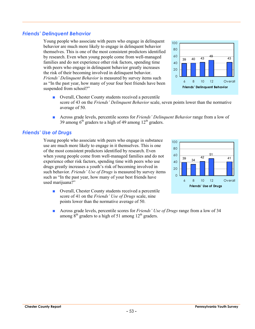#### *Friends' Delinquent Behavior*

Young people who associate with peers who engage in delinquent behavior are much more likely to engage in delinquent behavior themselves. This is one of the most consistent predictors identified by research. Even when young people come from well-managed families and do not experience other risk factors, spending time with peers who engage in delinquent behavior greatly increases the risk of their becoming involved in delinquent behavior. *Friends' Delinquent Behavior* is measured by survey items such as "In the past year, how many of your four best friends have been suspended from school?"



- Overall, Chester County students received a percentile score of 43 on the *Friends' Delinquent Behavior* scale, seven points lower than the normative average of 50.
- Across grade levels, percentile scores for *Friends' Delinquent Behavior* range from a low of 39 among  $6<sup>th</sup>$  graders to a high of 49 among 12<sup>th</sup> graders.

#### *Friends' Use of Drugs*

Young people who associate with peers who engage in substance use are much more likely to engage in it themselves. This is one of the most consistent predictors identified by research. Even when young people come from well-managed families and do not experience other risk factors, spending time with peers who use drugs greatly increases a youth's risk of becoming involved in such behavior. *Friends' Use of Drugs* is measured by survey items such as "In the past year, how many of your best friends have used marijuana?"

■ Overall, Chester County students received a percentile score of 41 on the *Friends' Use of Drugs* scale, nine points lower than the normative average of 50.



■ Across grade levels, percentile scores for *Friends' Use of Drugs* range from a low of 34 among  $8<sup>th</sup>$  graders to a high of 51 among 12<sup>th</sup> graders.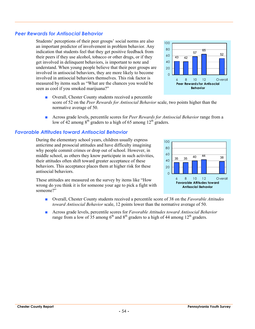#### *Peer Rewards for Antisocial Behavior*

Students' perceptions of their peer groups' social norms are also an important predictor of involvement in problem behavior. Any indication that students feel that they get positive feedback from their peers if they use alcohol, tobacco or other drugs, or if they get involved in delinquent behaviors, is important to note and understand. When young people believe that their peer groups are involved in antisocial behaviors, they are more likely to become involved in antisocial behaviors themselves. This risk factor is measured by items such as "What are the chances you would be seen as cool if you smoked marijuana?"



- Overall, Chester County students received a percentile score of 52 on the *Peer Rewards for Antisocial Behavior* scale, two points higher than the normative average of 50.
- Across grade levels, percentile scores for *Peer Rewards for Antisocial Behavior* range from a low of 42 among  $8<sup>th</sup>$  graders to a high of 65 among  $12<sup>th</sup>$  graders.

#### *Favorable Attitudes toward Antisocial Behavior*

During the elementary school years, children usually express anticrime and prosocial attitudes and have difficulty imagining why people commit crimes or drop out of school. However, in middle school, as others they know participate in such activities, their attitudes often shift toward greater acceptance of these behaviors. This acceptance places them at higher risk for these antisocial behaviors.

These attitudes are measured on the survey by items like "How wrong do you think it is for someone your age to pick a fight with someone?"



- Overall, Chester County students received a percentile score of 38 on the *Favorable Attitudes toward Antisocial Behavior* scale, 12 points lower than the normative average of 50.
- Across grade levels, percentile scores for *Favorable Attitudes toward Antisocial Behavior* range from a low of  $35$  among 6<sup>th</sup> and 8<sup>th</sup> graders to a high of 44 among 12<sup>th</sup> graders.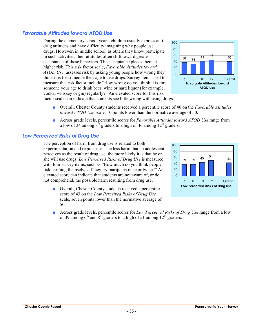#### *Favorable Attitudes toward ATOD Use*

During the elementary school years, children usually express antidrug attitudes and have difficulty imagining why people use drugs. However, in middle school, as others they know participate in such activities, their attitudes often shift toward greater acceptance of these behaviors. This acceptance places them at higher risk. This risk factor scale, *Favorable Attitudes toward ATOD Use,* assesses risk by asking young people how wrong they think it is for someone their age to use drugs. Survey items used to measure this risk factor include "How wrong do you think it is for someone your age to drink beer, wine or hard liquor (for example, vodka, whiskey or gin) regularly?" An elevated score for this risk factor scale can indicate that students see little wrong with using drugs.



- Overall, Chester County students received a percentile score of 40 on the *Favorable Attitudes toward ATOD Use* scale, 10 points lower than the normative average of 50.
- Across grade levels, percentile scores for *Favorable Attitudes toward ATOD Use* range from a low of 34 among  $8<sup>th</sup>$  graders to a high of 46 among 12<sup>th</sup> graders.

#### *Low Perceived Risks of Drug Use*

The perception of harm from drug use is related to both experimentation and regular use. The less harm that an adolescent perceives as the result of drug use, the more likely it is that he or she will use drugs. *Low Perceived Risks of Drug Use* is measured with four survey items, such as "How much do you think people risk harming themselves if they try marijuana once or twice?" An elevated score can indicate that students are not aware of, or do not comprehend, the possible harm resulting from drug use.

■ Overall, Chester County students received a percentile score of 43 on the *Low Perceived Risks of Drug Use* scale, seven points lower than the normative average of 50.



■ Across grade levels, percentile scores for *Low Perceived Risks of Drug Use* range from a low of 39 among  $6<sup>th</sup>$  and  $8<sup>th</sup>$  graders to a high of 51 among 12<sup>th</sup> graders.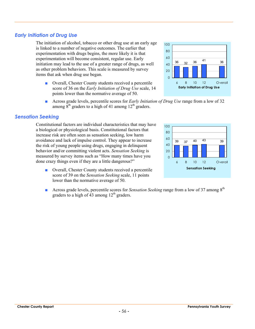#### *Early Initiation of Drug Use*

The initiation of alcohol, tobacco or other drug use at an early age is linked to a number of negative outcomes. The earlier that experimentation with drugs begins, the more likely it is that experimentation will become consistent, regular use. Early initiation may lead to the use of a greater range of drugs, as well as other problem behaviors. This scale is measured by survey items that ask when drug use began.

- Overall, Chester County students received a percentile score of 36 on the *Early Initiation of Drug Use* scale, 14 points lower than the normative average of 50.
- Across grade levels, percentile scores for *Early Initiation of Drug Use* range from a low of 32 among  $8<sup>th</sup>$  graders to a high of 41 among  $12<sup>th</sup>$  graders.

#### *Sensation Seeking*

Constitutional factors are individual characteristics that may have a biological or physiological basis. Constitutional factors that increase risk are often seen as sensation seeking, low harm avoidance and lack of impulse control. They appear to increase the risk of young people using drugs, engaging in delinquent behavior and/or committing violent acts. *Sensation Seeking* is measured by survey items such as "How many times have you done crazy things even if they are a little dangerous?"

- Overall, Chester County students received a percentile score of 39 on the *Sensation Seeking* scale, 11 points lower than the normative average of 50.
- Across grade levels, percentile scores for *Sensation Seeking* range from a low of 37 among 8<sup>th</sup> graders to a high of 43 among  $12<sup>th</sup>$  graders.



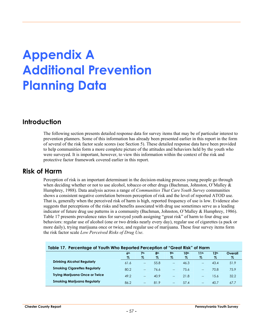# **Appendix A Additional Prevention Planning Data**

## **Introduction**

The following section presents detailed response data for survey items that may be of particular interest to prevention planners. Some of this information has already been presented earlier in this report in the form of several of the risk factor scale scores (see Section 5). These detailed response data have been provided to help communities form a more complete picture of the attitudes and behaviors held by the youth who were surveyed. It is important, however, to view this information within the context of the risk and protective factor framework covered earlier in this report.

## **Risk of Harm**

Perception of risk is an important determinant in the decision-making process young people go through when deciding whether or not to use alcohol, tobacco or other drugs (Bachman, Johnston, O'Malley & Humphrey, 1988). Data analysis across a range of *Communities That Care Youth Survey* communities shows a consistent negative correlation between perception of risk and the level of reported ATOD use. That is, generally when the perceived risk of harm is high, reported frequency of use is low. Evidence also suggests that perceptions of the risks and benefits associated with drug use sometimes serve as a leading indicator of future drug use patterns in a community (Bachman, Johnston, O'Malley & Humphrey, 1986). Table 17 presents prevalence rates for surveyed youth assigning "great risk" of harm to four drug use behaviors: regular use of alcohol (one or two drinks nearly every day), regular use of cigarettes (a pack or more daily), trying marijuana once or twice, and regular use of marijuana. These four survey items form the risk factor scale *Low Perceived Risks of Drug Use*.

| Table 17. Percentage of Youth Who Reported Perception of "Great Risk" of Harm |                      |                      |                      |                    |              |              |                          |                 |  |
|-------------------------------------------------------------------------------|----------------------|----------------------|----------------------|--------------------|--------------|--------------|--------------------------|-----------------|--|
|                                                                               | 6 <sup>th</sup><br>% | 7 <sup>th</sup><br>% | 8 <sup>th</sup><br>% | <b>9th</b><br>$\%$ | 10th<br>$\%$ | 11th<br>$\%$ | 12 <sup>th</sup><br>$\%$ | Overall<br>$\%$ |  |
| <b>Drinking Alcohol Regularly</b>                                             | 61.6                 | $- -$                | 55.8                 | $-$                | 46.3         | $-$          | 43.4                     | 51.9            |  |
| <b>Smoking Cigarettes Regularly</b>                                           | 80.2                 | $-$                  | 76.6                 | $-$                | 75.6         | $-$          | 70.8                     | 75.9            |  |
| <b>Trying Marijuana Once or Twice</b>                                         | 49.2                 | $- -$                | 40.9                 | $- -$              | 21.8         | $-$          | 15.6                     | 32.2            |  |
| <b>Smoking Marijuana Regularly</b>                                            | 86.2                 | $-$                  | 81.9                 | $-$                | 57.4         | $- -$        | 40.7                     | 67.7            |  |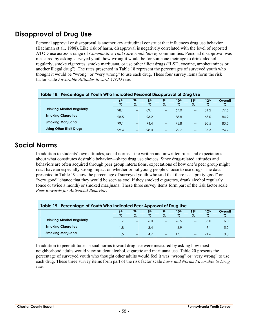# **Disapproval of Drug Use**

Personal approval or disapproval is another key attitudinal construct that influences drug use behavior (Bachman et al., 1988). Like risk of harm, disapproval is negatively correlated with the level of reported ATOD use across a range of *Communities That Care Youth Survey* communities. Personal disapproval was measured by asking surveyed youth how wrong it would be for someone their age to drink alcohol regularly, smoke cigarettes, smoke marijuana, or use other illicit drugs ("LSD, cocaine, amphetamines or another illegal drug"). The rates presented in Table 18 represent the percentages of surveyed youth who thought it would be "wrong" or "very wrong" to use each drug. These four survey items form the risk factor scale *Favorable Attitudes toward ATOD Use*.

| <u>Tubie To. Tercentuge of Tourn Wild Indiculed Feisonal Disapproval of Drug Use</u> |                 |                   |                 |                          |                  |                          |                  |         |  |
|--------------------------------------------------------------------------------------|-----------------|-------------------|-----------------|--------------------------|------------------|--------------------------|------------------|---------|--|
|                                                                                      | 6 <sup>th</sup> | 7 <sup>th</sup>   | 8 <sup>th</sup> | <b>9th</b>               | 10 <sup>th</sup> | 11th                     | 12 <sup>th</sup> | Overall |  |
|                                                                                      | %               | %                 | %               | %                        | $\%$             | $\%$                     | %                | %       |  |
| <b>Drinking Alcohol Regularly</b>                                                    | 98.1            | $\hspace{0.05cm}$ | 89.1            | $\hspace{0.05cm}$        | 67.0             | $\overline{\phantom{a}}$ | 51.2             | 77.6    |  |
| <b>Smoking Cigarettes</b>                                                            | 98.5            | $- -$             | 93.2            | $- -$                    | 78.8             | $-$                      | 63.0             | 84.2    |  |
| <b>Smoking Marijuana</b>                                                             | 99.1            | $- -$             | 94.4            | $\qquad \qquad -$        | 75.8             | $-$                      | 60.5             | 83.5    |  |
| <b>Using Other Illicit Drugs</b>                                                     | 99.4            | $\qquad \qquad -$ | 98.0            | $\overline{\phantom{a}}$ | 92.7             | $-$                      | 87.3             | 94.7    |  |

#### **Table 18. Percentage of Youth Who Indicated Personal Disapproval of Drug Use**

# **Social Norms**

In addition to students' own attitudes, social norms—the written and unwritten rules and expectations about what constitutes desirable behavior—shape drug use choices. Since drug-related attitudes and behaviors are often acquired through peer group interactions, expectations of how one's peer group might react have an especially strong impact on whether or not young people choose to use drugs. The data presented in Table 19 show the percentage of surveyed youth who said that there is a "pretty good" or "very good" chance that they would be seen as cool if they smoked cigarettes, drank alcohol regularly (once or twice a month) or smoked marijuana. These three survey items form part of the risk factor scale *Peer Rewards for Antisocial Behavior*.

| Table 19. Percentage of Youth Who Indicated Peer Approval of Drug Use |                         |                      |                         |                    |                          |                                       |                          |                 |  |  |
|-----------------------------------------------------------------------|-------------------------|----------------------|-------------------------|--------------------|--------------------------|---------------------------------------|--------------------------|-----------------|--|--|
|                                                                       | 6 <sup>th</sup><br>$\%$ | 7 <sup>th</sup><br>% | 8 <sup>th</sup><br>$\%$ | <b>9th</b><br>$\%$ | 10 <sup>th</sup><br>$\%$ | 11th<br>$\%$                          | 12 <sup>th</sup><br>$\%$ | Overall<br>$\%$ |  |  |
| <b>Drinking Alcohol Regularly</b>                                     |                         | $\hspace{0.05cm}$    | 6.0                     | $\sim$             | 25.5                     | $\hspace{0.05cm}$                     | 33.0                     | 16.0            |  |  |
| <b>Smoking Cigarettes</b>                                             | 1.8                     | $\hspace{0.05cm}$    | 3.4                     | $\hspace{0.05cm}$  | 6.9                      | $\hspace{0.05cm}$ – $\hspace{0.05cm}$ | 9.1                      | 5.2             |  |  |
| <b>Smoking Marijuana</b>                                              | 1.5                     | $\hspace{0.05cm}$    | 4.7                     | $\hspace{0.05cm}$  | 1/1                      | $- -$                                 | 21.6                     | 10.8            |  |  |

In addition to peer attitudes, social norms toward drug use were measured by asking how most neighborhood adults would view student alcohol, cigarette and marijuana use. Table 20 presents the percentage of surveyed youth who thought other adults would feel it was "wrong" or "very wrong" to use each drug. These three survey items form part of the risk factor scale *Laws and Norms Favorable to Drug Use*.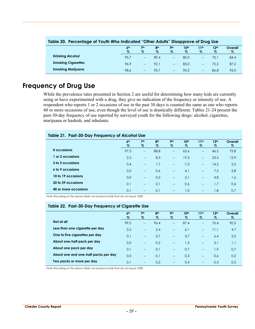| Table 20. Percentage of Yourn who indicated "Other Adults" Disapprove of Drug use |                 |       |                 |                   |                  |                  |                  |         |  |  |
|-----------------------------------------------------------------------------------|-----------------|-------|-----------------|-------------------|------------------|------------------|------------------|---------|--|--|
|                                                                                   | 6 <sup>th</sup> | 7th   | 8 <sup>th</sup> | <b>9th</b>        | 10 <sup>th</sup> | 11 <sup>th</sup> | 12 <sup>th</sup> | Overall |  |  |
|                                                                                   | $\%$            | $\%$  | $\%$            | $\%$              | $\%$             | $\%$             | $\%$             | %       |  |  |
| <b>Drinking Alcohol</b>                                                           | 95.7            | $- -$ | 89.4            | $-$               | 80.0             | $- -$            | 70.1             | 84.4    |  |  |
| <b>Smoking Cigarettes</b>                                                         | 96.9            | $-$   | 92.1            | $\qquad \qquad -$ | 85.0             | $- -$            | 72.2             | 87.2    |  |  |
| <b>Smoking Marijuana</b>                                                          | 98.6            | $-$   | 95.7            | $-$               | 90.2             | $- -$            | 86.8             | 93.0    |  |  |

#### **Table 20. Percentage of Youth Who Indicated "Other Adults" Disapprove of Drug Use**

# **Frequency of Drug Use**

While the prevalence rates presented in Section 2 are useful for determining how many kids are currently using or have experimented with a drug, they give no indication of the frequency or intensity of use. A respondent who reports 1 or 2 occasions of use in the past 30 days is counted the same as one who reports 40 or more occasions of use, even though the level of use is drastically different. Tables 21-24 present the past-30-day frequency of use reported by surveyed youth for the following drugs: alcohol, cigarettes, marijuana or hashish, and inhalants.

#### **Table 21. Past-30-Day Frequency of Alcohol Use**

|                      | 6 <sup>th</sup><br>$\%$ | 7 <sup>th</sup><br>$\%$  | 8 <sup>th</sup><br>$\%$ | 9 <sub>th</sub><br>$\%$  | 10 <sup>th</sup><br>$\%$ | 11 <sup>th</sup><br>$\%$              | 12 <sup>th</sup><br>$\%$ | Overall<br>$\%$ |
|----------------------|-------------------------|--------------------------|-------------------------|--------------------------|--------------------------|---------------------------------------|--------------------------|-----------------|
| 0 occasions          | 97.3                    | $\hspace{0.05cm}$        | 88.8                    | $\overline{\phantom{a}}$ | 65.6                     | $\hspace{0.05cm}$ – $\hspace{0.05cm}$ | 46.5                     | 75.8            |
| or 2 occasions       | 2.2                     | $\overline{\phantom{a}}$ | 8.3                     | $\overline{\phantom{a}}$ | 19.3                     | $\overline{\phantom{a}}$              | 23.5                     | 12.9            |
| 3 to 5 occasions     | 0.4                     | $-$                      | 1.7                     | $\overline{\phantom{a}}$ | 7.3                      | $\overline{\phantom{a}}$              | 14.2                     | 5.5             |
| 6 to 9 occasions     | 0.0                     | $-$                      | 0.6                     | $\sim$                   | 4.1                      | $\overline{\phantom{a}}$              | 7.5                      | 2.8             |
| 10 to 19 occasions   | 0.0                     | $\overline{\phantom{a}}$ | 0.2                     | $\overline{\phantom{a}}$ | 2.1                      | $\overline{\phantom{a}}$              | 4.8                      | 1.6             |
| 20 to 39 occasions   | 0.1                     | $-$                      | 0.1                     | $\overline{\phantom{a}}$ | 0.6                      | $\overline{a}$                        | 1.7                      | 0.6             |
| 40 or more occasions | 0.1                     | $\overline{\phantom{a}}$ | 0.1                     | $\overline{\phantom{a}}$ | 1.0                      | $\overline{\phantom{a}}$              | 1.8                      | 0.7             |

Note: Rounding on the above table can produce totals that do not equal 100%.

#### **Table 22. Past-30-Day Frequency of Cigarette Use**

|                                      | 6 <sup>th</sup> | 7 <sup>th</sup>          | 8 <sup>th</sup> | <b>9th</b>               | 10 <sup>th</sup> | 11 <sup>th</sup>         | 12 <sup>th</sup> | Overall |
|--------------------------------------|-----------------|--------------------------|-----------------|--------------------------|------------------|--------------------------|------------------|---------|
|                                      | $\%$            | $\%$                     | $\%$            | $\%$                     | $\%$             | $\%$                     | $\%$             | $\%$    |
| Not at all                           | 99.5            | $\hspace{0.05cm}$        | 96.4            | $-$                      | 87.4             | $-$                      | 76.4             | 90.5    |
| Less than one cigarette per day      | 0.2             | $\overline{\phantom{a}}$ | 2.4             | $\overline{\phantom{0}}$ | 6.1              | $\overline{a}$           | 11.1             | 4.7     |
| One to five cigarettes per day       | 0.1             | $\hspace{0.05cm}$        | 0.7             | $-$                      | 3.7              | $-$                      | 6.4              | 2.5     |
| About one-half pack per day          | 0.0             | $\overline{\phantom{a}}$ | 0.2             | $\overline{a}$           | 1.5              | $\overline{\phantom{0}}$ | 3.1              | 1.1     |
| About one pack per day               | 0.1             | $\hspace{0.05cm}$        | 0.1             | $-$                      | 0.7              | $\overline{\phantom{a}}$ | 1.9              | 0.7     |
| About one and one-half packs per day | 0.0             | $- -$                    | 0.1             | $-$                      | 0.3              | $\overline{a}$           | 0.6              | 0.2     |
| Two packs or more per day            | 0.1             | $- -$                    | 0.2             | $-$                      | 0.4              | $-$                      | 0.5              | 0.3     |

Note: Rounding on the above table can produce totals that do not equal 100%.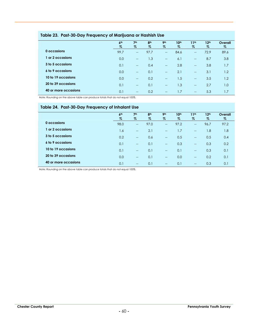|                      | 6 <sup>th</sup> | 7 <sup>th</sup>          | 8 <sup>th</sup> | 9 <sub>th</sub>          | 10 <sup>th</sup> | 11 <sup>th</sup>                                    | 12 <sup>th</sup> | Overall |
|----------------------|-----------------|--------------------------|-----------------|--------------------------|------------------|-----------------------------------------------------|------------------|---------|
|                      | $\%$            | $\%$                     | %               | %                        | %                | $\%$                                                | $\%$             | %       |
| 0 occasions          | 99.7            | $\overline{\phantom{a}}$ | 97.7            | $\hspace{0.05cm}$        | 84.6             | $\overline{\phantom{a}}$                            | 72.9             | 89.6    |
| or 2 occasions       | 0.0             | $\overline{\phantom{a}}$ | 1.3             | $\hspace{0.05cm}$        | 6.1              | $\hspace{0.05cm}$                                   | 8.7              | 3.8     |
| 3 to 5 occasions     | 0.1             | $\overline{\phantom{a}}$ | 0.4             | $\hspace{0.05cm}$        | 2.8              | $\overline{\phantom{a}}$                            | 3.8              | 1.7     |
| 6 to 9 occasions     | 0.0             | $\overline{\phantom{a}}$ | 0.1             | $\overline{\phantom{a}}$ | 2.1              | $\overline{\phantom{a}}$                            | 3.1              | 1.2     |
| 10 to 19 occasions   | 0.0             | $\overline{\phantom{a}}$ | 0.2             | $\overline{\phantom{a}}$ | 1.5              | $\hspace{0.05cm} -\hspace{0.05cm} -\hspace{0.05cm}$ | 3.5              | 1.2     |
| 20 to 39 occasions   | 0.1             | $\sim$                   | 0.1             | $\overline{\phantom{a}}$ | 1.3              | $-$                                                 | 2.7              | 1.0     |
| 40 or more occasions | 0.1             | $\hspace{0.05cm}$        | 0.2             | $- -$                    | 1.7              | $\overline{\phantom{a}}$                            | 5.3              | 1.7     |

#### **Table 23. Past-30-Day Frequency of Marijuana or Hashish Use**

Note: Rounding on the above table can produce totals that do not equal 100%.

#### **Table 24. Past-30-Day Frequency of Inhalant Use**

|                      | 6 <sup>th</sup> | 7 <sup>th</sup>          | 8 <sup>th</sup> | 9 <sub>th</sub>          | 10 <sup>th</sup> | 11 <sup>th</sup>                                    | 12 <sup>th</sup> | Overall |  |
|----------------------|-----------------|--------------------------|-----------------|--------------------------|------------------|-----------------------------------------------------|------------------|---------|--|
|                      | $\%$            | $\%$                     | $\%$            | %                        | %                | $\%$                                                | $\%$             | $\%$    |  |
| 0 occasions          | 98.0            | $\overline{\phantom{a}}$ | 97.0            | $\overline{\phantom{a}}$ | 97.2             | $\overline{\phantom{a}}$                            | 96.7             | 97.2    |  |
| or 2 occasions       | 1.6             | $\sim$                   | 2.1             | $\overline{\phantom{a}}$ | 1.7              | $\overline{\phantom{a}}$                            | 1.8              | 1.8     |  |
| 3 to 5 occasions     | 0.2             | $\overline{\phantom{a}}$ | 0.6             | $\overline{\phantom{a}}$ | 0.5              | $\hspace{0.05cm} -\hspace{0.05cm} -\hspace{0.05cm}$ | 0.5              | 0.4     |  |
| 6 to 9 occasions     | 0.1             | $\overline{\phantom{a}}$ | 0.1             | $\hspace{0.05cm}$        | 0.3              | $\overline{\phantom{a}}$                            | 0.3              | 0.2     |  |
| 10 to 19 occasions   | 0.1             | $\sim$                   | 0.1             | $\sim$                   | 0.1              | $-$                                                 | 0.3              | 0.1     |  |
| 20 to 39 occasions   | 0.0             | $\sim$                   | 0.1             | $\overline{\phantom{a}}$ | 0.0              | $\overline{\phantom{a}}$                            | 0.2              | 0.1     |  |
| 40 or more occasions | 0.1             | $\overline{\phantom{a}}$ | 0.1             | $\hspace{0.05cm}$        | 0.1              | $\overline{\phantom{a}}$                            | 0.3              | 0.1     |  |
|                      |                 |                          |                 |                          |                  |                                                     |                  |         |  |

Note: Rounding on the above table can produce totals that do not equal 100%.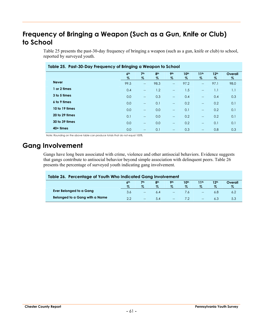# **Frequency of Bringing a Weapon (Such as a Gun, Knife or Club) to School**

Table 25 presents the past-30-day frequency of bringing a weapon (such as a gun, knife or club) to school, reported by surveyed youth.

| Table 25. Past-30-Day Frequency of Bringing a Weapon to School |                         |                          |                      |                         |                       |                          |                          |              |  |
|----------------------------------------------------------------|-------------------------|--------------------------|----------------------|-------------------------|-----------------------|--------------------------|--------------------------|--------------|--|
|                                                                | 6 <sup>th</sup><br>$\%$ | 7 <sup>th</sup><br>$\%$  | 8 <sup>th</sup><br>Z | 9 <sub>th</sub><br>$\%$ | 10 <sup>th</sup><br>% | 11 <sup>th</sup><br>$\%$ | 12 <sup>th</sup><br>$\%$ | Overall<br>% |  |
| <b>Never</b>                                                   | 99.5                    | $\overline{\phantom{m}}$ | 98.3                 | $-$                     | 97.2                  | $\overline{\phantom{a}}$ | 97.1                     | 98.0         |  |
| 1 or 2 times                                                   | 0.4                     | $\overline{\phantom{a}}$ | 1.2                  | $\overline{a}$          | 1.5                   | $\overline{\phantom{a}}$ | 1.1                      | 1.1          |  |
| 3 to 5 times                                                   | 0.0                     | $\overline{a}$           | 0.3                  | $-$                     | 0.4                   | $-$                      | 0.4                      | 0.3          |  |
| 6 to 9 times                                                   | 0.0                     | $\overline{\phantom{a}}$ | 0.1                  | $-$                     | 0.2                   | $\overline{\phantom{a}}$ | 0.2                      | 0.1          |  |
| 10 to 19 times                                                 | 0.0                     | $\overline{\phantom{a}}$ | 0.0                  | $\overline{a}$          | 0.1                   | $\overline{\phantom{a}}$ | 0.2                      | 0.1          |  |
| 20 to 29 times                                                 | 0.1                     | $\overline{\phantom{a}}$ | 0.0                  | $-$                     | 0.2                   | $\overline{\phantom{a}}$ | 0.2                      | 0.1          |  |
| 30 to 39 times                                                 | 0.0                     | $\overline{a}$           | 0.0                  | $\overline{a}$          | 0.2                   | $\overline{\phantom{a}}$ | 0.1                      | 0.1          |  |
| $40+$ times                                                    | 0.0                     | $- -$                    | 0.1                  | $-$                     | 0.3                   | $\qquad \qquad -$        | 0.8                      | 0.3          |  |

Note: Rounding on the above table can produce totals that do not equal 100%.

# **Gang Involvement**

Gangs have long been associated with crime, violence and other antisocial behaviors. Evidence suggests that gangs contribute to antisocial behavior beyond simple association with delinquent peers. Table 26 presents the percentage of surveyed youth indicating gang involvement.

| Table 26. Percentage of Youth Who Indicated Gang Involvement                                                            |      |                          |      |                          |     |                                                     |      |     |  |  |
|-------------------------------------------------------------------------------------------------------------------------|------|--------------------------|------|--------------------------|-----|-----------------------------------------------------|------|-----|--|--|
| 10 <sup>th</sup><br>12 <sup>th</sup><br>9 <sub>th</sub><br>8 <sup>th</sup><br>7 <sub>th</sub><br>11th<br>Overall<br>6th |      |                          |      |                          |     |                                                     |      |     |  |  |
|                                                                                                                         | $\%$ | $\%$                     | $\%$ | %                        | %   | $\%$                                                | $\%$ | Z.  |  |  |
| Ever Belonged to a Gang                                                                                                 | 3.6  | $\overline{\phantom{a}}$ | 6.4  | $\overline{\phantom{a}}$ | 7.6 | $\hspace{0.05cm} -\hspace{0.05cm} -\hspace{0.05cm}$ | 6.8  | 6.2 |  |  |
| Belonged to a Gang with a Name                                                                                          | 2.2  | $\overline{\phantom{a}}$ | 5.4  | $\overline{\phantom{a}}$ | 72  | $\hspace{0.05cm} -\hspace{0.05cm} -\hspace{0.05cm}$ | 6.3  | 5.3 |  |  |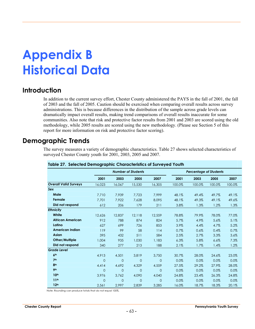# **Appendix B Historical Data**

# **Introduction**

In addition to the current survey effort, Chester County administered the PAYS in the fall of 2001, the fall of 2003 and the fall of 2005. Caution should be exercised when comparing overall results across survey administrations. This is because differences in the distribution of the sample across grade levels can dramatically impact overall results, making trend comparisons of overall results inaccurate for some communities. Also note that risk and protective factor results from 2001 and 2003 are scored using the old methodology, while 2005 results are scored using the new methodology. (Please see Section 5 of this report for more information on risk and protective factor scoring).

# **Demographic Trends**

The survey measures a variety of demographic characteristics. Table 27 shows selected characteristics of surveyed Chester County youth for 2001, 2003, 2005 and 2007.

|                              |                |                | <b>Number of Students</b> |              |         | <b>Percentage of Students</b> |        |        |
|------------------------------|----------------|----------------|---------------------------|--------------|---------|-------------------------------|--------|--------|
|                              | 2001           | 2003           | 2005                      | 2007         | 2001    | 2003                          | 2005   | 2007   |
| <b>Overall Valid Surveys</b> | 16.023         | 16.067         | 15,530                    | 16,305       | 100.0%  | 100.0%                        | 100.0% | 100.0% |
| Sex                          |                |                |                           |              |         |                               |        |        |
| Male                         | 7.710          | 7.939          | 7.723                     | 7.999        | 48.1%   | 49.4%                         | 49.7%  | 49.1%  |
| Female                       | 7.701          | 7.922          | 7.628                     | 8.095        | 48.1%   | 49.3%                         | 49.1%  | 49.6%  |
| Did not respond              | 612            | 206            | 179                       | 211          | 3.8%    | 1.3%                          | 1.2%   | 1.3%   |
| <b>Ethnicity</b>             |                |                |                           |              |         |                               |        |        |
| White                        | 12,626         | 12,837         | 12.118                    | 12,559       | 78.8%   | 79.9%                         | 78.0%  | 77.0%  |
| <b>African American</b>      | 912            | 788            | 874                       | 824          | 5.7%    | 4.9%                          | 5.6%   | 5.1%   |
| Latino                       | 627            | 699            | 726                       | 853          | 3.9%    | 4.4%                          | 4.7%   | 5.2%   |
| <b>American Indian</b>       | 119            | 99             | 58                        | 114          | $0.7\%$ | 0.6%                          | 0.4%   | 0.7%   |
| <b>Asian</b>                 | 395            | 432            | 511                       | 584          | 2.5%    | 2.7%                          | 3.3%   | 3.6%   |
| Other/Multiple               | 1,004          | 935            | 1,030                     | 1,183        | 6.3%    | 5.8%                          | 6.6%   | 7.3%   |
| Did not respond              | 340            | 277            | 213                       | 188          | 2.1%    | 1.7%                          | 1.4%   | 1.2%   |
| <b>Grade Level</b>           |                |                |                           |              |         |                               |        |        |
| 6 <sup>th</sup>              | 4,913          | 4,501          | 3,819                     | 3,750        | 30.7%   | 28.0%                         | 24.6%  | 23.0%  |
| 7 <sup>th</sup>              | $\overline{0}$ | $\overline{0}$ | 0                         | $\mathbf{0}$ | 0.0%    | 0.0%                          | 0.0%   | 0.0%   |
| 8 <sup>th</sup>              | 4,414          | 4,692          | 4,329                     | 4,559        | 27.5%   | 29.2%                         | 27.9%  | 28.0%  |
| 9 <sub>th</sub>              | $\overline{0}$ | $\overline{0}$ | $\overline{0}$            | $\Omega$     | 0.0%    | 0.0%                          | 0.0%   | 0.0%   |
| 10 <sup>th</sup>             | 3,976          | 3,762          | 4,090                     | 4,040        | 24.8%   | 23.4%                         | 26.3%  | 24.8%  |
| 11 <sup>th</sup>             | $\overline{0}$ | $\overline{0}$ | 0                         | $\mathbf{0}$ | 0.0%    | 0.0%                          | 0.0%   | 0.0%   |
| 12 <sup>th</sup>             | 2,561          | 2,997          | 2,839                     | 3,285        | 16.0%   | 18.7%                         | 18.3%  | 20.1%  |

#### **Table 27. Selected Demographic Characteristics of Surveyed Youth**

Note: Rounding can produce totals that do not equal 100%.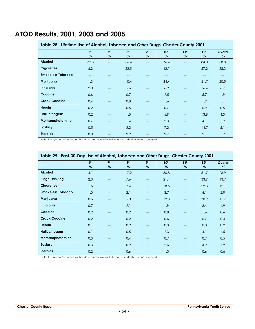# **ATOD Results, 2001, 2003 and 2005**

| Table 28. Lifetime Use of Alcohol, Tobacco and Other Drugs, Chester County 2001 |                         |                          |                          |                          |              |                          |                          |                                       |
|---------------------------------------------------------------------------------|-------------------------|--------------------------|--------------------------|--------------------------|--------------|--------------------------|--------------------------|---------------------------------------|
|                                                                                 | 6 <sup>th</sup><br>$\%$ | 7 <sup>th</sup><br>$\%$  | 8 <sup>th</sup><br>$\%$  | 9 <sub>th</sub><br>$\%$  | 10th<br>$\%$ | 11 <sup>th</sup><br>$\%$ | 12 <sup>th</sup><br>$\%$ | Overall<br>%                          |
| <b>Alcohol</b>                                                                  | 32.3                    | $\hspace{0.05cm}$        | 56.4                     | $\overline{a}$           | 76.4         | $-$                      | 84.0                     | 58.8                                  |
| <b>Cigarettes</b>                                                               | 6.2                     | $-$                      | 22.5                     | $\overline{a}$           | 42.1         | $-$                      | 57.2                     | 28.3                                  |
| <b>Smokeless Tobacco</b>                                                        | $-$                     | $-$                      | $\overline{\phantom{a}}$ | $-$                      | $-$          | $-$                      | $- -$                    | $\hspace{0.05cm}$ – $\hspace{0.05cm}$ |
| Marijuana                                                                       | 1.3                     | $\overline{\phantom{a}}$ | 10.4                     | $\overline{\phantom{a}}$ | 34.4         | $\overline{\phantom{a}}$ | 51.7                     | 20.5                                  |
| <b>Inhalants</b>                                                                | 2.0                     | $-$                      | 5.6                      | $\overline{a}$           | 6.9          | $-$                      | 16.4                     | 6.7                                   |
| Cocaine                                                                         | 0.6                     | $\overline{\phantom{a}}$ | 0.7                      | $\overline{\phantom{a}}$ | 2.5          | $\overline{\phantom{a}}$ | 5.7                      | 1.9                                   |
| <b>Crack Cocaine</b>                                                            | 0.4                     | $\overline{a}$           | 0.8                      | --                       | 1.6          | $-$                      | 1.9                      | 1.1                                   |
| <b>Heroin</b>                                                                   | 0.2                     | $\hspace{0.05cm}$        | 0.5                      | $\overline{a}$           | 0.7          | $-$                      | 0.9                      | 0.5                                   |
| <b>Hallucinogens</b>                                                            | 0.2                     | $\overline{\phantom{a}}$ | 1.5                      | $\overline{a}$           | 5.9          | $\qquad \qquad -$        | 13.8                     | 4.3                                   |
| Methamphetamine                                                                 | 0.7                     | $\overline{\phantom{a}}$ | 1.4                      | $\qquad \qquad -$        | 2.3          | $-$                      | 4.1                      | 1.9                                   |
| <b>Ecstasy</b>                                                                  | 0.5                     | $\hspace{0.05cm}$        | 2.2                      | $\overline{a}$           | 7.2          | $-$                      | 14.7                     | 5.1                                   |
| <b>Steroids</b>                                                                 | 0.8                     |                          | 2.2                      |                          | 2.7          | $-$                      | 2.1                      | 1.9                                   |

Note: The symbol "--" indicates that data are not available because students were not surveyed.

|                          | 6 <sup>th</sup><br>% | 7 <sup>th</sup><br>% | 8 <sup>th</sup><br>$\%$ | 9 <sub>th</sub><br>$\%$  | 10 <sup>th</sup><br>$\%$ | 11 <sup>th</sup><br>$\%$ | 12 <sup>th</sup><br>$\%$ | Overall<br>$\%$ |
|--------------------------|----------------------|----------------------|-------------------------|--------------------------|--------------------------|--------------------------|--------------------------|-----------------|
| <b>Alcohol</b>           | 4.1                  | --                   | 17.2                    | $\overline{\phantom{m}}$ | 36.8                     | $-$                      | 51.7                     | 23.9            |
| <b>Binge Drinking</b>    | 2.0                  | --                   | 7.6                     | $\overline{\phantom{m}}$ | 21.1                     | $\overline{\phantom{m}}$ | 33.9                     | 13.7            |
| <b>Cigarettes</b>        | 1.6                  | --                   | 7.4                     | --                       | 18.6                     | $-$                      | 29.3                     | 12.1            |
| <b>Smokeless Tobacco</b> | 1.0                  | $-$                  | 2.1                     | $- -$                    | 3.7                      | $-$                      | 6.1                      | 2.9             |
| Marijuana                | 0.6                  | --                   | 5.0                     | $-$                      | 19.8                     | $-$                      | 30.9                     | 11.7            |
| <b>Inhalants</b>         | 0.7                  | --                   | 2.1                     | $\overline{\phantom{m}}$ | 1.9                      | $-$                      | 3.4                      | 1.9             |
| Cocaine                  | 0.2                  | --                   | 0.2                     | $--$                     | 0.8                      | $\overline{\phantom{m}}$ | 1.6                      | 0.6             |
| <b>Crack Cocaine</b>     | 0.2                  | --                   | 0.2                     | $-$                      | 0.6                      | $-$                      | 0.7                      | 0.4             |
| Heroin                   | 0.1                  | $-$                  | 0.2                     | --                       | 0.3                      | $-$                      | 0.3                      | 0.2             |
| <b>Hallucinogens</b>     | 0.1                  | --                   | 0.5                     | $\overline{\phantom{m}}$ | 2.3                      | $-$                      | 4.1                      | 1.5             |
| Methamphetamine          | 0.3                  | --                   | 0.4                     | $-$                      | 0.7                      | $-$                      | 0.7                      | 0.5             |
| Ecstasy                  | 0.3                  | --                   | 0.9                     | --                       | 2.6                      | $-$                      | 4.9                      | 1.9             |
| <b>Steroids</b>          | 0.2                  |                      | 0.6                     |                          | 1.0                      |                          | 0.6                      | 0.6             |

#### **Table 29. Past-30-Day Use of Alcohol, Tobacco and Other Drugs, Chester County 2001**

Note: The symbol "--" indicates that data are not available because students were not surveyed.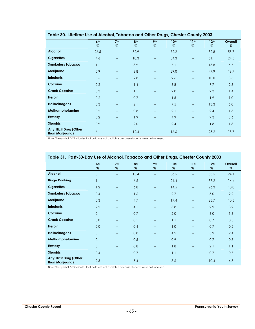| Tubie ou. Lifering use of Alconol, Tubucco und Onier Drugs, Chester County 2000 |                         |                          |                 |                          |                  |                          |                  |         |
|---------------------------------------------------------------------------------|-------------------------|--------------------------|-----------------|--------------------------|------------------|--------------------------|------------------|---------|
|                                                                                 | 6 <sup>th</sup><br>$\%$ | 7 <sup>th</sup>          | 8 <sup>th</sup> | 9 <sub>th</sub>          | 10 <sup>th</sup> | 11 <sup>th</sup>         | 12 <sup>th</sup> | Overall |
|                                                                                 |                         | %                        | %               | %                        | %                | %                        | %                | %       |
| <b>Alcohol</b>                                                                  | 26.5                    | $\qquad \qquad -$        | 52.9            | $\overline{\phantom{a}}$ | 72.2             | $\qquad \qquad -$        | 82.8             | 55.7    |
| <b>Cigarettes</b>                                                               | 4.6                     | --                       | 18.3            | $\overline{\phantom{a}}$ | 34.3             | $\qquad \qquad -$        | 51.1             | 24.5    |
| <b>Smokeless Tobacco</b>                                                        | 1.1                     | $-$                      | 3.9             | $\qquad \qquad -$        | 7.1              | $\qquad \qquad -$        | 13.8             | 5.7     |
| Marijuana                                                                       | 0.9                     | $-$                      | 8.8             | $\qquad \qquad -$        | 29.0             | $\hspace{0.05cm}$        | 47.9             | 18.7    |
| <b>Inhalants</b>                                                                | 5.5                     | --                       | 9.8             | $-$                      | 9.6              | $\qquad \qquad -$        | 10.0             | 8.5     |
| Cocaine                                                                         | 0.2                     | --                       | 1.4             | $\qquad \qquad -$        | 3.8              | $\qquad \qquad -$        | 7.7              | 2.8     |
| <b>Crack Cocaine</b>                                                            | 0.3                     | --                       | 1.5             | $-$                      | 2.0              | $\qquad \qquad -$        | 2.3              | 1.4     |
| Heroin                                                                          | 0.2                     | $-$                      | 0.7             | $\qquad \qquad -$        | 1.5              | $\hspace{0.05cm}$        | 1.9              | 1.0     |
| <b>Hallucinogens</b>                                                            | 0.3                     | $\overline{\phantom{a}}$ | 2.1             | $-$                      | 7.5              | $\qquad \qquad -$        | 13.3             | 5.0     |
| Methamphetamine                                                                 | 0.2                     | $\overline{\phantom{m}}$ | 0.8             | $- -$                    | 2.1              | $\overline{\phantom{m}}$ | 2.4              | 1.3     |
| <b>Ecstasy</b>                                                                  | 0.2                     | --                       | 1.9             | $\qquad \qquad -$        | 4.9              | $\qquad \qquad -$        | 9.3              | 3.6     |
| <b>Steroids</b>                                                                 | 0.9                     | --                       | 2.0             |                          | 2.4              | $\qquad \qquad -$        | 1.8              | 1.8     |
| Any Illicit Drug (Other<br>than Marijuana)                                      | 6.1                     |                          | 12.4            |                          | 16.6             |                          | 23.2             | 13.7    |

**Table 30. Lifetime Use of Alcohol, Tobacco and Other Drugs, Chester County 2003**

Note: The symbol "--" indicates that data are not available because students were not surveyed.

|                                            |                 |                          |                 |                   | $\tilde{\phantom{a}}$ |                          |                  |         |
|--------------------------------------------|-----------------|--------------------------|-----------------|-------------------|-----------------------|--------------------------|------------------|---------|
|                                            | 6 <sup>th</sup> | 7 <sup>th</sup>          | 8 <sup>th</sup> | 9 <sub>th</sub>   | 10 <sup>th</sup>      | 11 <sup>th</sup>         | 12 <sup>th</sup> | Overall |
|                                            | $\%$            | %                        | $\%$            | $\%$              | $\%$                  | $\%$                     | $\%$             | $\%$    |
| <b>Alcohol</b>                             | 3.1             | $\overline{\phantom{m}}$ | 15.4            | $-$               | 36.5                  | $\qquad \qquad -$        | 53.5             | 24.1    |
| <b>Binge Drinking</b>                      | 1.1             | $\overline{\phantom{a}}$ | 6.6             | $-$               | 21.4                  | $\overline{\phantom{a}}$ | 37.2             | 14.4    |
| <b>Cigarettes</b>                          | 1.2             | $\overline{a}$           | 6.8             | $-$               | 14.5                  | $\overline{a}$           | 26.3             | 10.8    |
| <b>Smokeless Tobacco</b>                   | 0.4             | $\overline{a}$           | 1.6             | $-$               | 2.7                   | $-$                      | 5.0              | 2.2     |
| Marijuana                                  | 0.3             | $\overline{\phantom{a}}$ | 4.7             | $-$               | 17.4                  | $\overline{\phantom{a}}$ | 25.7             | 10.5    |
| <b>Inhalants</b>                           | 2.2             | $\overline{\phantom{a}}$ | 4.1             | $-$               | 3.8                   | $\overline{a}$           | 2.9              | 3.2     |
| Cocaine                                    | 0.1             | $-$                      | 0.7             | $-$               | 2.0                   | $\overline{\phantom{a}}$ | 3.0              | 1.3     |
| <b>Crack Cocaine</b>                       | 0.0             | --                       | 0.5             | $\qquad \qquad -$ | 1.1                   | $\qquad \qquad -$        | 0.7              | 0.5     |
| Heroin                                     | 0.0             | --                       | 0.4             | $\overline{a}$    | 1.0                   | $\overline{\phantom{a}}$ | 0.7              | 0.5     |
| <b>Hallucinogens</b>                       | 0.1             | $\overline{a}$           | 0.8             | $-$               | 4.2                   | $\overline{\phantom{a}}$ | 5.9              | 2.4     |
| Methamphetamine                            | 0.1             | --                       | 0.5             | $-$               | 0.9                   | $\overline{a}$           | 0.7              | 0.5     |
| <b>Ecstasy</b>                             | 0.1             | $\overline{\phantom{a}}$ | 0.8             | $\rightarrow$     | 1.8                   | $\overline{\phantom{a}}$ | 2.1              | 1.1     |
| <b>Steroids</b>                            | 0.4             | $\overline{\phantom{a}}$ | 0.7             | $-$               | 1.1                   | $\overline{\phantom{a}}$ | 0.7              | 0.7     |
| Any Illicit Drug (Other<br>than Marijuana) | 2.5             | $-$                      | 5.4             |                   | 8.6                   |                          | 10.4             | 6.3     |

#### **Table 31. Past-30-Day Use of Alcohol, Tobacco and Other Drugs, Chester County 2003**

Note: The symbol "--" indicates that data are not available because students were not surveyed.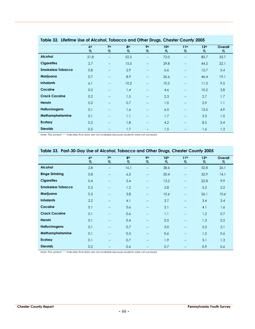|                          |                         |                          |                         |                                       | $\tilde{\phantom{a}}$ |                          |                          |              |
|--------------------------|-------------------------|--------------------------|-------------------------|---------------------------------------|-----------------------|--------------------------|--------------------------|--------------|
|                          | 6 <sup>th</sup><br>$\%$ | 7 <sup>th</sup><br>$\%$  | 8 <sup>th</sup><br>$\%$ | 9 <sub>th</sub><br>%                  | 10 <sup>th</sup><br>% | 11 <sup>th</sup><br>$\%$ | 12 <sup>th</sup><br>$\%$ | Overall<br>% |
| <b>Alcohol</b>           | 21.8                    | $\overline{\phantom{a}}$ | 52.5                    | $\overline{a}$                        | 72.0                  | $\overline{\phantom{a}}$ | 80.7                     | 55.7         |
| <b>Cigarettes</b>        | 2.7                     | $\overline{\phantom{a}}$ | 15.5                    | $\overline{a}$                        | 29.8                  | --                       | 44.2                     | 22.1         |
| <b>Smokeless Tobacco</b> | 0.8                     | $\qquad \qquad -$        | 2.9                     | $\overline{\phantom{a}}$              | 6.6                   | $\overline{\phantom{a}}$ | 12.7                     | 5.4          |
| Marijuana                | 0.7                     | $\hspace{0.05cm}$        | 8.9                     | $\hspace{0.05cm}$ – $\hspace{0.05cm}$ | 26.6                  | $\overline{\phantom{a}}$ | 46.4                     | 19.1         |
| <b>Inhalants</b>         | 6.1                     | $\overline{\phantom{a}}$ | 10.2                    | $\overline{\phantom{a}}$              | 10.5                  | $\overline{a}$           | 11.5                     | 9.5          |
| Cocaine                  | 0.2                     | $\overline{\phantom{a}}$ | 1.4                     | $\overline{a}$                        | 4.6                   | --                       | 10.2                     | 3.8          |
| <b>Crack Cocaine</b>     | 0.2                     | $\overline{\phantom{a}}$ | 1.5                     | $\hspace{0.05cm}$ – $\hspace{0.05cm}$ | 2.3                   | $\overline{a}$           | 2.7                      | 1.7          |
| Heroin                   | 0.2                     | $\overline{\phantom{a}}$ | 0.7                     | $\overline{a}$                        | 1.0                   | $\overline{\phantom{a}}$ | 2.9                      | 1.1          |
| <b>Hallucinogens</b>     | 0.1                     | $\overline{\phantom{a}}$ | 1.6                     | $\overline{a}$                        | 6.5                   | $\overline{a}$           | 13.5                     | 4.9          |
| Methamphetamine          | 0.1                     | $- -$                    | 1.1                     | $\overline{\phantom{a}}$              | 1.7                   | $\overline{\phantom{a}}$ | 3.3                      | 1.5          |
| Ecstasy                  | 0.2                     | $\overline{\phantom{a}}$ | 1.8                     | $\overline{a}$                        | 4.2                   | $\overline{\phantom{a}}$ | 8.5                      | 3.4          |
| <b>Steroids</b>          | 0.5                     | $-$                      | 1.7                     | $\qquad \qquad -$                     | 1.5                   | $-$                      | 1.6                      | 1.3          |

#### **Table 32. Lifetime Use of Alcohol, Tobacco and Other Drugs, Chester County 2005**

Note: The symbol "--" indicates that data are not available because students were not surveyed.

| Table 33. Past-30-Day Use of Alcohol, Tobacco and Other Drugs, Chester County 2005 |                         |                          |                         |                          |                       |                          |                          |                 |
|------------------------------------------------------------------------------------|-------------------------|--------------------------|-------------------------|--------------------------|-----------------------|--------------------------|--------------------------|-----------------|
|                                                                                    | 6 <sup>th</sup><br>$\%$ | 7 <sup>th</sup><br>%     | 8 <sup>th</sup><br>$\%$ | 9 <sub>th</sub><br>%     | 10 <sup>th</sup><br>% | 11 <sup>th</sup><br>$\%$ | 12 <sup>th</sup><br>$\%$ | Overall<br>$\%$ |
| <b>Alcohol</b>                                                                     | 2.8                     | --                       | 16.1                    | $-$                      | 38.6                  | --                       | 52.8                     | 26.1            |
| <b>Binge Drinking</b>                                                              | 0.8                     | $-$                      | 6.5                     | $-$                      | 20.4                  | $\qquad \qquad -$        | 32.9                     | 14.1            |
| <b>Cigarettes</b>                                                                  | 0.4                     | $\overline{\phantom{m}}$ | 5.4                     | $\overline{\phantom{m}}$ | 13.2                  | --                       | 22.8                     | 9.9             |
| <b>Smokeless Tobacco</b>                                                           | 0.3                     | --                       | 1.2                     | $\overline{a}$           | 2.8                   | --                       | 5.2                      | 2.2             |
| Marijuana                                                                          | 0.3                     | --                       | 3.8                     | $\overline{a}$           | 15.6                  | --                       | 26.1                     | 10.6            |
| <b>Inhalants</b>                                                                   | 2.2                     | --                       | 4.1                     | $\qquad \qquad -$        | 3.7                   | --                       | 3.4                      | 3.4             |
| Cocaine                                                                            | 0.1                     | --                       | 0.6                     | $\equiv$                 | 2.1                   | --                       | 4.1                      | 1.6             |
| <b>Crack Cocaine</b>                                                               | 0.1                     | --                       | 0.6                     | $\overline{a}$           | 1.1                   | --                       | 1.2                      | 0.7             |
| <b>Heroin</b>                                                                      | 0.1                     | --                       | 0.4                     | $\overline{a}$           | 0.5                   | --                       | 1.3                      | 0.5             |
| <b>Hallucinogens</b>                                                               | 0.1                     | $-$                      | 0.7                     | $\qquad \qquad -$        | 3.0                   | --                       | 5.2                      | 2.1             |
| Methamphetamine                                                                    | 0.1                     | $-$                      | 0.5                     |                          | 0.6                   | --                       | 1.5                      | 0.6             |
| Ecstasy                                                                            | 0.1                     | $-$                      | 0.7                     | $\overline{a}$           | 1.9                   | --                       | 3.1                      | 1.3             |
| <b>Steroids</b>                                                                    | 0.2                     |                          | 0.6                     |                          | 0.7                   | --                       | 0.9                      | 0.6             |

Note: The symbol "--" indicates that data are not available because students were not surveyed.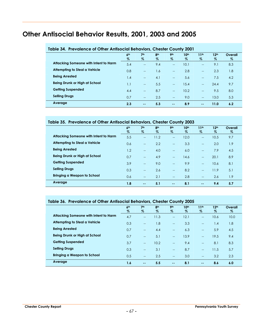# **Other Antisocial Behavior Results, 2001, 2003 and 2005**

| <u>iddie of. The function of Office Almsocial Belia flory, Chesier Coulity Zoo I</u> |                 |                   |                 |                                                     |                  |                          |                  |         |
|--------------------------------------------------------------------------------------|-----------------|-------------------|-----------------|-----------------------------------------------------|------------------|--------------------------|------------------|---------|
|                                                                                      | 6 <sup>th</sup> | 7 <sup>th</sup>   | 8 <sup>th</sup> | <b>9th</b>                                          | 10 <sup>th</sup> | 11 <sup>th</sup>         | 12 <sup>th</sup> | Overall |
|                                                                                      | $\%$            | $\%$              | %               | $\%$                                                | %                | $\%$                     | $\%$             | $\%$    |
| Attacking Someone with Intent to Harm                                                | 5.4             | $-$               | 9.4             | $\qquad \qquad -$                                   | 10.1             | $\overline{\phantom{a}}$ | 9.1              | 8.3     |
| <b>Attempting to Steal a Vehicle</b>                                                 | 0.8             | $-$               | 1.6             | $\hspace{0.05cm} -\hspace{0.05cm} -\hspace{0.05cm}$ | 2.8              | $\overline{\phantom{a}}$ | 2.3              | 1.8     |
| <b>Being Arrested</b>                                                                | 1.4             | $-$               | 4.1             | $\qquad \qquad -$                                   | 5.6              | $\overline{\phantom{a}}$ | 7.5              | 4.2     |
| Being Drunk or High at School                                                        | 1.1             | $-$               | 5.5             | $\overline{\phantom{a}}$                            | 15.4             | $-$                      | 24.4             | 9.7     |
| <b>Getting Suspended</b>                                                             | 4.4             | $\qquad \qquad -$ | 8.7             | $\qquad \qquad -$                                   | 10.2             | $\overline{\phantom{a}}$ | 9.5              | 8.0     |
| <b>Selling Drugs</b>                                                                 | 0.7             | $-$               | 2.5             | $\hspace{0.05cm}$                                   | 9.0              | $\qquad \qquad -$        | 13.0             | 5.3     |
| Average                                                                              | 2.3             | $\sim$ $-$        | 5.3             | $\sim$ $-$                                          | 8.9              | $\sim$ $\sim$            | 11.0             | 6.2     |
|                                                                                      |                 |                   |                 |                                                     |                  |                          |                  |         |

#### **Table 34. Prevalence of Other Antisocial Behaviors, Chester County 2001**

#### **Table 35. Prevalence of Other Antisocial Behaviors, Chester County 2003**

|                                       | 6 <sup>th</sup> | 7 <sup>th</sup>          | 8 <sup>th</sup> | 9 <sub>th</sub>          | 10 <sup>th</sup> | 11 <sup>th</sup>         | 12 <sup>th</sup> | Overall          |
|---------------------------------------|-----------------|--------------------------|-----------------|--------------------------|------------------|--------------------------|------------------|------------------|
|                                       | $\%$            | $\%$                     | %               | $\%$                     | $\%$             | $\%$                     | $\%$             | %                |
| Attacking Someone with Intent to Harm | 5.5             | $-$                      | 11.2            | $\qquad \qquad -$        | 12.0             | $-$                      | 10.5             | 9.7              |
| Attempting to Steal a Vehicle         | 0.6             | $-$                      | 2.2             | $\overline{\phantom{a}}$ | 3.3              | $\overline{\phantom{0}}$ | 2.0              | 1.9              |
| <b>Being Arrested</b>                 | 1.2             | $\sim$                   | 4.0             | $\qquad \qquad -$        | 6.0              | $-$                      | 7.9              | 4.5              |
| Being Drunk or High at School         | 0.7             | $\sim$                   | 4.9             | $- -$                    | 14.6             | $\overline{a}$           | 20.1             | 8.9              |
| <b>Getting Suspended</b>              | 3.9             | $\overline{\phantom{a}}$ | 9.0             | $\qquad \qquad -$        | 9.9              | $\overline{\phantom{a}}$ | 10.6             | 8.1              |
| <b>Selling Drugs</b>                  | 0.3             | $-$                      | 2.6             | $-$                      | 8.2              | $\overline{a}$           | 11.9             | 5.1              |
| <b>Bringing a Weapon to School</b>    | 0.6             | $\hspace{0.05cm}$        | 2.1             | $-$                      | 2.8              | $-$                      | 2.6              | 1.9 <sup>°</sup> |
| Average                               | 1.8             | $\sim$ $-$               | 5.1             | $\sim$ $-$               | 8.1              | $\sim$ $-$               | 9.4              | 5.7              |

#### **Table 36. Prevalence of Other Antisocial Behaviors, Chester County 2005**

|                                       | 6 <sup>th</sup><br>$\%$ | 7 <sup>th</sup><br>$\%$  | 8 <sup>th</sup><br>$\%$ | 9 <sub>th</sub><br>$\%$  | 10 <sup>th</sup><br>$\%$ | 11 <sup>th</sup><br>$\%$ | 12 <sup>th</sup><br>$\%$ | Overall<br>$\%$ |
|---------------------------------------|-------------------------|--------------------------|-------------------------|--------------------------|--------------------------|--------------------------|--------------------------|-----------------|
| Attacking Someone with Intent to Harm | 4.7                     | $- -$                    | 11.3                    | --                       | 12.1                     | $\overline{\phantom{a}}$ | 10.6                     | 10.0            |
| <b>Attempting to Steal a Vehicle</b>  | 0.3                     | $\overline{\phantom{a}}$ | 1.8                     | $-$                      | 3.3                      | $\overline{\phantom{a}}$ | 1.4                      | 1.8             |
| <b>Being Arrested</b>                 | 0.7                     | $\overline{\phantom{a}}$ | 4.4                     | $-$                      | 6.3                      | $\overline{\phantom{a}}$ | 5.9                      | 4.5             |
| Being Drunk or High at School         | 0.7                     | $- -$                    | 5.1                     | $-$                      | 13.9                     | $\sim$                   | 19.5                     | 9.4             |
| <b>Getting Suspended</b>              | 3.7                     | $\sim$                   | 10.2                    | $\overline{\phantom{0}}$ | 9.4                      | $\overline{\phantom{0}}$ | 8.1                      | 8.3             |
| <b>Selling Drugs</b>                  | 0.3                     | $\overline{\phantom{a}}$ | 3.1                     | --                       | 8.7                      | $\overline{a}$           | 11.5                     | 5.7             |
| <b>Bringing a Weapon to School</b>    | 0.5                     | $\overline{\phantom{a}}$ | 2.5                     | --                       | 3.0                      | $\overline{\phantom{a}}$ | 3.2                      | 2.3             |
| Average                               | 1.6                     | $\sim$ $\sim$            | 5.5                     | $\sim$ $-$               | 8.1                      | $\sim$ $\sim$            | 8.6                      | 6.0             |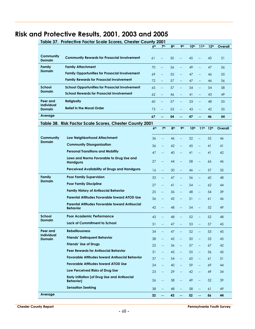# **Risk and Protective Results, 2001, 2003 and 2005**

| Table 37. Protective Factor Scale Scores, Chester County 2001 |                                                                          |                 |                          |                 |                          |                  |                          |                  |         |  |  |  |
|---------------------------------------------------------------|--------------------------------------------------------------------------|-----------------|--------------------------|-----------------|--------------------------|------------------|--------------------------|------------------|---------|--|--|--|
|                                                               |                                                                          | 6 <sup>th</sup> | 7 <sup>th</sup>          | 8 <sup>th</sup> | 9 <sub>th</sub>          | 10 <sup>th</sup> | 11 <sup>th</sup>         | 12 <sup>th</sup> | Overall |  |  |  |
| Community<br><b>Domain</b>                                    | <b>Community Rewards for Prosocial Involvement</b>                       | 61              | --                       | 50              |                          | 45               | $\overline{\phantom{a}}$ | 43               | 51      |  |  |  |
| <b>Family</b>                                                 | <b>Family Attachment</b>                                                 | 70              | Щ,                       | 56              | $\overline{\phantom{a}}$ | 49               | $\overline{\phantom{0}}$ | 47               | 56      |  |  |  |
| <b>Domain</b>                                                 | <b>Family Opportunities for Prosocial Involvement</b>                    | 69              | --                       | 55              | $-$                      | 47               | $\overline{\phantom{a}}$ | 46               | 55      |  |  |  |
|                                                               | <b>Family Rewards for Prosocial Involvement</b>                          | 72              | --                       | 57              | $\overline{\phantom{a}}$ | 47               | $\overline{\phantom{0}}$ | 46               | 56      |  |  |  |
| <b>School</b>                                                 | <b>School Opportunities for Prosocial Involvement</b>                    | 65              | Щ,                       | 57              | $\overline{\phantom{m}}$ | 54               | $\overline{\phantom{m}}$ | 54               | 58      |  |  |  |
| <b>Domain</b>                                                 | <b>School Rewards for Prosocial Involvement</b>                          | 62              | --                       | 46              |                          | 41               | $-$                      | 43               | 49      |  |  |  |
| Peer and                                                      | <b>Religiosity</b>                                                       | 60              | $\overline{\phantom{a}}$ | 57              | $\overline{\phantom{m}}$ | 53               | $\overline{\phantom{m}}$ | 48               | 55      |  |  |  |
| <b>Individual</b><br><b>Domain</b>                            | <b>Belief in the Moral Order</b>                                         | 73              | $\overline{\phantom{a}}$ | 53              | $-$                      | 43               | $-$                      | 42               | 55      |  |  |  |
| Average                                                       |                                                                          | 67              | $-1$                     | 54              | н.                       | 47               | $\sim$                   | 46               | 54      |  |  |  |
| Table 38.                                                     | <b>Risk Factor Scale Scores, Chester County 2001</b>                     |                 |                          |                 |                          |                  |                          |                  |         |  |  |  |
|                                                               |                                                                          | 6 <sup>th</sup> | 7 <sup>th</sup>          | 8 <sup>th</sup> | 9 <sub>th</sub>          | 10 <sup>th</sup> | 11 <sup>th</sup>         | 12 <sup>th</sup> | Overall |  |  |  |
| Community                                                     | Low Neighborhood Attachment                                              | 36              | $\overline{\phantom{a}}$ | 46              |                          | 52               | <u></u>                  | 55               | 46      |  |  |  |
| <b>Domain</b>                                                 | <b>Community Disorganization</b>                                         | 36              | $\overline{\phantom{a}}$ | 42              | $\overline{\phantom{a}}$ | 45               | Щ,                       | 41               | 41      |  |  |  |
|                                                               | <b>Personal Transitions and Mobility</b>                                 | 47              | $-$                      | 40              | $\overline{a}$           | 41               | $\overline{\phantom{a}}$ | 41               | 42      |  |  |  |
|                                                               | Laws and Norms Favorable to Drug Use and                                 |                 |                          |                 |                          |                  |                          |                  |         |  |  |  |
|                                                               | <b>Handguns</b>                                                          | 27              | $\overline{a}$           | 44              | $\overline{a}$           | 58               | $\overline{\phantom{0}}$ | 66               | 46      |  |  |  |
|                                                               | Perceived Availability of Drugs and Handguns                             | 16              | $\overline{\phantom{m}}$ | 30              | $\overline{\phantom{0}}$ | 46               | Щ,                       | 57               | 35      |  |  |  |
| <b>Family</b><br><b>Domain</b>                                | <b>Poor Family Supervision</b>                                           | 33              | $\overline{\phantom{m}}$ | 47              | $\overline{\phantom{0}}$ | 56               | $\overline{\phantom{a}}$ | 60               | 48      |  |  |  |
|                                                               | <b>Poor Family Discipline</b>                                            | 27              | $\overline{\phantom{m}}$ | 41              | $\overline{\phantom{0}}$ | 54               | $\overline{\phantom{a}}$ | 62               | 44      |  |  |  |
|                                                               | <b>Family History of Antisocial Behavior</b>                             | 25              | $\overline{\phantom{a}}$ | 36              | $\overline{a}$           | 48               | $\qquad \qquad -$        | 54               | 39      |  |  |  |
|                                                               | <b>Parental Attitudes Favorable toward ATOD Use</b>                      | 36              | --                       | 42              | --                       | 51               | $\overline{\phantom{0}}$ | 61               | 46      |  |  |  |
|                                                               | <b>Parental Attitudes Favorable toward Antisocial</b><br><b>Behavior</b> | 42              | $\overline{\phantom{m}}$ | 48              | $-$                      | 54               | $\overline{\phantom{0}}$ | 52               | 49      |  |  |  |
| School                                                        | <b>Poor Academic Performance</b>                                         | 43              | $\overline{\phantom{a}}$ | 48              | $\overline{\phantom{a}}$ | 52               | $\qquad \qquad -$        | 52               | 48      |  |  |  |
| Domain                                                        | <b>Lack of Commitment to School</b>                                      | 31              | $-$                      | 47              | $\overline{\phantom{a}}$ | 53               | --                       | 57               | 45      |  |  |  |
| Peer and                                                      | <b>Rebelliousness</b>                                                    | 34              | $\overline{\phantom{m}}$ | 47              |                          | 52               | --                       | 53               | 45      |  |  |  |
| <b>Individual</b><br>Domain                                   | <b>Friends' Delinquent Behavior</b>                                      | 38              | $\overline{\phantom{a}}$ | 45              | $\overline{\phantom{a}}$ | 50               | Щ,                       | 53               | 45      |  |  |  |
|                                                               | <b>Friends' Use of Drugs</b>                                             | 22              | ÷                        | 36              | $\overline{\phantom{a}}$ | 57               | $\overline{\phantom{a}}$ | 67               | 42      |  |  |  |
|                                                               | <b>Peer Rewards for Antisocial Behavior</b>                              | 31              | $\overline{\phantom{m}}$ | 45              | $\overline{\phantom{a}}$ | 55               | 4                        | 56               | 45      |  |  |  |
|                                                               | <b>Favorable Attitudes toward Antisocial Behavior</b>                    | 37              | $\overline{\phantom{a}}$ | 54              | $\overline{\phantom{a}}$ | 60               | $\overline{\phantom{m}}$ | 61               | 51      |  |  |  |
|                                                               | <b>Favorable Attitudes toward ATOD Use</b>                               | 24              | $\overline{\phantom{a}}$ | 40              | $\overline{a}$           | 59               | $\overline{a}$           | 69               | 44      |  |  |  |
|                                                               | Low Perceived Risks of Drug Use                                          | 23              | $\Box$                   | 29              | $\overline{\phantom{m}}$ | 42               | 44                       | 49               | 34      |  |  |  |
|                                                               | <b>Early Initiation (of Drug Use and Antisocial</b><br><b>Behavior)</b>  | 26              | Щ,                       | 38              | Щ,                       | 49               | $\overline{\phantom{a}}$ | 52               | 39      |  |  |  |
|                                                               | <b>Sensation Seeking</b>                                                 | 38              | $\overline{\phantom{a}}$ | 48              | $\overline{\phantom{a}}$ | 58               | $\overline{\phantom{a}}$ | 61               | 49      |  |  |  |
| Average                                                       |                                                                          | 32              | $\sim$                   | 43              | 44                       | 52 <sub>2</sub>  | $\omega$ .               | 56               | 44      |  |  |  |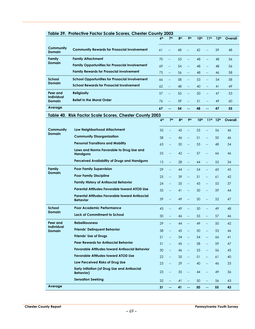|                                    | Table 37. Profective ractor scale scores, Chester County 2003           | 6 <sup>th</sup> | 7 <sup>th</sup>           | 8 <sup>th</sup> | 9 <sub>th</sub>          | 10 <sup>th</sup> | 11 <sup>th</sup>         | 12 <sup>th</sup> | Overall |
|------------------------------------|-------------------------------------------------------------------------|-----------------|---------------------------|-----------------|--------------------------|------------------|--------------------------|------------------|---------|
|                                    |                                                                         |                 |                           |                 |                          |                  |                          |                  |         |
| Community<br>Domain                | <b>Community Rewards for Prosocial Involvement</b>                      | 61              | $\overline{\phantom{a}}$  | 48              | <u></u>                  | 42               | $\overline{\phantom{a}}$ | 39               | 48      |
| Family                             | <b>Family Attachment</b>                                                | 70              | $\overline{\phantom{a}}$  | 53              | $\overline{a}$           | 48               | Щ,                       | 48               | 56      |
| <b>Domain</b>                      | <b>Family Opportunities for Prosocial Involvement</b>                   | 69              | $\overline{\phantom{0}}$  | 54              | $-$                      | 48               | $\overline{a}$           | 48               | 56      |
|                                    | <b>Family Rewards for Prosocial Involvement</b>                         | 73              | $-$                       | 56              | $\overline{\phantom{a}}$ | 48               | $-$                      | 46               | 58      |
| <b>School</b>                      | <b>School Opportunities for Prosocial Involvement</b>                   | 66              | $\overline{\phantom{0}}$  | 58              | $\overline{a}$           | 53               | $\overline{\phantom{a}}$ | 54               | 58      |
| <b>Domain</b>                      | <b>School Rewards for Prosocial Involvement</b>                         | 62              | <u></u>                   | 48              | $\overline{\phantom{a}}$ | 40               | $\overline{a}$           | 41               | 49      |
| Peer and                           | <b>Religiosity</b>                                                      | 57              | $\overline{\phantom{a}}$  | 55              | $\overline{\phantom{a}}$ | 50               | $\overline{\phantom{a}}$ | 47               | 53      |
| <b>Individual</b><br><b>Domain</b> | <b>Belief in the Moral Order</b>                                        | 76              | $\overline{\phantom{0}}$  | 59              | $\overline{a}$           | 51               | $\overline{a}$           | 49               | 60      |
| Average                            |                                                                         | 67              | --                        | 54              | $=$                      | 48               | $=$                      | 47               | 55      |
|                                    | Table 40. Risk Factor Scale Scores, Chester County 2003                 |                 |                           |                 |                          |                  |                          |                  |         |
|                                    |                                                                         | 6 <sup>th</sup> | 7 <sup>th</sup>           | 8 <sup>th</sup> | 9 <sub>th</sub>          | 10 <sup>th</sup> | 11 <sup>th</sup>         | 12 <sup>th</sup> | Overall |
| Community                          | Low Neighborhood Attachment                                             | 35              | цL,                       | 45              | $\overline{\phantom{a}}$ | 53               | $\overline{\phantom{a}}$ | 56               | 46      |
| <b>Domain</b>                      | <b>Community Disorganization</b>                                        | 38              | $\overline{\phantom{a}}$  | 46              | $\overline{\phantom{a}}$ | 51               | $\overline{\phantom{a}}$ | 50               | 46      |
|                                    | <b>Personal Transitions and Mobility</b>                                | 63              | $\overline{\phantom{a}}$  | 50              | $\overline{\phantom{m}}$ | 53               | $\overline{\phantom{m}}$ | 48               | 54      |
|                                    | Laws and Norms Favorable to Drug Use and<br><b>Handguns</b>             | 25              | $-$                       | 42              | $\overline{a}$           | 57               | $\overline{\phantom{a}}$ | 66               | 46      |
|                                    | Perceived Availability of Drugs and Handguns                            | 15              | $\overline{a}$            | 28              | $\overline{a}$           | 44               | $\overline{\phantom{a}}$ | 55               | 34      |
| Family                             | <b>Poor Family Supervision</b>                                          | 29              | $\overline{a}$            | 44              | $\overline{a}$           | 54               | $\Box$                   | 60               | 45      |
| <b>Domain</b>                      | <b>Poor Family Discipline</b>                                           | 25              | $\overline{\phantom{a}}$  | 39              | $\overline{\phantom{a}}$ | 51               | $\overline{\phantom{a}}$ | 61               | 42      |
|                                    | <b>Family History of Antisocial Behavior</b>                            | 24              | $\overline{a}$            | 35              | $\overline{\phantom{a}}$ | 43               | $\overline{\phantom{a}}$ | 53               | 37      |
|                                    | Parental Attitudes Favorable toward ATOD Use                            | 35              | $\overline{\phantom{a}}$  | 41              | $\overline{\phantom{0}}$ | 50               | $\overline{\phantom{a}}$ | 59               | 44      |
|                                    | Parental Attitudes Favorable toward Antisocial<br><b>Behavior</b>       | 39              | Щ,                        | 49              | $\overline{\phantom{0}}$ | 50               | $\overline{\phantom{a}}$ | 52               | 47      |
| <b>School</b>                      | <b>Poor Academic Performance</b>                                        | 43              | $\overline{\phantom{a}}$  | 49              | $\overline{a}$           | 50               | $\overline{\phantom{a}}$ | 49               | 48      |
| Domain                             | <b>Lack of Commitment to School</b>                                     | 30              |                           | 46              |                          | 55               | $\overline{a}$           | 57               | 46      |
| Peer and                           | <b>Rebelliousness</b>                                                   | 29              |                           | 44              |                          | 49               |                          | 50               | 42      |
| <b>Individual</b><br>Domain        | <b>Friends' Delinquent Behavior</b>                                     | 38              | Щ,                        | 45              | $\overline{a}$           | 50               | $\Box$                   | 53               | 46      |
|                                    | <b>Friends' Use of Drugs</b>                                            | 21              | $\overline{\phantom{a}}$  | 34              | $\overline{a}$           | 54               | $\overline{\phantom{m}}$ | 66               | 41      |
|                                    | <b>Peer Rewards for Antisocial Behavior</b>                             | 31              | $\overline{\phantom{a}}$  | 45              | $\overline{\phantom{a}}$ | 58               | $\qquad \qquad -$        | 59               | 47      |
|                                    | <b>Favorable Attitudes toward Antisocial Behavior</b>                   | 30              | $\overline{\phantom{a}}$  | 46              | $\overline{\phantom{a}}$ | 53               | $\overline{\phantom{m}}$ | 56               | 45      |
|                                    | <b>Favorable Attitudes toward ATOD Use</b>                              | 22              | $\overline{\phantom{a}}$  | 35              | $\overline{\phantom{a}}$ | 51               | $\overline{\phantom{m}}$ | 61               | 40      |
|                                    | Low Perceived Risks of Drug Use                                         | 23              | 44                        | 29              | $\qquad \qquad -$        | 40               | 44                       | 46               | 33      |
|                                    | <b>Early Initiation (of Drug Use and Antisocial</b><br><b>Behavior)</b> | 23              | ÷                         | 35              | $\overline{a}$           | 44               | $\overline{\phantom{m}}$ | 49               | 36      |
|                                    | <b>Sensation Seeking</b>                                                | 32              | Щ,                        | 41              | $\overline{\phantom{0}}$ | 50               | $\overline{\phantom{a}}$ | 56               | 43      |
| Average                            |                                                                         | 31              | $\mathbb{Z}^{\mathbb{Z}}$ | 41              | 44                       | 50               | $\sim$ $\sim$            | 55               | 43      |

#### **Table 39. Protective Factor Scale Scores, Chester County 2003**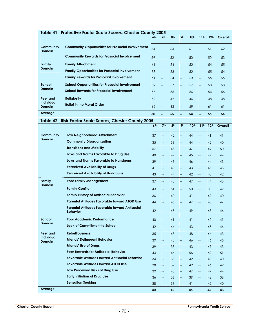| Table 41. Protective Factor Scale Scores, Chester County 2005 |                                                                   |                 |                                    |                 |                                    |                  |                          |                  |         |
|---------------------------------------------------------------|-------------------------------------------------------------------|-----------------|------------------------------------|-----------------|------------------------------------|------------------|--------------------------|------------------|---------|
|                                                               |                                                                   | 6 <sup>th</sup> | 7 <sup>th</sup>                    | 8 <sup>th</sup> | 9 <sub>th</sub>                    | 10 <sup>th</sup> | 11 <sup>th</sup>         | 12 <sup>th</sup> | Overall |
| Community<br><b>Domain</b>                                    | <b>Community Opportunities for Prosocial Involvement</b>          | 64              | $\overline{a}$                     | 63              | $\overline{a}$                     | 61               | $\overline{\phantom{a}}$ | 61               | 62      |
|                                                               | <b>Community Rewards for Prosocial Involvement</b>                | 59              | $\overline{\phantom{0}}$           | 52              | $\overline{\phantom{a}}$           | 50               | $\overline{\phantom{a}}$ | 50               | 53      |
| Family<br><b>Domain</b>                                       | <b>Family Attachment</b>                                          | 61              | $\hspace{0.05cm} -\hspace{0.05cm}$ | 54              | $\overline{\phantom{m}}$           | 52               | $\overline{\phantom{m}}$ | 54               | 55      |
|                                                               | <b>Family Opportunities for Prosocial Involvement</b>             | 58              | $\qquad \qquad -$                  | 53              | $\qquad \qquad -$                  | 52               | $-$                      | 55               | 54      |
|                                                               | <b>Family Rewards for Prosocial Involvement</b>                   | 61              | $\qquad \qquad -$                  | 54              | $\hspace{0.05cm} -\hspace{0.05cm}$ | 53               | $-$                      | 55               | 55      |
| School<br><b>Domain</b>                                       | <b>School Opportunities for Prosocial Involvement</b>             | 59              | $\overline{\phantom{a}}$           | 57              | $\hspace{0.05cm} -\hspace{0.05cm}$ | 57               | $\overline{\phantom{m}}$ | 58               | 58      |
|                                                               | <b>School Rewards for Prosocial Involvement</b>                   | 57              | $\overline{\phantom{a}}$           | 55              | $\overline{\phantom{m}}$           | 56               | $\overline{\phantom{m}}$ | 54               | 56      |
| Peer and<br><b>Individual</b><br><b>Domain</b>                | <b>Religiosity</b>                                                | 52              | $\Box$                             | 47              | $\overline{\phantom{a}}$           | 46               | $\overline{\phantom{0}}$ | 48               | 48      |
|                                                               | <b>Belief in the Moral Order</b>                                  | 65              | $\qquad \qquad -$                  | 62              | $\overline{\phantom{m}}$           | 59               | $-$                      | 61               | 61      |
| Average                                                       |                                                                   | 60              | $\overline{\phantom{a}}$           | 55              | н.                                 | 54               | ۰.                       | 55               | 56      |
| Table 42. Risk Factor Scale Scores, Chester County 2005       |                                                                   |                 |                                    |                 |                                    |                  |                          |                  |         |
|                                                               |                                                                   | 6 <sup>th</sup> | 7 <sup>th</sup>                    | 8 <sub>th</sub> | 9 <sub>th</sub>                    | 10 <sup>th</sup> | 11 <sup>th</sup>         | 12 <sup>th</sup> | Overall |
| Community<br><b>Domain</b>                                    | Low Neighborhood Attachment                                       | 37              | $\overline{\phantom{a}}$           | 42              | $\overline{a}$                     | 44               | <u></u>                  | 41               | 41      |
|                                                               | <b>Community Disorganization</b>                                  | 35              | $\overline{\phantom{a}}$           | 38              | $\overline{\phantom{a}}$           | 44               | $\overline{\phantom{a}}$ | 42               | 40      |
|                                                               | <b>Transitions and Mobility</b>                                   | 57              | $\overline{\phantom{a}}$           | 48              | $\overline{\phantom{0}}$           | 47               | $\overline{\phantom{a}}$ | 49               | 50      |
|                                                               | Laws and Norms Favorable to Drug Use                              | 40              | $\overline{\phantom{a}}$           | 42              | $\overline{\phantom{a}}$           | 45               | $\overline{\phantom{a}}$ | 47               | 44      |
|                                                               | Laws and Norms Favorable to Handguns                              | 39              | $\overline{\phantom{a}}$           | 43              | $\overline{\phantom{a}}$           | 46               | $\qquad \qquad -$        | 44               | 43      |
|                                                               | <b>Perceived Availability of Drugs</b>                            | 41              | $\qquad \qquad -$                  | 40              | $\overline{a}$                     | 43               | <u></u>                  | 48               | 43      |
|                                                               | <b>Perceived Availability of Handguns</b>                         | 43              | $\overline{\phantom{m}}$           | 44              | 44                                 | 42               | 44                       | 40               | 42      |
| Family<br><b>Domain</b>                                       | <b>Poor Family Management</b>                                     | 37              | $\overline{\phantom{a}}$           | 43              | $\overline{\phantom{m}}$           | 47               | $\overline{a}$           | 44               | 43      |
|                                                               | <b>Family Conflict</b>                                            | 43              | $\overline{\phantom{a}}$           | 51              | $\overline{\phantom{a}}$           | 50               | <u></u>                  | 50               | 49      |
|                                                               | <b>Family History of Antisocial Behavior</b>                      | 36              | $\overline{\phantom{m}}$           | 40              | $\overline{\phantom{a}}$           | 41               | $\overline{\phantom{a}}$ | 42               | 40      |
|                                                               | Parental Attitudes Favorable toward ATOD Use                      | 44              | $--$                               | 45              | $\overline{\phantom{m}}$           | 47               | $\qquad \qquad -$        | 48               | 47      |
|                                                               | Parental Attitudes Favorable toward Antisocial<br><b>Behavior</b> | 42              |                                    | 45              |                                    | 49               | $\overline{\phantom{a}}$ | 48               | 46      |
| <b>School</b><br><b>Domain</b>                                | <b>Poor Academic Performance</b>                                  | 40              | $\overline{\phantom{a}}$           | 41              | $\overline{\phantom{m}}$           | 41               | $- -$                    | 42               | 41      |
|                                                               | Lack of Commitment to School                                      | 42              | $\overline{\phantom{a}}$           | 46              | 44                                 | 43               | $\overline{\phantom{a}}$ | 45               | 44      |
| Peer and<br><b>Individual</b><br><b>Domain</b>                | <b>Rebelliousness</b>                                             | 35              | $\overline{\phantom{a}}$           | 43              | $\overline{\phantom{a}}$           | 48               | $\overline{\phantom{m}}$ | 46               | 43      |
|                                                               | <b>Friends' Delinquent Behavior</b>                               | 39              | $\overline{\phantom{m}}$           | 43              | $\overline{\phantom{m}}$           | 46               | $\overline{\phantom{a}}$ | 46               | 45      |
|                                                               | <b>Friends' Use of Drugs</b>                                      | 39              | $\overline{\phantom{m}}$           | 38              | $\overline{\phantom{m}}$           | 43               | $\overline{\phantom{a}}$ | 49               | 43      |
|                                                               | <b>Peer Rewards for Antisocial Behavior</b>                       | 43              | $\overline{\phantom{m}}$           | 46              | $\overline{\phantom{a}}$           | 56               | $\overline{\phantom{m}}$ | 62               | 51      |
|                                                               | <b>Favorable Attitudes toward Antisocial Behavior</b>             | 34              | $\overline{\phantom{m}}$           | 38              | $\overline{\phantom{m}}$           | 42               | $\overline{\phantom{a}}$ | 43               | 40      |
|                                                               | <b>Favorable Attitudes toward ATOD Use</b>                        | 38              | $\overline{\phantom{a}}$           | 39              | $\overline{\phantom{m}}$           | 42               | $\overline{\phantom{a}}$ | 46               | 42      |
|                                                               | Low Perceived Risks of Drug Use                                   | 39              | $\overline{\phantom{a}}$           | 43              | $\overline{\phantom{a}}$           | 47               | $\overline{\phantom{a}}$ | 49               | 44      |
|                                                               | <b>Early Initiation of Drug Use</b>                               | 36              | $\overline{\phantom{a}}$           | 36              | $\overline{\phantom{m}}$           | 39               | $\overline{\phantom{a}}$ | 42               | 38      |
|                                                               | <b>Sensation Seeking</b>                                          | 38              | $\overline{\phantom{a}}$           | 39              | $\overline{\phantom{a}}$           | 41               | $\overline{\phantom{a}}$ | 42               | 40      |
| Average                                                       |                                                                   | 40              | $\mathbb{Z}^2$                     | 42              | $\sim$ $\sim$                      | 45               | $\omega_{\rm eff}$       | 46               | 43      |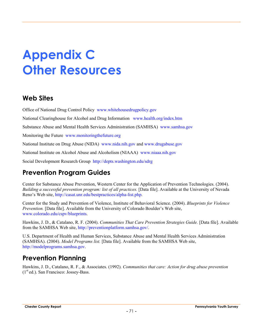# **Appendix C Other Resources**

### **Web Sites**

Office of National Drug Control Policy www.whitehousedrugpolicy.gov

National Clearinghouse for Alcohol and Drug Information www.health.org/index.htm

Substance Abuse and Mental Health Services Administration (SAMHSA) www.samhsa.gov

Monitoring the Future www.monitoringthefuture.org

National Institute on Drug Abuse (NIDA) www.nida.nih.gov and www.drugabuse.gov

National Institute on Alcohol Abuse and Alcoholism (NIAAA) www.niaaa.nih.gov

Social Development Research Group http://depts.washington.edu/sdrg

### **Prevention Program Guides**

Center for Substance Abuse Prevention, Western Center for the Application of Prevention Technologies. (2004). *Building a successful prevention program: list of all practices.* [Data file]. Available at the University of Nevada Reno's Web site, http://casat.unr.edu/bestpractices/alpha-list.php.

Center for the Study and Prevention of Violence, Institute of Behavioral Science. (2004). *Blueprints for Violence Prevention.* [Data file]. Available from the University of Colorado Boulder's Web site, www.colorado.edu/cspv/blueprints.

Hawkins, J. D., & Catalano, R. F. (2004). *Communities That Care Prevention Strategies Guide.* [Data file]. Available from the SAMHSA Web site, http://preventionplatform.samhsa.gov/.

U.S. Department of Health and Human Services, Substance Abuse and Mental Health Services Administration (SAMHSA). (2004). *Model Programs list.* [Data file]. Available from the SAMHSA Web site, http://modelprograms.samhsa.gov.

### **Prevention Planning**

Hawkins, J. D., Catalano, R. F., & Associates. (1992). *Communities that care: Action for drug abuse prevention*  $(1<sup>st</sup> ed.)$ . San Francisco: Jossey-Bass.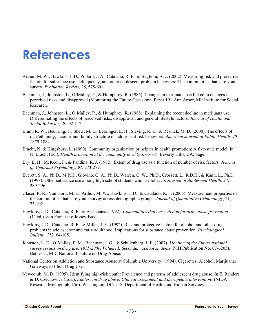## **References**

- Arthur, M. W., Hawkins, J. D., Pollard, J. A., Catalano, R. F., & Baglioni, A. J. (2002). Measuring risk and protective factors for substance use, delinquency, and other adolescent problem behaviors: The communities that care youth survey. *Evaluation Review, 26*, 575-601.
- Bachman, J., Johnston, L., O'Malley, P., & Humphrey, R. (1986). Changes in marijuana use linked to changes in perceived risks and disapproval (Monitoring the Future Occasional Paper 19). Ann Arbor, MI: Institute for Social Research.
- Bachman, J., Johnston, L., O'Malley, P., & Humphrey, R. (1988). Explaining the recent decline in marijuana use: Differentiating the effects of perceived risks, disapproval, and general lifestyle factors. *Journal of Health and Social Behavior, 29*, 92-112.
- Blum, R. W., Beuhring, T., Shew, M. L., Bearinger, L. H., Sieving, R. E., & Resnick, M. D. (2000). The effects of race/ethnicity, income, and family structure on adolescent risk behaviors. *American Journal of Public Health, 90,* 1879-1884.
- Bracht, N. & Kingsbury, L. (1990). Community organization principles in health promotion: A five-state model. In N. Bracht (Ed.), *Health promotion at the community level* (pp. 66-88). Beverly Hills, CA: Sage.
- Bry, B. H., McKeon, P., & Pandina, R. J. (1982). Extent of drug use as a function of number of risk factors. *Journal of Abnormal Psychology, 91,* 273-279.
- Everett, S. A., Ph.D., M.P.H., Giovino, G. A., Ph.D., Warren, C. W., Ph.D., Crossett, L., R.D.H., & Kann, L., Ph.D. (1998). Other substance use among high school students who use tobacco. *Journal of Adolescent Health, 23*, 289-296.
- Glaser, R. R., Van Horn, M. L., Arthur, M. W., Hawkins, J. D., & Catalano, R. F. (2005). Measurement properties of the communities that care youth survey across demographic groups. *Journal of Quantitative Criminology*, 21, 73-102.
- Hawkins, J. D., Catalano, R. F., & Associates. (1992). *Communities that care: Action for drug abuse prevention*   $(1<sup>st</sup> ed.)$ . San Francisco: Jossey-Bass.
- Hawkins, J. D., Catalano, R. F., & Miller, J. Y. (1992). Risk and protective factors for alcohol and other drug problems in adolescence and early adulthood: Implications for substance abuse prevention. *Psychological Bulletin, 112,* 64-105.
- Johnston, L. D., O'Malley, P. M., Bachman, J. G., & Schulenberg, J. E. (2007). *Monitoring the Future national survey results on drug use, 1975-2006. Volume I: Secondary school students* (NIH Publication No. 07-6205). Bethesda, MD: National Institute on Drug Abuse.
- National Center on Addiction and Substance Abuse at Columbia University. (1994). Cigarettes, Alcohol, Marijuana: Gateways to Illicit Drug Use.
- Newcomb, M. D. (1995). Identifying high-risk youth: Prevalence and patterns of adolescent drug abuse. In E. Rahdert & D. Czechowicz (Eds.), *Adolescent drug abuse: Clinical assessment and therapeutic interventions* (NIDA Research Monograph, 156). Washington, DC: U.S. Department of Health and Human Services.